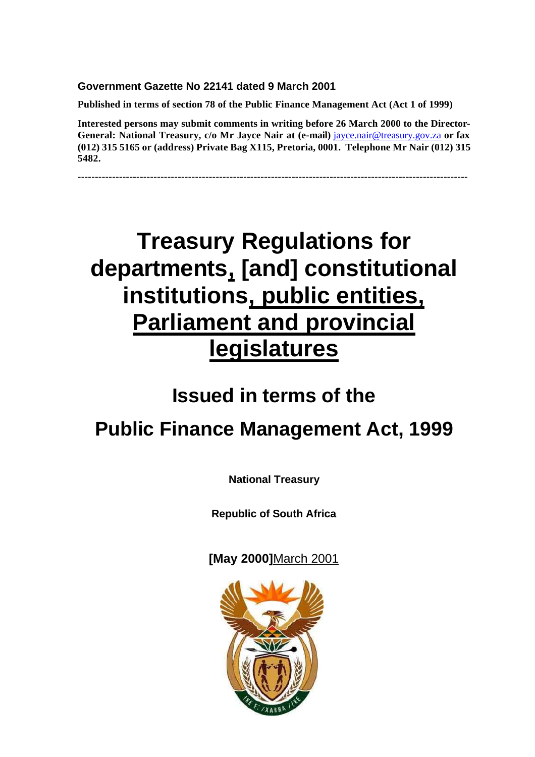### **Government Gazette No 22141 dated 9 March 2001**

**Published in terms of section 78 of the Public Finance Management Act (Act 1 of 1999)**

**Interested persons may submit comments in writing before 26 March 2000 to the Director-General: National Treasury, c/o Mr Jayce Nair at (e-mail)** jayce.nair@treasury.gov.za **or fax (012) 315 5165 or (address) Private Bag X115, Pretoria, 0001. Telephone Mr Nair (012) 315 5482.**

-----------------------------------------------------------------------------------------------------------------

## **Treasury Regulations for departments, [and] constitutional institutions, public entities, Parliament and provincial legislatures**

### **Issued in terms of the**

### **Public Finance Management Act, 1999**

**National Treasury**

**Republic of South Africa**

**[May 2000]**March 2001

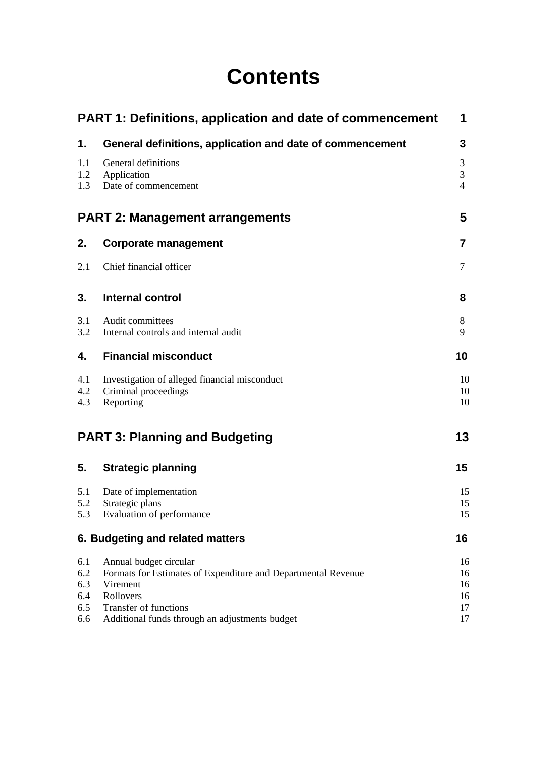## **Contents**

| <b>PART 1: Definitions, application and date of commencement</b>                                                                          | 1                                              |
|-------------------------------------------------------------------------------------------------------------------------------------------|------------------------------------------------|
| General definitions, application and date of commencement                                                                                 | 3                                              |
| General definitions<br>Application<br>Date of commencement                                                                                | 3<br>3<br>$\overline{4}$                       |
| <b>PART 2: Management arrangements</b>                                                                                                    | 5                                              |
| <b>Corporate management</b>                                                                                                               | $\overline{7}$                                 |
| Chief financial officer                                                                                                                   | $\tau$                                         |
| <b>Internal control</b>                                                                                                                   | 8                                              |
| Audit committees<br>Internal controls and internal audit                                                                                  | 8<br>9                                         |
| <b>Financial misconduct</b>                                                                                                               | 10                                             |
| Investigation of alleged financial misconduct<br>Criminal proceedings<br>Reporting                                                        | 10<br>10<br>10                                 |
| <b>PART 3: Planning and Budgeting</b>                                                                                                     | 13                                             |
| <b>Strategic planning</b>                                                                                                                 | 15                                             |
| Date of implementation<br>Strategic plans<br>Evaluation of performance                                                                    | 15<br>15<br>15                                 |
| 6. Budgeting and related matters                                                                                                          | 16                                             |
| Annual budget circular<br>Formats for Estimates of Expenditure and Departmental Revenue<br>Virement<br>Rollovers<br>Transfer of functions | 16<br>16<br>16<br>16<br>17<br>17               |
|                                                                                                                                           | Additional funds through an adjustments budget |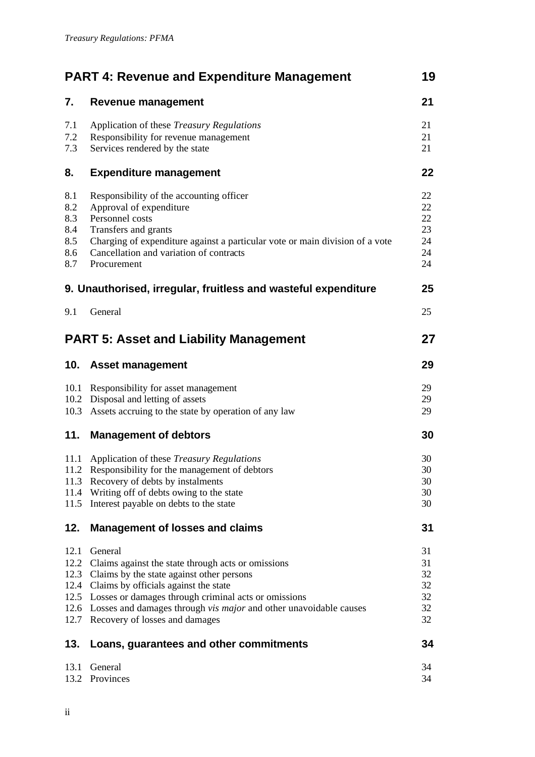| <b>PART 4: Revenue and Expenditure Management</b> |                                                                                                                                                                                                                                                                                                                                   | 19                                     |
|---------------------------------------------------|-----------------------------------------------------------------------------------------------------------------------------------------------------------------------------------------------------------------------------------------------------------------------------------------------------------------------------------|----------------------------------------|
| 7.                                                | Revenue management                                                                                                                                                                                                                                                                                                                | 21                                     |
| 7.1<br>7.2<br>7.3                                 | Application of these Treasury Regulations<br>Responsibility for revenue management<br>Services rendered by the state                                                                                                                                                                                                              | 21<br>21<br>21                         |
| 8.                                                | <b>Expenditure management</b>                                                                                                                                                                                                                                                                                                     | 22                                     |
| 8.1<br>8.2<br>8.3<br>8.4<br>8.5<br>8.6<br>8.7     | Responsibility of the accounting officer<br>Approval of expenditure<br>Personnel costs<br>Transfers and grants<br>Charging of expenditure against a particular vote or main division of a vote<br>Cancellation and variation of contracts<br>Procurement                                                                          | 22<br>22<br>22<br>23<br>24<br>24<br>24 |
|                                                   | 9. Unauthorised, irregular, fruitless and wasteful expenditure                                                                                                                                                                                                                                                                    | 25                                     |
| 9.1                                               | General                                                                                                                                                                                                                                                                                                                           | 25                                     |
|                                                   | <b>PART 5: Asset and Liability Management</b>                                                                                                                                                                                                                                                                                     | 27                                     |
| 10.                                               | <b>Asset management</b>                                                                                                                                                                                                                                                                                                           | 29                                     |
|                                                   | 10.1 Responsibility for asset management<br>10.2 Disposal and letting of assets<br>10.3 Assets accruing to the state by operation of any law                                                                                                                                                                                      | 29<br>29<br>29                         |
| 11.                                               | <b>Management of debtors</b>                                                                                                                                                                                                                                                                                                      | 30                                     |
| 11.1<br>11.3<br>11.5                              | Application of these <i>Treasury Regulations</i><br>11.2 Responsibility for the management of debtors<br>Recovery of debts by instalments<br>11.4 Writing off of debts owing to the state<br>Interest payable on debts to the state                                                                                               | 30<br>30<br>30<br>30<br>30             |
| 12.                                               | <b>Management of losses and claims</b>                                                                                                                                                                                                                                                                                            | 31                                     |
| 12.1<br>12.2<br>12.3<br>12.7                      | General<br>Claims against the state through acts or omissions<br>Claims by the state against other persons<br>12.4 Claims by officials against the state<br>12.5 Losses or damages through criminal acts or omissions<br>12.6 Losses and damages through vis major and other unavoidable causes<br>Recovery of losses and damages | 31<br>31<br>32<br>32<br>32<br>32<br>32 |
| 13.                                               | Loans, guarantees and other commitments                                                                                                                                                                                                                                                                                           | 34                                     |
| 13.1<br>13.2                                      | General<br>Provinces                                                                                                                                                                                                                                                                                                              | 34<br>34                               |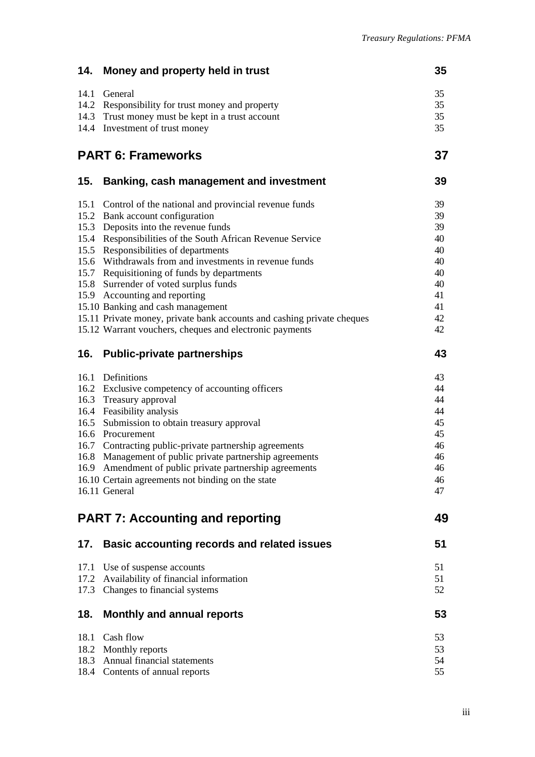| 14.          | Money and property held in trust                                                                                                                                                                                                                                                                                                                                                                                                                                                                                                                                                                        | 35                                                                   |
|--------------|---------------------------------------------------------------------------------------------------------------------------------------------------------------------------------------------------------------------------------------------------------------------------------------------------------------------------------------------------------------------------------------------------------------------------------------------------------------------------------------------------------------------------------------------------------------------------------------------------------|----------------------------------------------------------------------|
| 14.1         | General<br>14.2 Responsibility for trust money and property<br>14.3 Trust money must be kept in a trust account<br>14.4 Investment of trust money                                                                                                                                                                                                                                                                                                                                                                                                                                                       | 35<br>35<br>35<br>35                                                 |
|              | <b>PART 6: Frameworks</b>                                                                                                                                                                                                                                                                                                                                                                                                                                                                                                                                                                               | 37                                                                   |
| 15.          | Banking, cash management and investment                                                                                                                                                                                                                                                                                                                                                                                                                                                                                                                                                                 | 39                                                                   |
|              | 15.1 Control of the national and provincial revenue funds<br>15.2 Bank account configuration<br>15.3 Deposits into the revenue funds<br>15.4 Responsibilities of the South African Revenue Service<br>15.5 Responsibilities of departments<br>15.6 Withdrawals from and investments in revenue funds<br>15.7 Requisitioning of funds by departments<br>15.8 Surrender of voted surplus funds<br>15.9 Accounting and reporting<br>15.10 Banking and cash management<br>15.11 Private money, private bank accounts and cashing private cheques<br>15.12 Warrant vouchers, cheques and electronic payments | 39<br>39<br>39<br>40<br>40<br>40<br>40<br>40<br>41<br>41<br>42<br>42 |
| 16.          | <b>Public-private partnerships</b>                                                                                                                                                                                                                                                                                                                                                                                                                                                                                                                                                                      | 43                                                                   |
| 16.6<br>16.8 | 16.1 Definitions<br>16.2 Exclusive competency of accounting officers<br>16.3 Treasury approval<br>16.4 Feasibility analysis<br>16.5 Submission to obtain treasury approval<br>Procurement<br>16.7 Contracting public-private partnership agreements<br>Management of public private partnership agreements<br>16.9 Amendment of public private partnership agreements<br>16.10 Certain agreements not binding on the state<br>16.11 General                                                                                                                                                             | 43<br>44<br>44<br>44<br>45<br>45<br>46<br>46<br>46<br>46<br>47       |
|              | <b>PART 7: Accounting and reporting</b>                                                                                                                                                                                                                                                                                                                                                                                                                                                                                                                                                                 | 49                                                                   |
| 17.          | <b>Basic accounting records and related issues</b>                                                                                                                                                                                                                                                                                                                                                                                                                                                                                                                                                      | 51                                                                   |
|              | 17.1 Use of suspense accounts<br>17.2 Availability of financial information<br>17.3 Changes to financial systems                                                                                                                                                                                                                                                                                                                                                                                                                                                                                        | 51<br>51<br>52                                                       |
| 18.          | <b>Monthly and annual reports</b>                                                                                                                                                                                                                                                                                                                                                                                                                                                                                                                                                                       | 53                                                                   |
|              | 18.1 Cash flow<br>18.2 Monthly reports<br>18.3 Annual financial statements<br>18.4 Contents of annual reports                                                                                                                                                                                                                                                                                                                                                                                                                                                                                           | 53<br>53<br>54<br>55                                                 |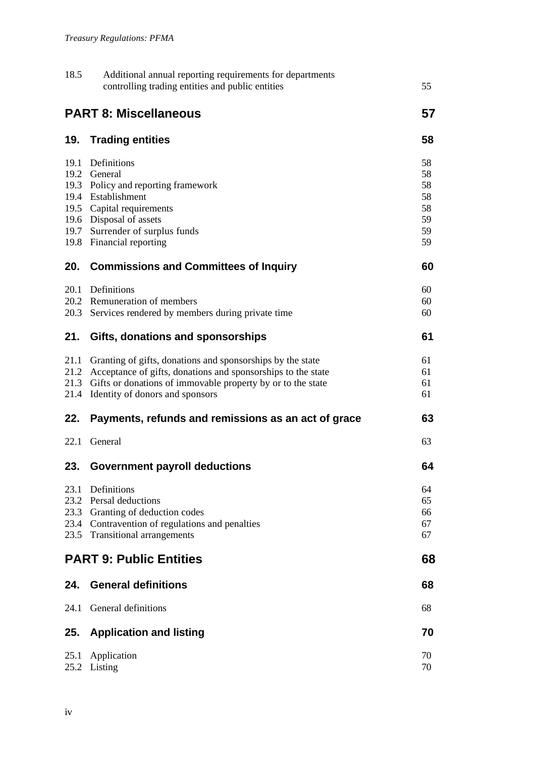| 18.5                 | Additional annual reporting requirements for departments<br>controlling trading entities and public entities                                                                                                                      | 55                                           |
|----------------------|-----------------------------------------------------------------------------------------------------------------------------------------------------------------------------------------------------------------------------------|----------------------------------------------|
|                      | <b>PART 8: Miscellaneous</b>                                                                                                                                                                                                      | 57                                           |
| 19.                  | <b>Trading entities</b>                                                                                                                                                                                                           | 58                                           |
| 19.1<br>19.8         | Definitions<br>19.2 General<br>19.3 Policy and reporting framework<br>19.4 Establishment<br>19.5 Capital requirements<br>19.6 Disposal of assets<br>19.7 Surrender of surplus funds<br>Financial reporting                        | 58<br>58<br>58<br>58<br>58<br>59<br>59<br>59 |
| 20.                  | <b>Commissions and Committees of Inquiry</b>                                                                                                                                                                                      | 60                                           |
|                      | 20.1 Definitions<br>20.2 Remuneration of members<br>20.3 Services rendered by members during private time                                                                                                                         | 60<br>60<br>60                               |
| 21.                  | Gifts, donations and sponsorships                                                                                                                                                                                                 | 61                                           |
| 21.1<br>21.2<br>21.4 | Granting of gifts, donations and sponsorships by the state<br>Acceptance of gifts, donations and sponsorships to the state<br>21.3 Gifts or donations of immovable property by or to the state<br>Identity of donors and sponsors | 61<br>61<br>61<br>61                         |
| 22.                  | Payments, refunds and remissions as an act of grace                                                                                                                                                                               | 63                                           |
| 22.1                 | General                                                                                                                                                                                                                           | 63                                           |
| 23.                  | <b>Government payroll deductions</b>                                                                                                                                                                                              | 64                                           |
|                      | 23.1 Definitions<br>23.2 Persal deductions<br>23.3 Granting of deduction codes<br>23.4 Contravention of regulations and penalties<br>23.5 Transitional arrangements                                                               | 64<br>65<br>66<br>67<br>67                   |
|                      | <b>PART 9: Public Entities</b>                                                                                                                                                                                                    | 68                                           |
| 24.                  | <b>General definitions</b>                                                                                                                                                                                                        | 68                                           |
| 24.1                 | General definitions                                                                                                                                                                                                               | 68                                           |
| 25.                  | <b>Application and listing</b>                                                                                                                                                                                                    | 70                                           |
| 25.1<br>25.2         | Application<br>Listing                                                                                                                                                                                                            | 70<br>70                                     |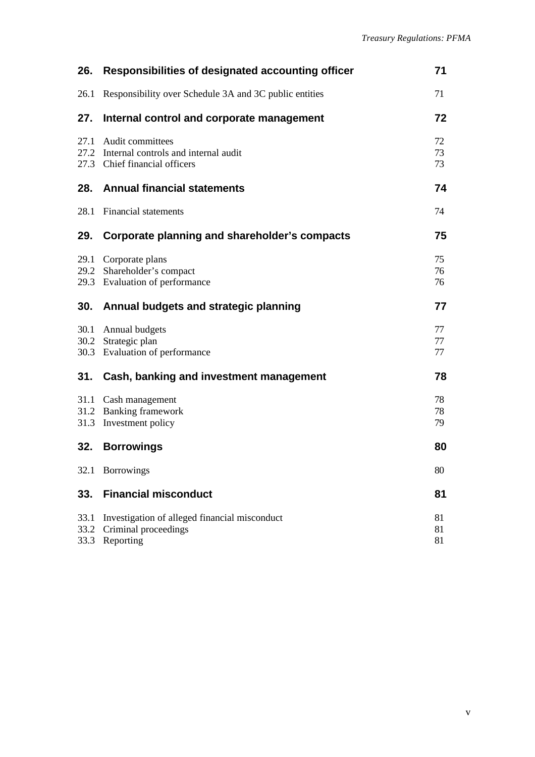| 26.                  | Responsibilities of designated accounting officer                                                   | 71             |
|----------------------|-----------------------------------------------------------------------------------------------------|----------------|
|                      | 26.1 Responsibility over Schedule 3A and 3C public entities                                         | 71             |
| 27.                  | Internal control and corporate management                                                           | 72             |
|                      | 27.1 Audit committees<br>27.2 Internal controls and internal audit<br>27.3 Chief financial officers | 72<br>73<br>73 |
|                      | 28. Annual financial statements                                                                     | 74             |
|                      | 28.1 Financial statements                                                                           | 74             |
| 29.                  | Corporate planning and shareholder's compacts                                                       | 75             |
|                      | 29.1 Corporate plans<br>29.2 Shareholder's compact<br>29.3 Evaluation of performance                | 75<br>76<br>76 |
| 30.                  | Annual budgets and strategic planning                                                               | 77             |
|                      | 30.1 Annual budgets<br>30.2 Strategic plan<br>30.3 Evaluation of performance                        | 77<br>77<br>77 |
| 31.                  | <b>Cash, banking and investment management</b>                                                      | 78             |
|                      | 31.1 Cash management<br>31.2 Banking framework<br>31.3 Investment policy                            | 78<br>78<br>79 |
| 32.                  | <b>Borrowings</b>                                                                                   | 80             |
| 32.1                 | <b>Borrowings</b>                                                                                   | 80             |
| 33.                  | <b>Financial misconduct</b>                                                                         | 81             |
| 33.1<br>33.2<br>33.3 | Investigation of alleged financial misconduct<br>Criminal proceedings<br>Reporting                  | 81<br>81<br>81 |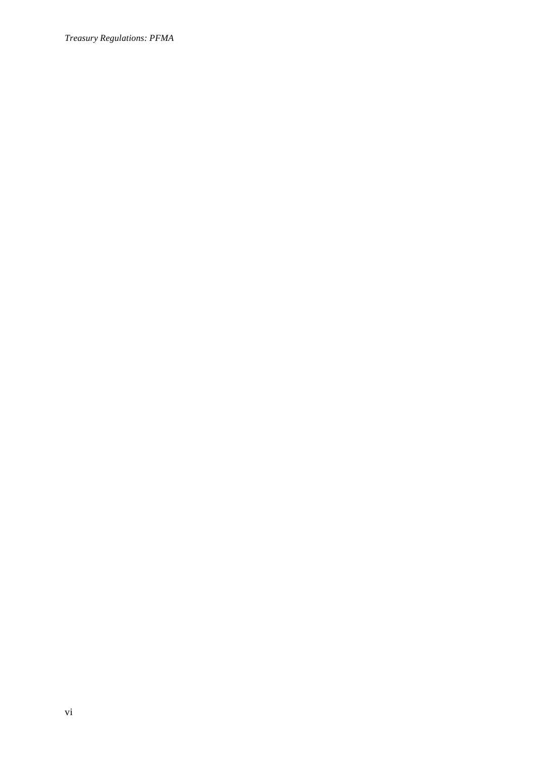*Treasury Regulations: PFMA*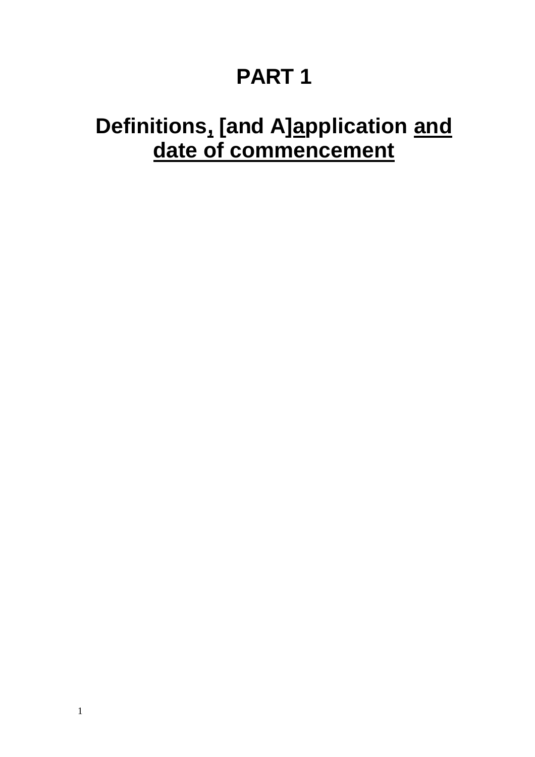## **Definitions, [and A]application and date of commencement**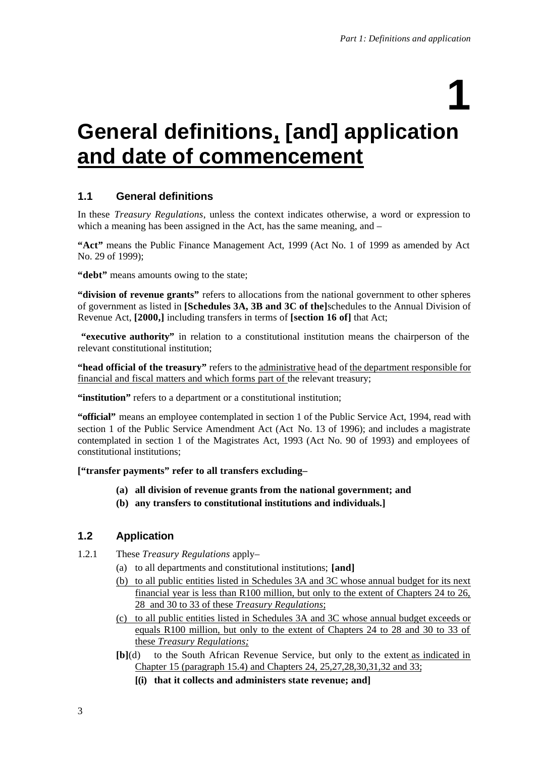## **General definitions, [and] application and date of commencement**

### **1.1 General definitions**

In these *Treasury Regulations*, unless the context indicates otherwise, a word or expression to which a meaning has been assigned in the Act, has the same meaning, and –

**"Act"** means the Public Finance Management Act, 1999 (Act No. 1 of 1999 as amended by Act No. 29 of 1999);

**"debt"** means amounts owing to the state;

**"division of revenue grants"** refers to allocations from the national government to other spheres of government as listed in **[Schedules 3A, 3B and 3C of the]**schedules to the Annual Division of Revenue Act, **[2000,]** including transfers in terms of **[section 16 of]** that Act;

 **"executive authority"** in relation to a constitutional institution means the chairperson of the relevant constitutional institution;

**"head official of the treasury"** refers to the administrative head of the department responsible for financial and fiscal matters and which forms part of the relevant treasury;

"institution" refers to a department or a constitutional institution;

**"official"** means an employee contemplated in section 1 of the Public Service Act, 1994, read with section 1 of the Public Service Amendment Act (Act No. 13 of 1996); and includes a magistrate contemplated in section 1 of the Magistrates Act, 1993 (Act No. 90 of 1993) and employees of constitutional institutions;

**["transfer payments" refer to all transfers excluding–**

- **(a) all division of revenue grants from the national government; and**
- **(b) any transfers to constitutional institutions and individuals.]**

### **1.2 Application**

- 1.2.1 These *Treasury Regulations* apply–
	- (a) to all departments and constitutional institutions; **[and]**
	- (b) to all public entities listed in Schedules 3A and 3C whose annual budget for its next financial year is less than R100 million, but only to the extent of Chapters 24 to 26, 28 and 30 to 33 of these *Treasury Regulations*;
	- (c) to all public entities listed in Schedules 3A and 3C whose annual budget exceeds or equals R100 million, but only to the extent of Chapters 24 to 28 and 30 to 33 of these *Treasury Regulations;*
	- **[b]**(d) to the South African Revenue Service, but only to the extent as indicated in Chapter 15 (paragraph 15.4) and Chapters 24, 25,27,28,30,31,32 and 33;
		- **[(i) that it collects and administers state revenue; and]**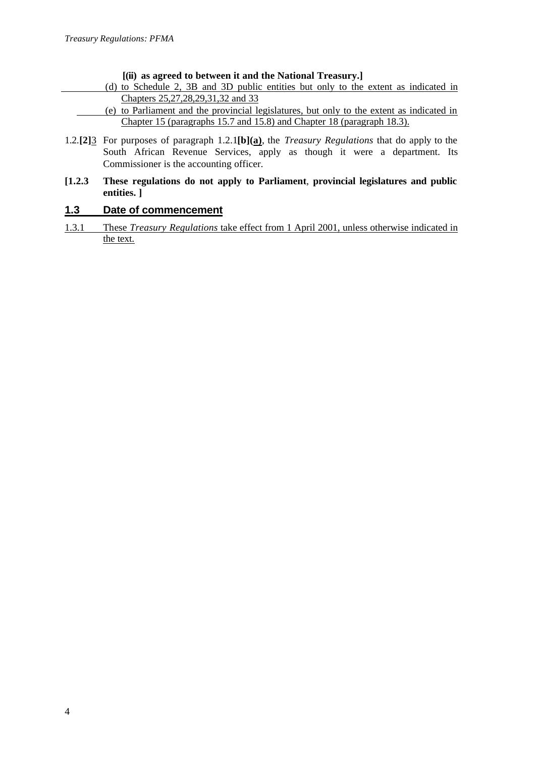**[(ii) as agreed to between it and the National Treasury.]**

- (d) to Schedule 2, 3B and 3D public entities but only to the extent as indicated in Chapters 25,27,28,29,31,32 and 33
- (e) to Parliament and the provincial legislatures, but only to the extent as indicated in Chapter 15 (paragraphs 15.7 and 15.8) and Chapter 18 (paragraph 18.3).
- 1.2.**[2]**3 For purposes of paragraph 1.2.1**[b](a)**, the *Treasury Regulations* that do apply to the South African Revenue Services, apply as though it were a department. Its Commissioner is the accounting officer.

#### **[1.2.3 These regulations do not apply to Parliament**, **provincial legislatures and public entities. ]**

### **1.3 Date of commencement**

1.3.1 These *Treasury Regulations* take effect from 1 April 2001, unless otherwise indicated in the text.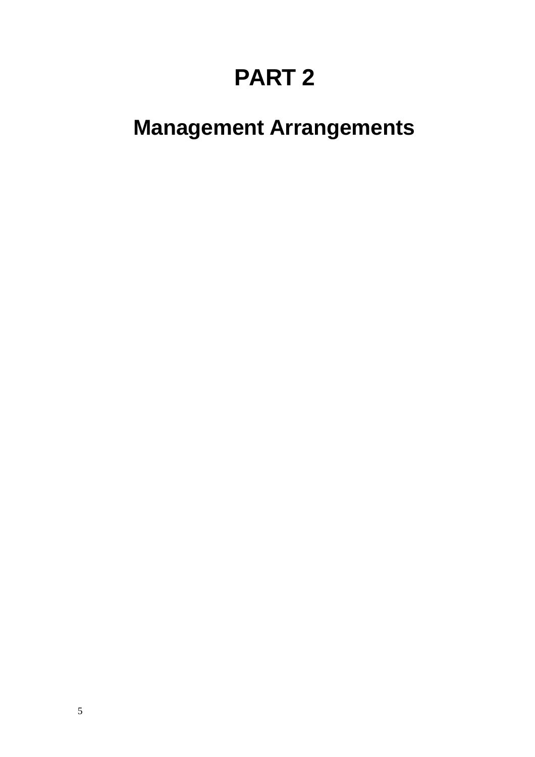## **Management Arrangements**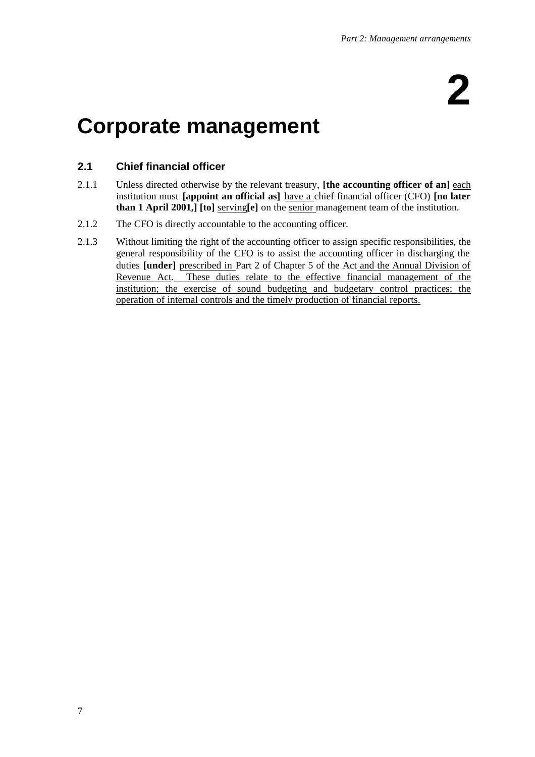## **Corporate management**

### **2.1 Chief financial officer**

- 2.1.1 Unless directed otherwise by the relevant treasury, **[the accounting officer of an]** each institution must **[appoint an official as]** have a chief financial officer (CFO) **[no later than 1 April 2001,] [to]** serving**[e]** on the senior management team of the institution.
- 2.1.2 The CFO is directly accountable to the accounting officer.
- 2.1.3 Without limiting the right of the accounting officer to assign specific responsibilities, the general responsibility of the CFO is to assist the accounting officer in discharging the duties **[under]** prescribed in Part 2 of Chapter 5 of the Act and the Annual Division of Revenue Act. These duties relate to the effective financial management of the institution; the exercise of sound budgeting and budgetary control practices; the operation of internal controls and the timely production of financial reports.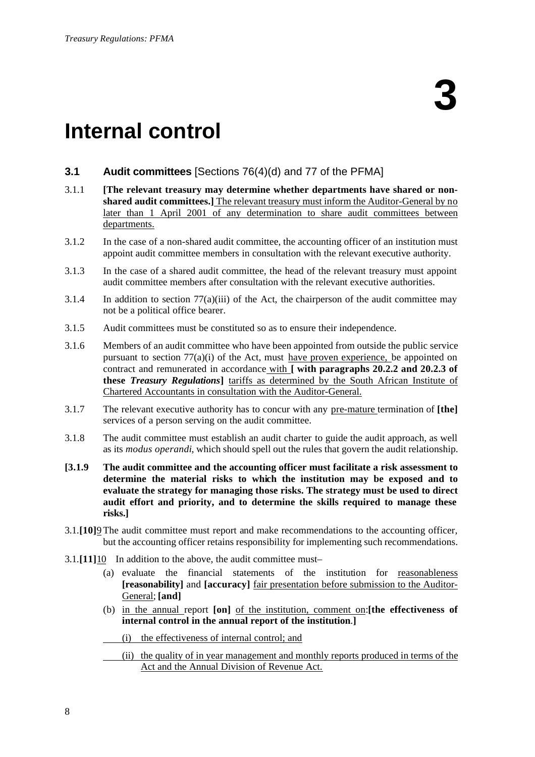## **Internal control**

### **3.1 Audit committees** [Sections 76(4)(d) and 77 of the PFMA]

- 3.1.1 **[The relevant treasury may determine whether departments have shared or nonshared audit committees.]** The relevant treasury must inform the Auditor-General by no later than 1 April 2001 of any determination to share audit committees between departments.
- 3.1.2 In the case of a non-shared audit committee, the accounting officer of an institution must appoint audit committee members in consultation with the relevant executive authority.
- 3.1.3 In the case of a shared audit committee, the head of the relevant treasury must appoint audit committee members after consultation with the relevant executive authorities.
- 3.1.4 In addition to section  $77(a)(iii)$  of the Act, the chairperson of the audit committee may not be a political office bearer.
- 3.1.5 Audit committees must be constituted so as to ensure their independence.
- 3.1.6 Members of an audit committee who have been appointed from outside the public service pursuant to section  $77(a)(i)$  of the Act, must have proven experience, be appointed on contract and remunerated in accordance with **[ with paragraphs 20.2.2 and 20.2.3 of these** *Treasury Regulations***]** tariffs as determined by the South African Institute of Chartered Accountants in consultation with the Auditor-General.
- 3.1.7 The relevant executive authority has to concur with any pre-mature termination of **[the]**  services of a person serving on the audit committee.
- 3.1.8 The audit committee must establish an audit charter to guide the audit approach, as well as its *modus operandi*, which should spell out the rules that govern the audit relationship.
- **[3.1.9 The audit committee and the accounting officer must facilitate a risk assessment to determine the material risks to which the institution may be exposed and to evaluate the strategy for managing those risks. The strategy must be used to direct audit effort and priority, and to determine the skills required to manage these risks.]**
- 3.1.**[10]**9The audit committee must report and make recommendations to the accounting officer, but the accounting officer retains responsibility for implementing such recommendations.
- 3.1.**[11]**10 In addition to the above, the audit committee must–
	- (a) evaluate the financial statements of the institution for reasonableness **[reasonability]** and **[accuracy]** fair presentation before submission to the Auditor-General; **[and]**
	- (b) in the annual report **[on]** of the institution, comment on:**[the effectiveness of internal control in the annual report of the institution**.**]**
		- (i) the effectiveness of internal control; and
	- (ii) the quality of in year management and monthly reports produced in terms of the Act and the Annual Division of Revenue Act.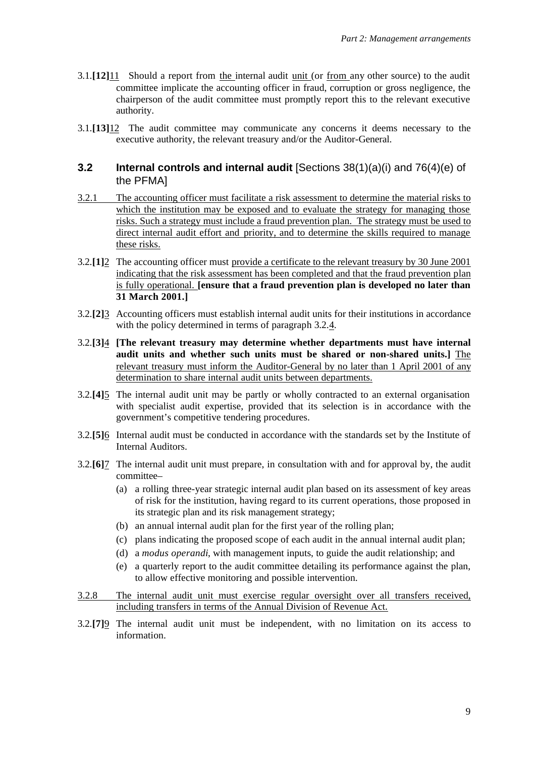- 3.1.**[12]**11 Should a report from the internal audit unit (or from any other source) to the audit committee implicate the accounting officer in fraud, corruption or gross negligence, the chairperson of the audit committee must promptly report this to the relevant executive authority.
- 3.1.**[13]**12 The audit committee may communicate any concerns it deems necessary to the executive authority, the relevant treasury and/or the Auditor-General.

#### **3.2 Internal controls and internal audit** [Sections 38(1)(a)(i) and 76(4)(e) of the PFMA]

- 3.2.1 The accounting officer must facilitate a risk assessment to determine the material risks to which the institution may be exposed and to evaluate the strategy for managing those risks. Such a strategy must include a fraud prevention plan. The strategy must be used to direct internal audit effort and priority, and to determine the skills required to manage these risks.
- 3.2.**[1]**2 The accounting officer must provide a certificate to the relevant treasury by 30 June 2001 indicating that the risk assessment has been completed and that the fraud prevention plan is fully operational. **[ensure that a fraud prevention plan is developed no later than 31 March 2001.]**
- 3.2.**[2]**3 Accounting officers must establish internal audit units for their institutions in accordance with the policy determined in terms of paragraph 3.2.4.
- 3.2.**[3]**4 **[The relevant treasury may determine whether departments must have internal audit units and whether such units must be shared or non-shared units.]** The relevant treasury must inform the Auditor-General by no later than 1 April 2001 of any determination to share internal audit units between departments.
- 3.2.**[4]**5 The internal audit unit may be partly or wholly contracted to an external organisation with specialist audit expertise, provided that its selection is in accordance with the government's competitive tendering procedures.
- 3.2.**[5]**6 Internal audit must be conducted in accordance with the standards set by the Institute of Internal Auditors.
- 3.2.**[6]**7 The internal audit unit must prepare, in consultation with and for approval by, the audit committee–
	- (a) a rolling three-year strategic internal audit plan based on its assessment of key areas of risk for the institution, having regard to its current operations, those proposed in its strategic plan and its risk management strategy;
	- (b) an annual internal audit plan for the first year of the rolling plan;
	- (c) plans indicating the proposed scope of each audit in the annual internal audit plan;
	- (d) a *modus operandi*, with management inputs, to guide the audit relationship; and
	- (e) a quarterly report to the audit committee detailing its performance against the plan, to allow effective monitoring and possible intervention.
- 3.2.8 The internal audit unit must exercise regular oversight over all transfers received, including transfers in terms of the Annual Division of Revenue Act.
- 3.2.**[7]**9 The internal audit unit must be independent, with no limitation on its access to information.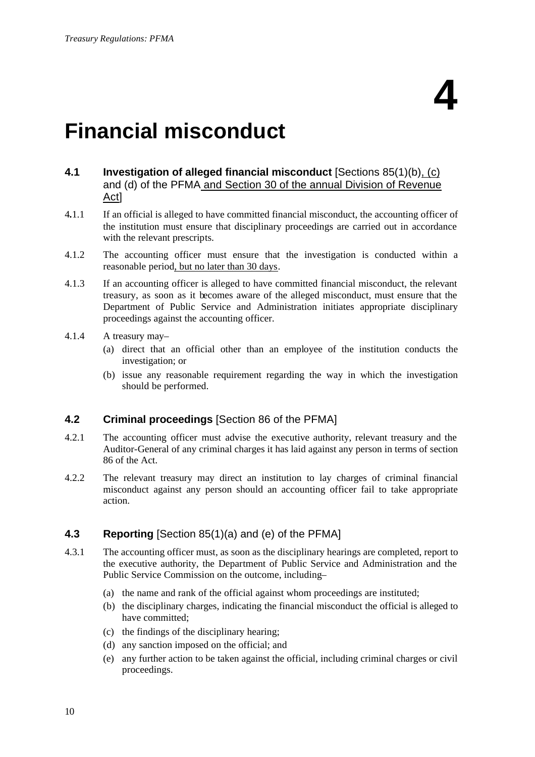### **Financial misconduct**

- **4.1 Investigation of alleged financial misconduct** [Sections 85(1)(b), (c) and (d) of the PFMA and Section 30 of the annual Division of Revenue Act]
- 4**.**1.1 If an official is alleged to have committed financial misconduct, the accounting officer of the institution must ensure that disciplinary proceedings are carried out in accordance with the relevant prescripts.
- 4.1.2 The accounting officer must ensure that the investigation is conducted within a reasonable period, but no later than 30 days.
- 4.1.3 If an accounting officer is alleged to have committed financial misconduct, the relevant treasury, as soon as it becomes aware of the alleged misconduct, must ensure that the Department of Public Service and Administration initiates appropriate disciplinary proceedings against the accounting officer.
- 4.1.4 A treasury may–
	- (a) direct that an official other than an employee of the institution conducts the investigation; or
	- (b) issue any reasonable requirement regarding the way in which the investigation should be performed.

### **4.2 Criminal proceedings** [Section 86 of the PFMA]

- 4.2.1 The accounting officer must advise the executive authority, relevant treasury and the Auditor-General of any criminal charges it has laid against any person in terms of section 86 of the Act.
- 4.2.2 The relevant treasury may direct an institution to lay charges of criminal financial misconduct against any person should an accounting officer fail to take appropriate action.

### **4.3 Reporting** [Section 85(1)(a) and (e) of the PFMA]

- 4.3.1 The accounting officer must, as soon as the disciplinary hearings are completed, report to the executive authority, the Department of Public Service and Administration and the Public Service Commission on the outcome, including–
	- (a) the name and rank of the official against whom proceedings are instituted;
	- (b) the disciplinary charges, indicating the financial misconduct the official is alleged to have committed;
	- (c) the findings of the disciplinary hearing;
	- (d) any sanction imposed on the official; and
	- (e) any further action to be taken against the official, including criminal charges or civil proceedings.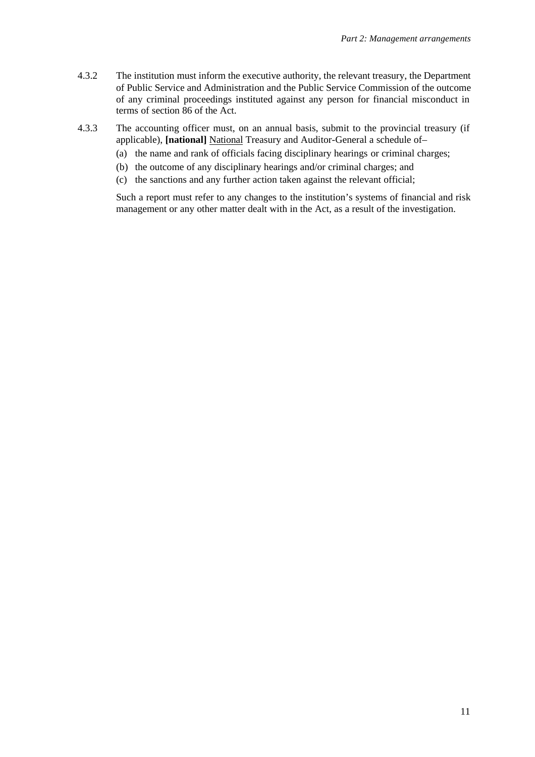- 4.3.2 The institution must inform the executive authority, the relevant treasury, the Department of Public Service and Administration and the Public Service Commission of the outcome of any criminal proceedings instituted against any person for financial misconduct in terms of section 86 of the Act.
- 4.3.3 The accounting officer must, on an annual basis, submit to the provincial treasury (if applicable), **[national]** National Treasury and Auditor-General a schedule of–
	- (a) the name and rank of officials facing disciplinary hearings or criminal charges;
	- (b) the outcome of any disciplinary hearings and/or criminal charges; and
	- (c) the sanctions and any further action taken against the relevant official;

Such a report must refer to any changes to the institution's systems of financial and risk management or any other matter dealt with in the Act, as a result of the investigation.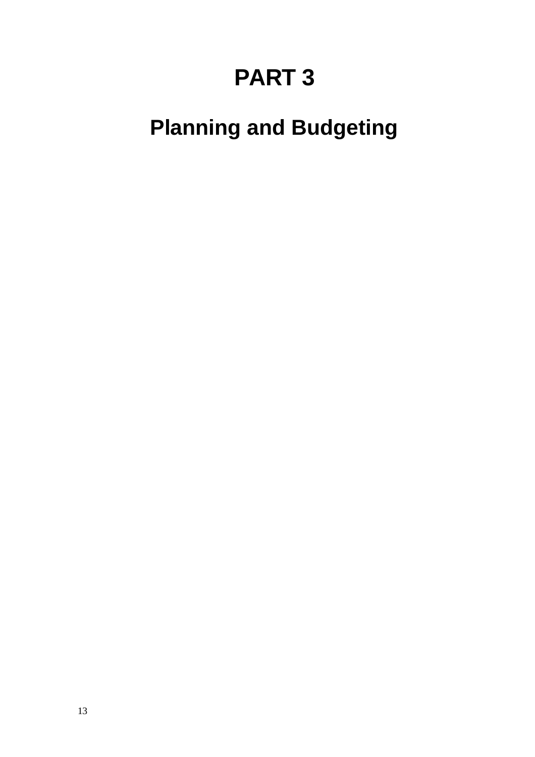## **Planning and Budgeting**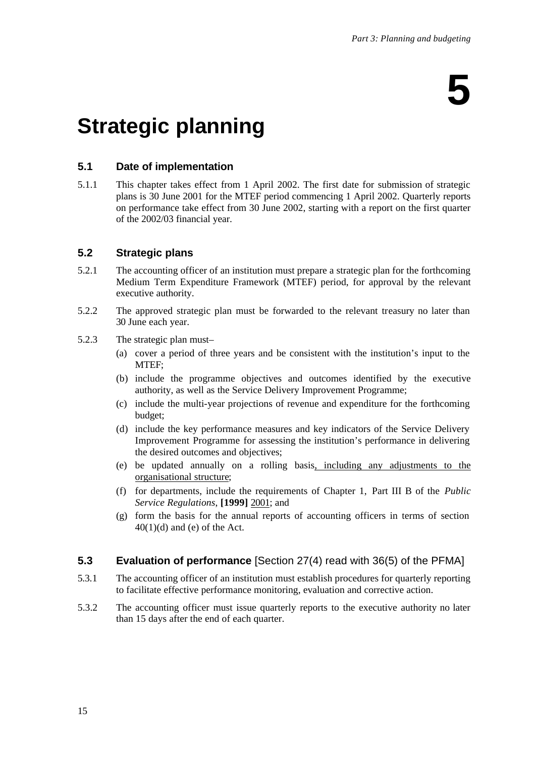## **Strategic planning**

### **5.1 Date of implementation**

5.1.1 This chapter takes effect from 1 April 2002. The first date for submission of strategic plans is 30 June 2001 for the MTEF period commencing 1 April 2002. Quarterly reports on performance take effect from 30 June 2002, starting with a report on the first quarter of the 2002/03 financial year.

### **5.2 Strategic plans**

- 5.2.1 The accounting officer of an institution must prepare a strategic plan for the forthcoming Medium Term Expenditure Framework (MTEF) period, for approval by the relevant executive authority.
- 5.2.2 The approved strategic plan must be forwarded to the relevant treasury no later than 30 June each year.
- 5.2.3 The strategic plan must–
	- (a) cover a period of three years and be consistent with the institution's input to the MTEF;
	- (b) include the programme objectives and outcomes identified by the executive authority, as well as the Service Delivery Improvement Programme;
	- (c) include the multi-year projections of revenue and expenditure for the forthcoming budget;
	- (d) include the key performance measures and key indicators of the Service Delivery Improvement Programme for assessing the institution's performance in delivering the desired outcomes and objectives;
	- (e) be updated annually on a rolling basis, including any adjustments to the organisational structure;
	- (f) for departments, include the requirements of Chapter 1, Part III B of the *Public Service Regulations*, **[1999]** 2001; and
	- (g) form the basis for the annual reports of accounting officers in terms of section  $40(1)(d)$  and (e) of the Act.

#### **5.3 Evaluation of performance** [Section 27(4) read with 36(5) of the PFMA]

- 5.3.1 The accounting officer of an institution must establish procedures for quarterly reporting to facilitate effective performance monitoring, evaluation and corrective action.
- 5.3.2 The accounting officer must issue quarterly reports to the executive authority no later than 15 days after the end of each quarter.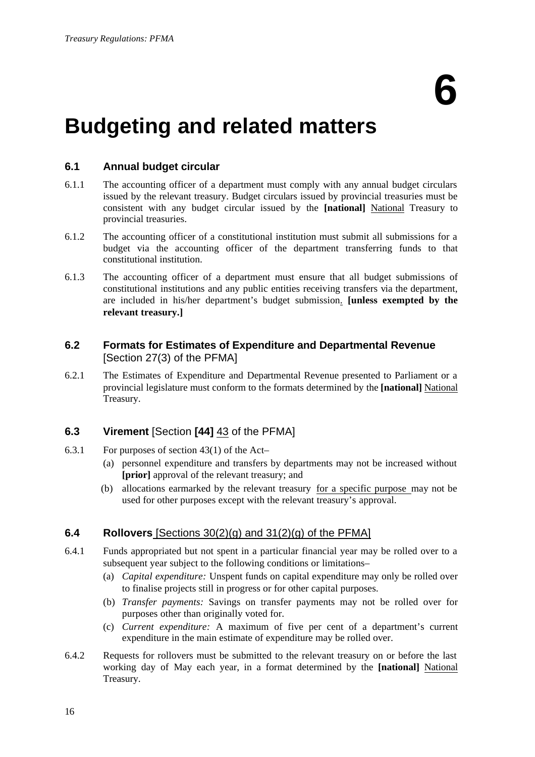## **Budgeting and related matters**

### **6.1 Annual budget circular**

- 6.1.1 The accounting officer of a department must comply with any annual budget circulars issued by the relevant treasury. Budget circulars issued by provincial treasuries must be consistent with any budget circular issued by the **[national]** National Treasury to provincial treasuries.
- 6.1.2 The accounting officer of a constitutional institution must submit all submissions for a budget via the accounting officer of the department transferring funds to that constitutional institution.
- 6.1.3 The accounting officer of a department must ensure that all budget submissions of constitutional institutions and any public entities receiving transfers via the department, are included in his/her department's budget submission. **[unless exempted by the relevant treasury.]**

### **6.2 Formats for Estimates of Expenditure and Departmental Revenue**  [Section 27(3) of the PFMA]

6.2.1 The Estimates of Expenditure and Departmental Revenue presented to Parliament or a provincial legislature must conform to the formats determined by the **[national]** National Treasury.

### **6.3 Virement** [Section **[44]** 43 of the PFMA]

- 6.3.1 For purposes of section 43(1) of the Act–
	- (a) personnel expenditure and transfers by departments may not be increased without **[prior]** approval of the relevant treasury; and
	- (b) allocations earmarked by the relevant treasury for a specific purpose may not be used for other purposes except with the relevant treasury's approval.

### **6.4 Rollovers** [Sections 30(2)(g) and 31(2)(g) of the PFMA]

- 6.4.1 Funds appropriated but not spent in a particular financial year may be rolled over to a subsequent year subject to the following conditions or limitations–
	- (a) *Capital expenditure:* Unspent funds on capital expenditure may only be rolled over to finalise projects still in progress or for other capital purposes.
	- (b) *Transfer payments:* Savings on transfer payments may not be rolled over for purposes other than originally voted for.
	- (c) *Current expenditure:* A maximum of five per cent of a department's current expenditure in the main estimate of expenditure may be rolled over.
- 6.4.2 Requests for rollovers must be submitted to the relevant treasury on or before the last working day of May each year, in a format determined by the **[national]** National Treasury.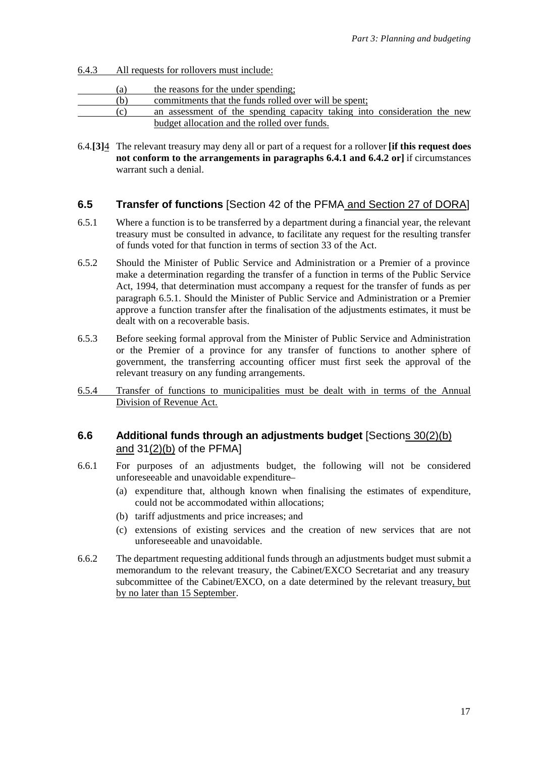6.4.3 All requests for rollovers must include:

| (a)               | the reasons for the under spending;                                      |
|-------------------|--------------------------------------------------------------------------|
|                   | commitments that the funds rolled over will be spent;                    |
| $\left( c\right)$ | an assessment of the spending capacity taking into consideration the new |
|                   | budget allocation and the rolled over funds.                             |

6.4.**[3]**4 The relevant treasury may deny all or part of a request for a rollover **[if this request does not conform to the arrangements in paragraphs 6.4.1 and 6.4.2 or]** if circumstances warrant such a denial.

### **6.5 Transfer of functions** [Section 42 of the PFMA and Section 27 of DORA]

- 6.5.1 Where a function is to be transferred by a department during a financial year, the relevant treasury must be consulted in advance, to facilitate any request for the resulting transfer of funds voted for that function in terms of section 33 of the Act.
- 6.5.2 Should the Minister of Public Service and Administration or a Premier of a province make a determination regarding the transfer of a function in terms of the Public Service Act, 1994, that determination must accompany a request for the transfer of funds as per paragraph 6.5.1. Should the Minister of Public Service and Administration or a Premier approve a function transfer after the finalisation of the adjustments estimates, it must be dealt with on a recoverable basis.
- 6.5.3 Before seeking formal approval from the Minister of Public Service and Administration or the Premier of a province for any transfer of functions to another sphere of government, the transferring accounting officer must first seek the approval of the relevant treasury on any funding arrangements.
- 6.5.4 Transfer of functions to municipalities must be dealt with in terms of the Annual Division of Revenue Act.

### **6.6 Additional funds through an adjustments budget** [Sections 30(2)(b) and 31(2)(b) of the PFMA]

- 6.6.1 For purposes of an adjustments budget, the following will not be considered unforeseeable and unavoidable expenditure–
	- (a) expenditure that, although known when finalising the estimates of expenditure, could not be accommodated within allocations;
	- (b) tariff adjustments and price increases; and
	- (c) extensions of existing services and the creation of new services that are not unforeseeable and unavoidable.
- 6.6.2 The department requesting additional funds through an adjustments budget must submit a memorandum to the relevant treasury, the Cabinet/EXCO Secretariat and any treasury subcommittee of the Cabinet/EXCO, on a date determined by the relevant treasury, but by no later than 15 September.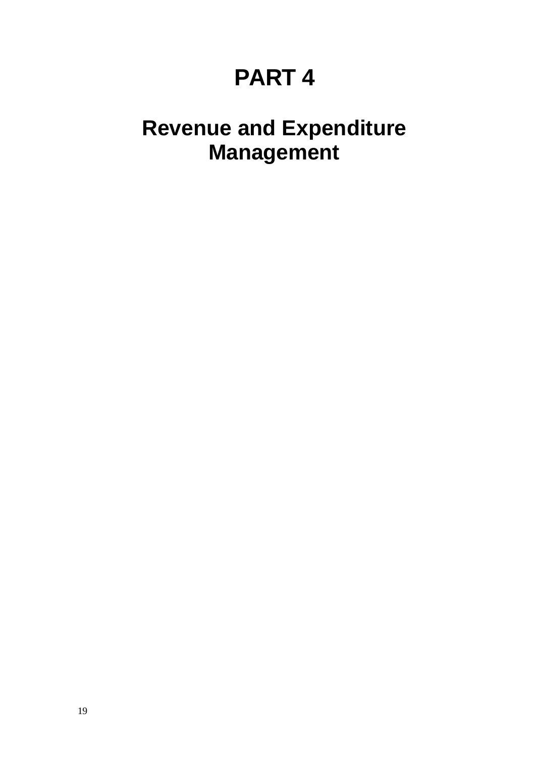## **Revenue and Expenditure Management**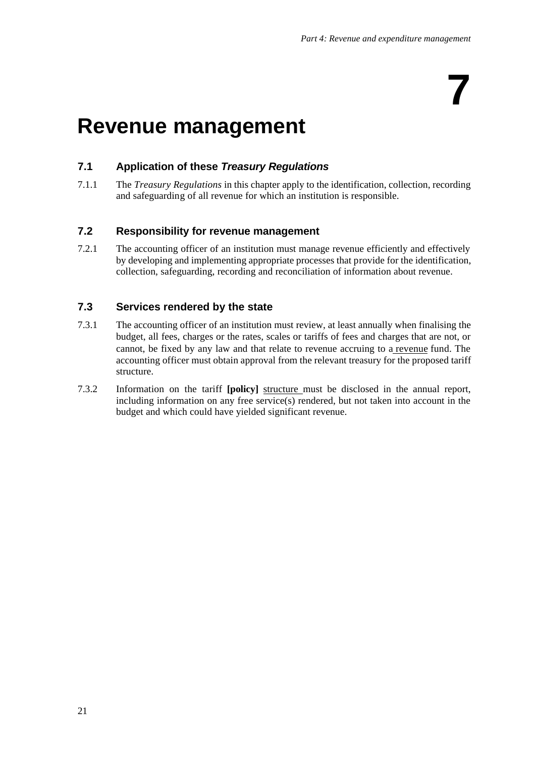### **Revenue management**

### **7.1 Application of these** *Treasury Regulations*

7.1.1 The *Treasury Regulations* in this chapter apply to the identification, collection, recording and safeguarding of all revenue for which an institution is responsible.

### **7.2 Responsibility for revenue management**

7.2.1 The accounting officer of an institution must manage revenue efficiently and effectively by developing and implementing appropriate processes that provide for the identification, collection, safeguarding, recording and reconciliation of information about revenue.

#### **7.3 Services rendered by the state**

- 7.3.1 The accounting officer of an institution must review, at least annually when finalising the budget, all fees, charges or the rates, scales or tariffs of fees and charges that are not, or cannot, be fixed by any law and that relate to revenue accruing to a revenue fund. The accounting officer must obtain approval from the relevant treasury for the proposed tariff structure.
- 7.3.2 Information on the tariff **[policy]** structure must be disclosed in the annual report, including information on any free service(s) rendered, but not taken into account in the budget and which could have yielded significant revenue.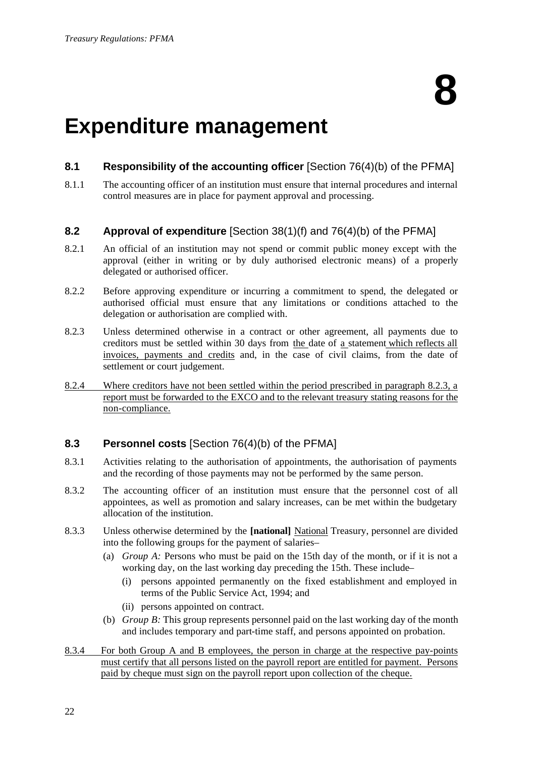### **Expenditure management**

### **8.1 Responsibility of the accounting officer** [Section 76(4)(b) of the PFMA]

8.1.1 The accounting officer of an institution must ensure that internal procedures and internal control measures are in place for payment approval and processing.

### **8.2 Approval of expenditure** [Section 38(1)(f) and 76(4)(b) of the PFMA]

- 8.2.1 An official of an institution may not spend or commit public money except with the approval (either in writing or by duly authorised electronic means) of a properly delegated or authorised officer.
- 8.2.2 Before approving expenditure or incurring a commitment to spend, the delegated or authorised official must ensure that any limitations or conditions attached to the delegation or authorisation are complied with.
- 8.2.3 Unless determined otherwise in a contract or other agreement, all payments due to creditors must be settled within 30 days from the date of a statement which reflects all invoices, payments and credits and, in the case of civil claims, from the date of settlement or court judgement.
- 8.2.4 Where creditors have not been settled within the period prescribed in paragraph 8.2.3, a report must be forwarded to the EXCO and to the relevant treasury stating reasons for the non-compliance.

### **8.3 Personnel costs** [Section 76(4)(b) of the PFMA]

- 8.3.1 Activities relating to the authorisation of appointments, the authorisation of payments and the recording of those payments may not be performed by the same person.
- 8.3.2 The accounting officer of an institution must ensure that the personnel cost of all appointees, as well as promotion and salary increases, can be met within the budgetary allocation of the institution.
- 8.3.3 Unless otherwise determined by the **[national]** National Treasury, personnel are divided into the following groups for the payment of salaries–
	- (a) *Group A:* Persons who must be paid on the 15th day of the month, or if it is not a working day, on the last working day preceding the 15th. These include–
		- (i) persons appointed permanently on the fixed establishment and employed in terms of the Public Service Act, 1994; and
		- (ii) persons appointed on contract.
	- (b) *Group B:* This group represents personnel paid on the last working day of the month and includes temporary and part-time staff, and persons appointed on probation.
- 8.3.4 For both Group A and B employees, the person in charge at the respective pay-points must certify that all persons listed on the payroll report are entitled for payment. Persons paid by cheque must sign on the payroll report upon collection of the cheque.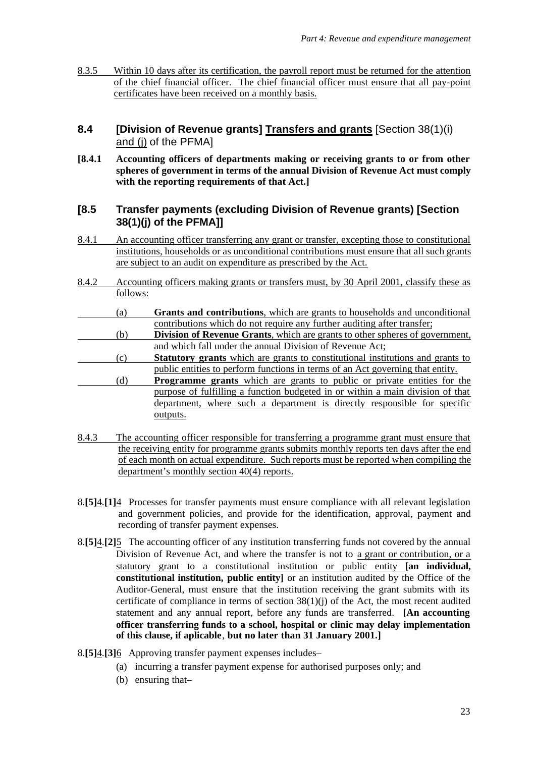- 8.3.5 Within 10 days after its certification, the payroll report must be returned for the attention of the chief financial officer. The chief financial officer must ensure that all pay-point certificates have been received on a monthly basis.
- **8.4 [Division of Revenue grants] Transfers and grants** [Section 38(1)(i) and (j) of the PFMA]
- **[8.4.1 Accounting officers of departments making or receiving grants to or from other spheres of government in terms of the annual Division of Revenue Act must comply with the reporting requirements of that Act.]**

### **[8.5 Transfer payments (excluding Division of Revenue grants) [Section 38(1)(j) of the PFMA]]**

- 8.4.1 An accounting officer transferring any grant or transfer, excepting those to constitutional institutions, households or as unconditional contributions must ensure that all such grants are subject to an audit on expenditure as prescribed by the Act.
- 8.4.2 Accounting officers making grants or transfers must, by 30 April 2001, classify these as follows:
	- (a) **Grants and contributions**, which are grants to households and unconditional contributions which do not require any further auditing after transfer;
	- (b) **Division of Revenue Grants**, which are grants to other spheres of government, and which fall under the annual Division of Revenue Act;
	- (c) **Statutory grants** which are grants to constitutional institutions and grants to public entities to perform functions in terms of an Act governing that entity.
- (d) **Programme grants** which are grants to public or private entities for the purpose of fulfilling a function budgeted in or within a main division of that department, where such a department is directly responsible for specific outputs.
- 8.4.3 The accounting officer responsible for transferring a programme grant must ensure that the receiving entity for programme grants submits monthly reports ten days after the end of each month on actual expenditure. Such reports must be reported when compiling the department's monthly section 40(4) reports.
- 8.**[5]**4.**[1]**4 Processes for transfer payments must ensure compliance with all relevant legislation and government policies, and provide for the identification, approval, payment and recording of transfer payment expenses.
- 8.**[5]**4.**[2]**5 The accounting officer of any institution transferring funds not covered by the annual Division of Revenue Act, and where the transfer is not to a grant or contribution, or a statutory grant to a constitutional institution or public entity **[an individual, constitutional institution, public entity]** or an institution audited by the Office of the Auditor-General, must ensure that the institution receiving the grant submits with its certificate of compliance in terms of section  $38(1)(i)$  of the Act, the most recent audited statement and any annual report, before any funds are transferred. **[An accounting officer transferring funds to a school, hospital or clinic may delay implementation of this clause, if aplicable**, **but no later than 31 January 2001.]**
- 8.**[5]**4.**[3]**6 Approving transfer payment expenses includes–
	- (a) incurring a transfer payment expense for authorised purposes only; and
	- (b) ensuring that–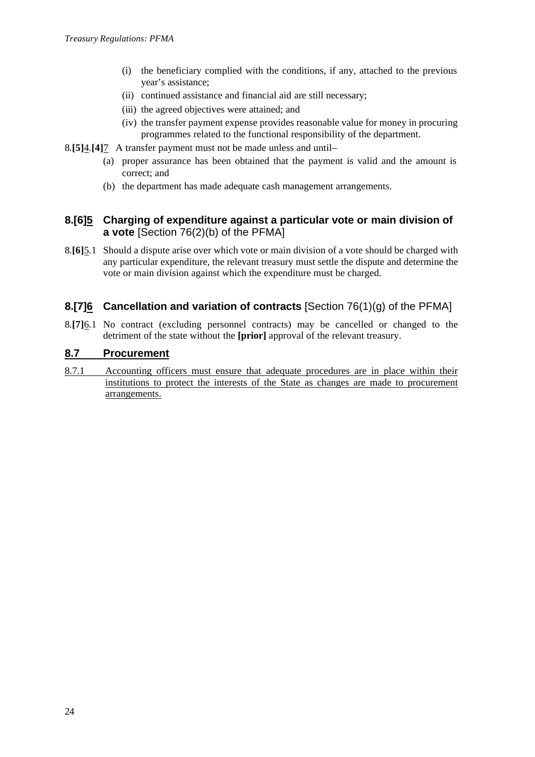- (i) the beneficiary complied with the conditions, if any, attached to the previous year's assistance;
- (ii) continued assistance and financial aid are still necessary;
- (iii) the agreed objectives were attained; and
- (iv) the transfer payment expense provides reasonable value for money in procuring programmes related to the functional responsibility of the department.
- 8.**[5]**4.**[4]**7 A transfer payment must not be made unless and until–
	- (a) proper assurance has been obtained that the payment is valid and the amount is correct; and
	- (b) the department has made adequate cash management arrangements.

### **8.[6]5 Charging of expenditure against a particular vote or main division of a vote** [Section 76(2)(b) of the PFMA]

8.**[6]**5.1 Should a dispute arise over which vote or main division of a vote should be charged with any particular expenditure, the relevant treasury must settle the dispute and determine the vote or main division against which the expenditure must be charged.

### **8.[7]6 Cancellation and variation of contracts** [Section 76(1)(g) of the PFMA]

8.**[7]**6.1 No contract (excluding personnel contracts) may be cancelled or changed to the detriment of the state without the **[prior]** approval of the relevant treasury.

### **8.7 Procurement**

8.7.1 Accounting officers must ensure that adequate procedures are in place within their institutions to protect the interests of the State as changes are made to procurement arrangements.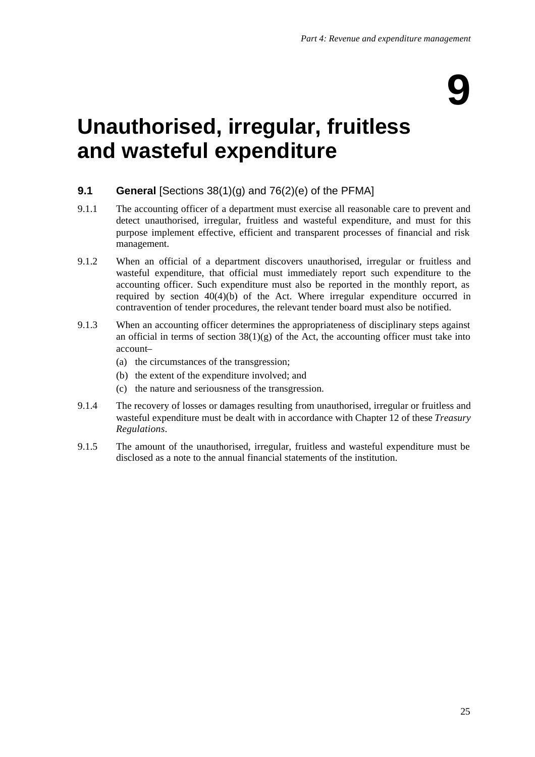## **Unauthorised, irregular, fruitless and wasteful expenditure**

### **9.1 General** [Sections 38(1)(g) and 76(2)(e) of the PFMA]

- 9.1.1 The accounting officer of a department must exercise all reasonable care to prevent and detect unauthorised, irregular, fruitless and wasteful expenditure, and must for this purpose implement effective, efficient and transparent processes of financial and risk management.
- 9.1.2 When an official of a department discovers unauthorised, irregular or fruitless and wasteful expenditure, that official must immediately report such expenditure to the accounting officer. Such expenditure must also be reported in the monthly report, as required by section 40(4)(b) of the Act. Where irregular expenditure occurred in contravention of tender procedures, the relevant tender board must also be notified.
- 9.1.3 When an accounting officer determines the appropriateness of disciplinary steps against an official in terms of section  $38(1)(g)$  of the Act, the accounting officer must take into account–
	- (a) the circumstances of the transgression;
	- (b) the extent of the expenditure involved; and
	- (c) the nature and seriousness of the transgression.
- 9.1.4 The recovery of losses or damages resulting from unauthorised, irregular or fruitless and wasteful expenditure must be dealt with in accordance with Chapter 12 of these *Treasury Regulations*.
- 9.1.5 The amount of the unauthorised, irregular, fruitless and wasteful expenditure must be disclosed as a note to the annual financial statements of the institution.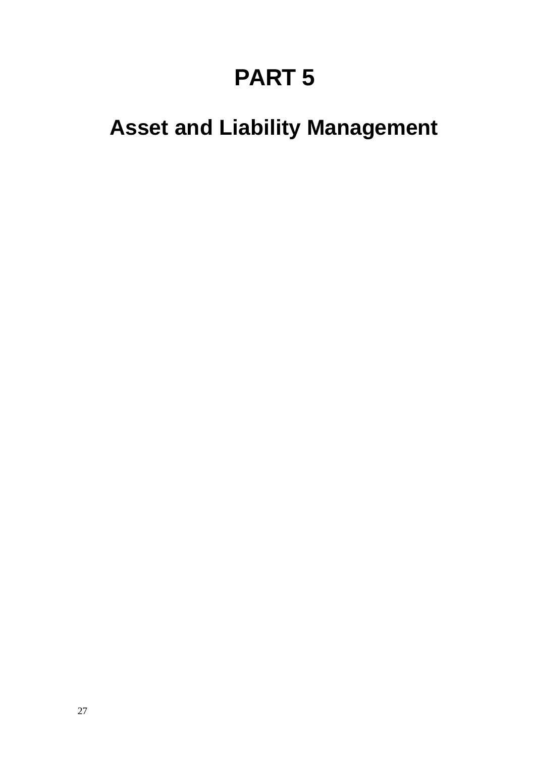## **Asset and Liability Management**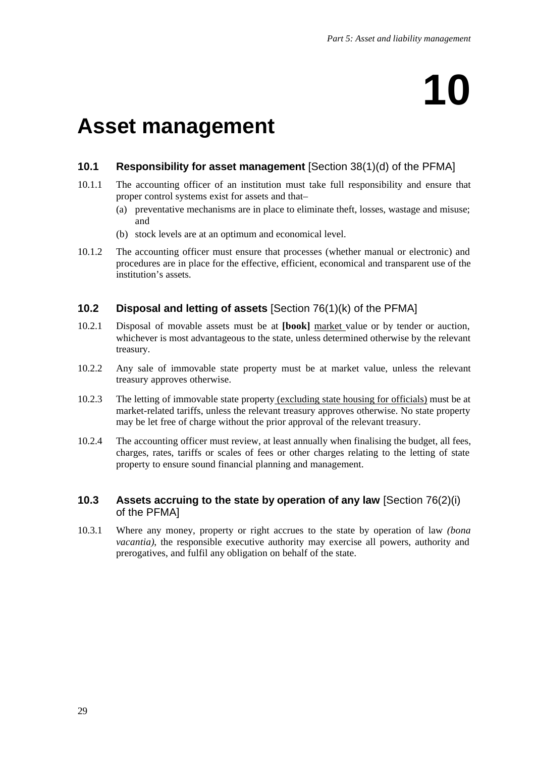### **Asset management**

#### **10.1 Responsibility for asset management** [Section 38(1)(d) of the PFMA]

- 10.1.1 The accounting officer of an institution must take full responsibility and ensure that proper control systems exist for assets and that–
	- (a) preventative mechanisms are in place to eliminate theft, losses, wastage and misuse; and
	- (b) stock levels are at an optimum and economical level.
- 10.1.2 The accounting officer must ensure that processes (whether manual or electronic) and procedures are in place for the effective, efficient, economical and transparent use of the institution's assets.

#### **10.2 Disposal and letting of assets** [Section 76(1)(k) of the PFMA]

- 10.2.1 Disposal of movable assets must be at **[book]** market value or by tender or auction, whichever is most advantageous to the state, unless determined otherwise by the relevant treasury.
- 10.2.2 Any sale of immovable state property must be at market value, unless the relevant treasury approves otherwise.
- 10.2.3 The letting of immovable state property (excluding state housing for officials) must be at market-related tariffs, unless the relevant treasury approves otherwise. No state property may be let free of charge without the prior approval of the relevant treasury.
- 10.2.4 The accounting officer must review, at least annually when finalising the budget, all fees, charges, rates, tariffs or scales of fees or other charges relating to the letting of state property to ensure sound financial planning and management.

#### **10.3 Assets accruing to the state by operation of any law** [Section 76(2)(i) of the PFMA]

10.3.1 Where any money, property or right accrues to the state by operation of law *(bona vacantia)*, the responsible executive authority may exercise all powers, authority and prerogatives, and fulfil any obligation on behalf of the state.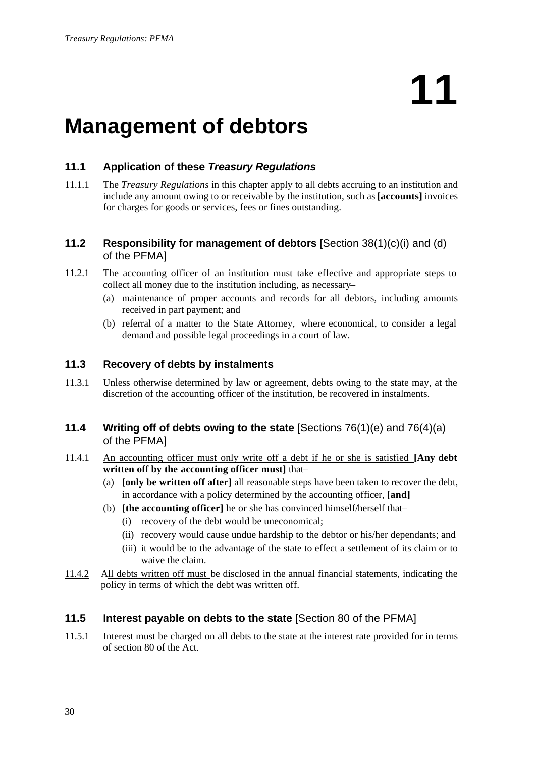## **Management of debtors**

#### **11.1 Application of these** *Treasury Regulations*

11.1.1 The *Treasury Regulations* in this chapter apply to all debts accruing to an institution and include any amount owing to or receivable by the institution, such as **[accounts]** invoices for charges for goods or services, fees or fines outstanding.

#### **11.2 Responsibility for management of debtors** [Section 38(1)(c)(i) and (d) of the PFMA]

- 11.2.1 The accounting officer of an institution must take effective and appropriate steps to collect all money due to the institution including, as necessary–
	- (a) maintenance of proper accounts and records for all debtors, including amounts received in part payment; and
	- (b) referral of a matter to the State Attorney, where economical, to consider a legal demand and possible legal proceedings in a court of law.

#### **11.3 Recovery of debts by instalments**

11.3.1 Unless otherwise determined by law or agreement, debts owing to the state may, at the discretion of the accounting officer of the institution, be recovered in instalments.

#### **11.4 Writing off of debts owing to the state** [Sections 76(1)(e) and 76(4)(a) of the PFMA]

- 11.4.1 An accounting officer must only write off a debt if he or she is satisfied **[Any debt written off by the accounting officer must]** that–
	- (a) **[only be written off after]** all reasonable steps have been taken to recover the debt, in accordance with a policy determined by the accounting officer, **[and]**

#### (b) **[the accounting officer]** he or she has convinced himself/herself that–

- (i) recovery of the debt would be uneconomical;
- (ii) recovery would cause undue hardship to the debtor or his/her dependants; and
- (iii) it would be to the advantage of the state to effect a settlement of its claim or to waive the claim.
- 11.4.2 All debts written off must be disclosed in the annual financial statements, indicating the policy in terms of which the debt was written off.

#### **11.5 Interest payable on debts to the state** [Section 80 of the PFMA]

11.5.1 Interest must be charged on all debts to the state at the interest rate provided for in terms of section 80 of the Act.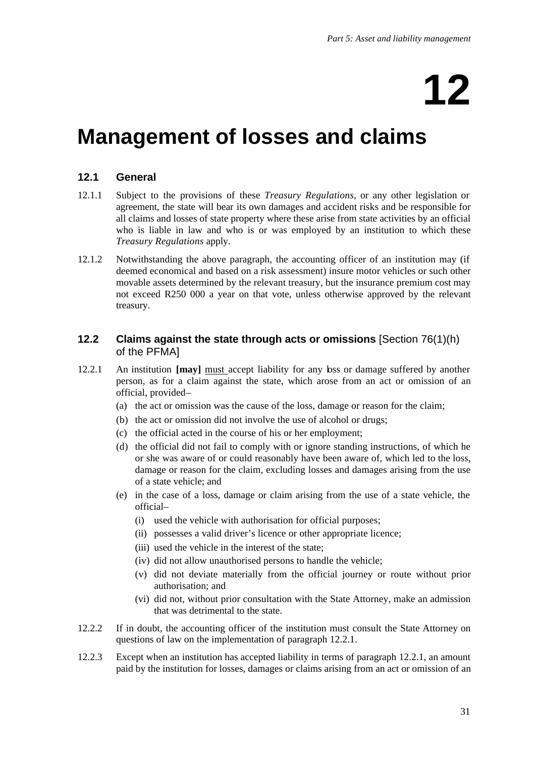### **Management of losses and claims**

#### **12.1 General**

- 12.1.1 Subject to the provisions of these *Treasury Regulations*, or any other legislation or agreement, the state will bear its own damages and accident risks and be responsible for all claims and losses of state property where these arise from state activities by an official who is liable in law and who is or was employed by an institution to which these *Treasury Regulations* apply.
- 12.1.2 Notwithstanding the above paragraph, the accounting officer of an institution may (if deemed economical and based on a risk assessment) insure motor vehicles or such other movable assets determined by the relevant treasury, but the insurance premium cost may not exceed R250 000 a year on that vote, unless otherwise approved by the relevant treasury.

#### **12.2 Claims against the state through acts or omissions** [Section 76(1)(h) of the PFMA]

- 12.2.1 An institution **[may]** must accept liability for any loss or damage suffered by another person, as for a claim against the state, which arose from an act or omission of an official, provided–
	- (a) the act or omission was the cause of the loss, damage or reason for the claim;
	- (b) the act or omission did not involve the use of alcohol or drugs;
	- (c) the official acted in the course of his or her employment;
	- (d) the official did not fail to comply with or ignore standing instructions, of which he or she was aware of or could reasonably have been aware of, which led to the loss, damage or reason for the claim, excluding losses and damages arising from the use of a state vehicle; and
	- (e) in the case of a loss, damage or claim arising from the use of a state vehicle, the official–
		- (i) used the vehicle with authorisation for official purposes;
		- (ii) possesses a valid driver's licence or other appropriate licence;
		- (iii) used the vehicle in the interest of the state;
		- (iv) did not allow unauthorised persons to handle the vehicle;
		- (v) did not deviate materially from the official journey or route without prior authorisation; and
		- (vi) did not, without prior consultation with the State Attorney, make an admission that was detrimental to the state.
- 12.2.2 If in doubt, the accounting officer of the institution must consult the State Attorney on questions of law on the implementation of paragraph 12.2.1.
- 12.2.3 Except when an institution has accepted liability in terms of paragraph 12.2.1, an amount paid by the institution for losses, damages or claims arising from an act or omission of an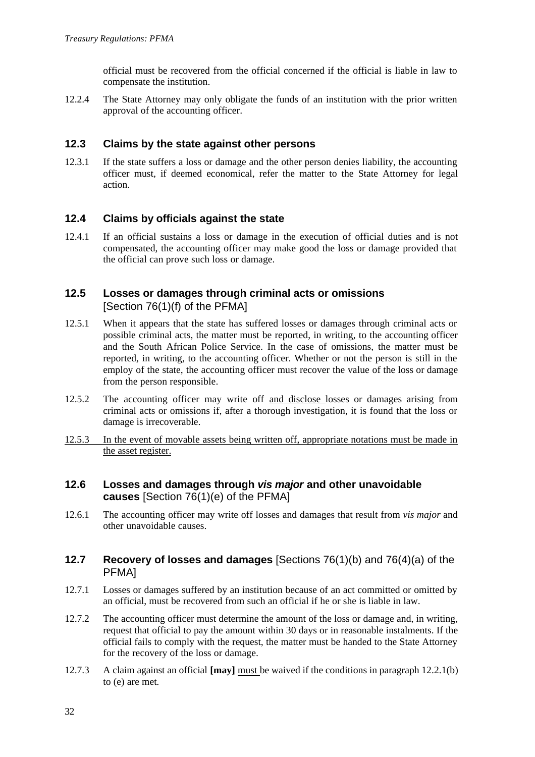official must be recovered from the official concerned if the official is liable in law to compensate the institution.

12.2.4 The State Attorney may only obligate the funds of an institution with the prior written approval of the accounting officer.

#### **12.3 Claims by the state against other persons**

12.3.1 If the state suffers a loss or damage and the other person denies liability, the accounting officer must, if deemed economical, refer the matter to the State Attorney for legal action.

#### **12.4 Claims by officials against the state**

12.4.1 If an official sustains a loss or damage in the execution of official duties and is not compensated, the accounting officer may make good the loss or damage provided that the official can prove such loss or damage.

#### **12.5 Losses or damages through criminal acts or omissions**  [Section 76(1)(f) of the PFMA]

- 12.5.1 When it appears that the state has suffered losses or damages through criminal acts or possible criminal acts, the matter must be reported, in writing, to the accounting officer and the South African Police Service. In the case of omissions, the matter must be reported, in writing, to the accounting officer. Whether or not the person is still in the employ of the state, the accounting officer must recover the value of the loss or damage from the person responsible.
- 12.5.2 The accounting officer may write off and disclose losses or damages arising from criminal acts or omissions if, after a thorough investigation, it is found that the loss or damage is irrecoverable.
- 12.5.3 In the event of movable assets being written off, appropriate notations must be made in the asset register.

#### **12.6 Losses and damages through** *vis major* **and other unavoidable causes** [Section 76(1)(e) of the PFMA]

12.6.1 The accounting officer may write off losses and damages that result from *vis major* and other unavoidable causes.

#### **12.7 Recovery of losses and damages** [Sections 76(1)(b) and 76(4)(a) of the PFMA]

- 12.7.1 Losses or damages suffered by an institution because of an act committed or omitted by an official, must be recovered from such an official if he or she is liable in law.
- 12.7.2 The accounting officer must determine the amount of the loss or damage and, in writing, request that official to pay the amount within 30 days or in reasonable instalments. If the official fails to comply with the request, the matter must be handed to the State Attorney for the recovery of the loss or damage.
- 12.7.3 A claim against an official **[may]** must be waived if the conditions in paragraph 12.2.1(b) to (e) are met.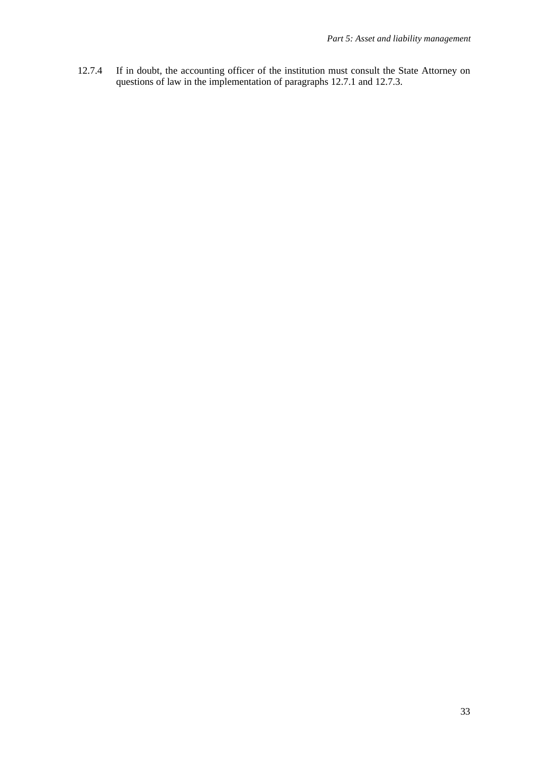12.7.4 If in doubt, the accounting officer of the institution must consult the State Attorney on questions of law in the implementation of paragraphs 12.7.1 and 12.7.3.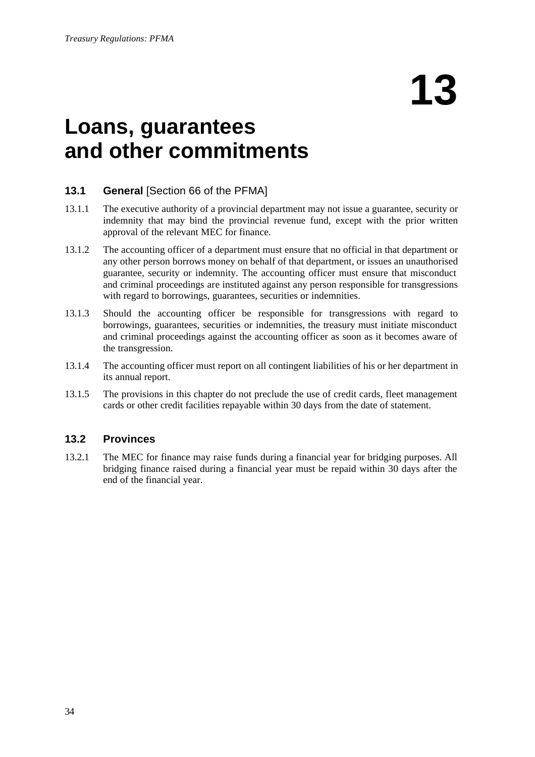### **Loans, guarantees and other commitments**

#### **13.1 General** [Section 66 of the PFMA]

- 13.1.1 The executive authority of a provincial department may not issue a guarantee, security or indemnity that may bind the provincial revenue fund, except with the prior written approval of the relevant MEC for finance.
- 13.1.2 The accounting officer of a department must ensure that no official in that department or any other person borrows money on behalf of that department, or issues an unauthorised guarantee, security or indemnity. The accounting officer must ensure that misconduct and criminal proceedings are instituted against any person responsible for transgressions with regard to borrowings, guarantees, securities or indemnities.
- 13.1.3 Should the accounting officer be responsible for transgressions with regard to borrowings, guarantees, securities or indemnities, the treasury must initiate misconduct and criminal proceedings against the accounting officer as soon as it becomes aware of the transgression.
- 13.1.4 The accounting officer must report on all contingent liabilities of his or her department in its annual report.
- 13.1.5 The provisions in this chapter do not preclude the use of credit cards, fleet management cards or other credit facilities repayable within 30 days from the date of statement.

#### **13.2 Provinces**

13.2.1 The MEC for finance may raise funds during a financial year for bridging purposes. All bridging finance raised during a financial year must be repaid within 30 days after the end of the financial year.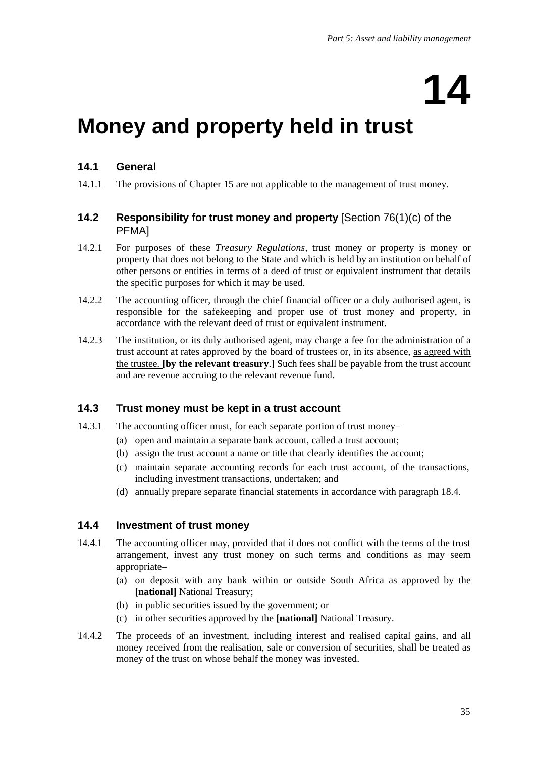## **Money and property held in trust**

#### **14.1 General**

14.1.1 The provisions of Chapter 15 are not applicable to the management of trust money.

#### **14.2 Responsibility for trust money and property** [Section 76(1)(c) of the PFMA]

- 14.2.1 For purposes of these *Treasury Regulations*, trust money or property is money or property that does not belong to the State and which is held by an institution on behalf of other persons or entities in terms of a deed of trust or equivalent instrument that details the specific purposes for which it may be used.
- 14.2.2 The accounting officer, through the chief financial officer or a duly authorised agent, is responsible for the safekeeping and proper use of trust money and property, in accordance with the relevant deed of trust or equivalent instrument.
- 14.2.3 The institution, or its duly authorised agent, may charge a fee for the administration of a trust account at rates approved by the board of trustees or, in its absence, as agreed with the trustee. **[by the relevant treasury**.**]** Such fees shall be payable from the trust account and are revenue accruing to the relevant revenue fund.

#### **14.3 Trust money must be kept in a trust account**

- 14.3.1 The accounting officer must, for each separate portion of trust money–
	- (a) open and maintain a separate bank account, called a trust account;
	- (b) assign the trust account a name or title that clearly identifies the account;
	- (c) maintain separate accounting records for each trust account, of the transactions, including investment transactions, undertaken; and
	- (d) annually prepare separate financial statements in accordance with paragraph 18.4.

#### **14.4 Investment of trust money**

- 14.4.1 The accounting officer may, provided that it does not conflict with the terms of the trust arrangement, invest any trust money on such terms and conditions as may seem appropriate–
	- (a) on deposit with any bank within or outside South Africa as approved by the **[national]** National Treasury;
	- (b) in public securities issued by the government; or
	- (c) in other securities approved by the **[national]** National Treasury.
- 14.4.2 The proceeds of an investment, including interest and realised capital gains, and all money received from the realisation, sale or conversion of securities, shall be treated as money of the trust on whose behalf the money was invested.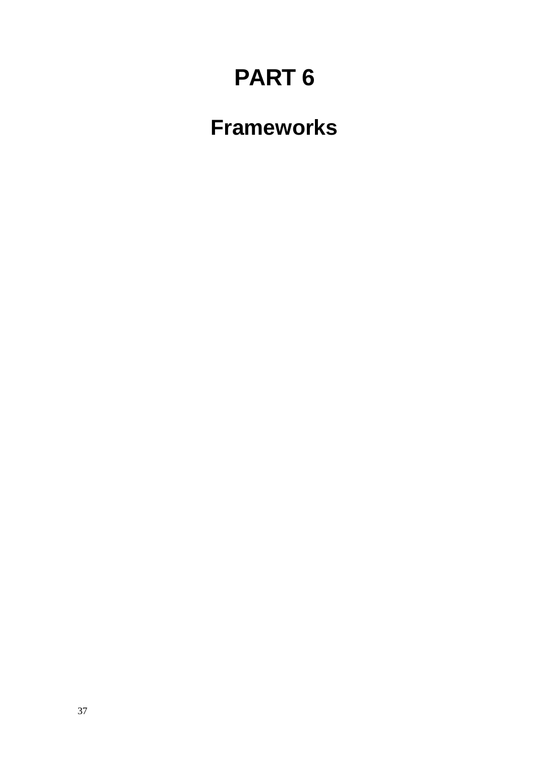## **PART 6**

## **Frameworks**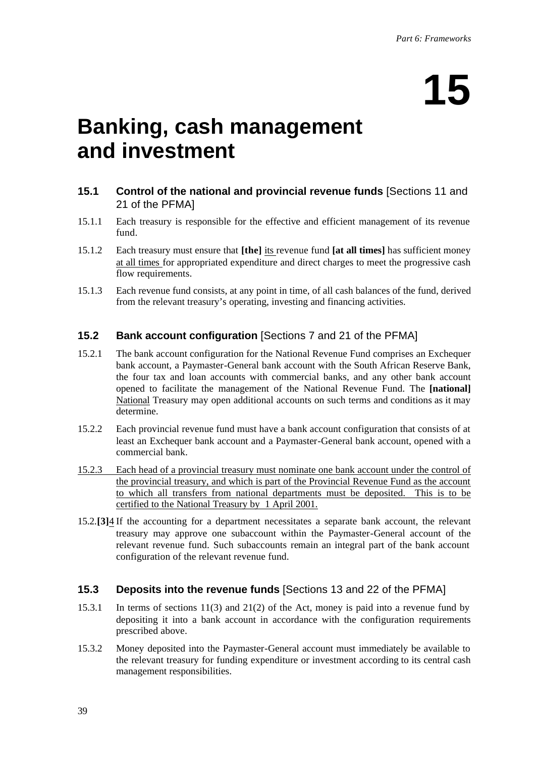### **Banking, cash management and investment**

- **15.1 Control of the national and provincial revenue funds** [Sections 11 and 21 of the PFMA]
- 15.1.1 Each treasury is responsible for the effective and efficient management of its revenue fund.
- 15.1.2 Each treasury must ensure that **[the]** its revenue fund **[at all times]** has sufficient money at all times for appropriated expenditure and direct charges to meet the progressive cash flow requirements.
- 15.1.3 Each revenue fund consists, at any point in time, of all cash balances of the fund, derived from the relevant treasury's operating, investing and financing activities.

#### **15.2 Bank account configuration** [Sections 7 and 21 of the PFMA]

- 15.2.1 The bank account configuration for the National Revenue Fund comprises an Exchequer bank account, a Paymaster-General bank account with the South African Reserve Bank, the four tax and loan accounts with commercial banks, and any other bank account opened to facilitate the management of the National Revenue Fund. The **[national]**  National Treasury may open additional accounts on such terms and conditions as it may determine.
- 15.2.2 Each provincial revenue fund must have a bank account configuration that consists of at least an Exchequer bank account and a Paymaster-General bank account, opened with a commercial bank.
- 15.2.3 Each head of a provincial treasury must nominate one bank account under the control of the provincial treasury, and which is part of the Provincial Revenue Fund as the account to which all transfers from national departments must be deposited. This is to be certified to the National Treasury by 1 April 2001.
- 15.2.**[3]**4 If the accounting for a department necessitates a separate bank account, the relevant treasury may approve one subaccount within the Paymaster-General account of the relevant revenue fund. Such subaccounts remain an integral part of the bank account configuration of the relevant revenue fund.

#### **15.3 Deposits into the revenue funds** [Sections 13 and 22 of the PFMA]

- 15.3.1 In terms of sections 11(3) and 21(2) of the Act, money is paid into a revenue fund by depositing it into a bank account in accordance with the configuration requirements prescribed above.
- 15.3.2 Money deposited into the Paymaster-General account must immediately be available to the relevant treasury for funding expenditure or investment according to its central cash management responsibilities.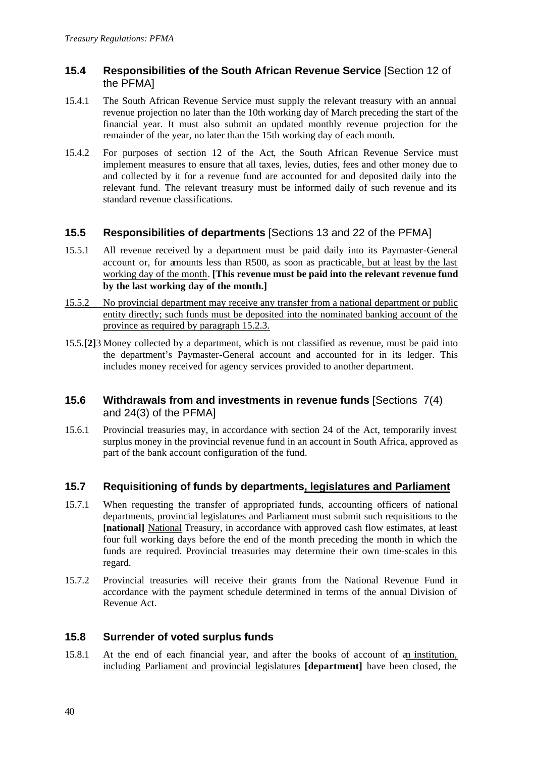#### **15.4 Responsibilities of the South African Revenue Service** [Section 12 of the PFMA]

- 15.4.1 The South African Revenue Service must supply the relevant treasury with an annual revenue projection no later than the 10th working day of March preceding the start of the financial year. It must also submit an updated monthly revenue projection for the remainder of the year, no later than the 15th working day of each month.
- 15.4.2 For purposes of section 12 of the Act, the South African Revenue Service must implement measures to ensure that all taxes, levies, duties, fees and other money due to and collected by it for a revenue fund are accounted for and deposited daily into the relevant fund. The relevant treasury must be informed daily of such revenue and its standard revenue classifications.

#### **15.5 Responsibilities of departments** [Sections 13 and 22 of the PFMA]

- 15.5.1 All revenue received by a department must be paid daily into its Paymaster-General account or, for amounts less than R500, as soon as practicable, but at least by the last working day of the month. **[This revenue must be paid into the relevant revenue fund by the last working day of the month.]**
- 15.5.2 No provincial department may receive any transfer from a national department or public entity directly; such funds must be deposited into the nominated banking account of the province as required by paragraph 15.2.3.
- 15.5.**[2]**3 Money collected by a department, which is not classified as revenue, must be paid into the department's Paymaster-General account and accounted for in its ledger. This includes money received for agency services provided to another department.

#### **15.6 Withdrawals from and investments in revenue funds** [Sections 7(4) and 24(3) of the PFMA]

15.6.1 Provincial treasuries may, in accordance with section 24 of the Act, temporarily invest surplus money in the provincial revenue fund in an account in South Africa, approved as part of the bank account configuration of the fund.

#### **15.7 Requisitioning of funds by departments, legislatures and Parliament**

- 15.7.1 When requesting the transfer of appropriated funds, accounting officers of national departments, provincial legislatures and Parliament must submit such requisitions to the **[national]** National Treasury, in accordance with approved cash flow estimates, at least four full working days before the end of the month preceding the month in which the funds are required. Provincial treasuries may determine their own time-scales in this regard.
- 15.7.2 Provincial treasuries will receive their grants from the National Revenue Fund in accordance with the payment schedule determined in terms of the annual Division of Revenue Act.

#### **15.8 Surrender of voted surplus funds**

15.8.1 At the end of each financial year, and after the books of account of an institution, including Parliament and provincial legislatures **[department]** have been closed, the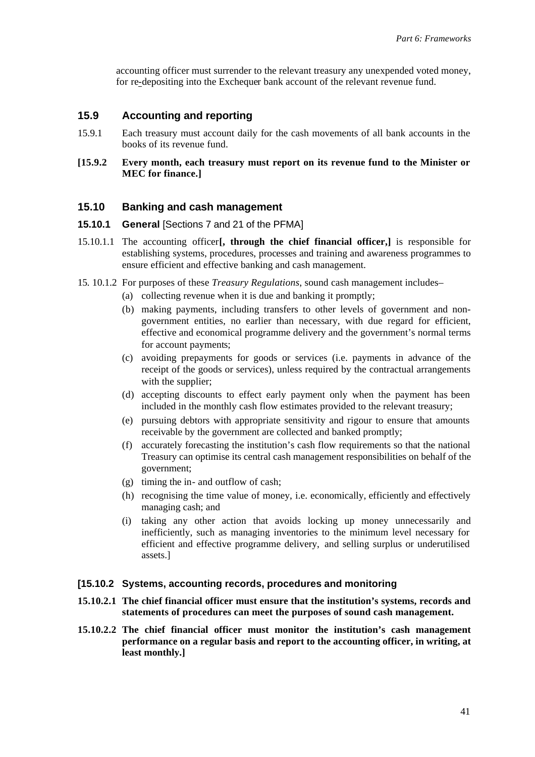accounting officer must surrender to the relevant treasury any unexpended voted money, for re-depositing into the Exchequer bank account of the relevant revenue fund.

#### **15.9 Accounting and reporting**

- 15.9.1 Each treasury must account daily for the cash movements of all bank accounts in the books of its revenue fund.
- **[15.9.2 Every month, each treasury must report on its revenue fund to the Minister or MEC for finance.]**

#### **15.10 Banking and cash management**

#### **15.10.1 General** [Sections 7 and 21 of the PFMA]

- 15.10.1.1 The accounting officer**[, through the chief financial officer,]** is responsible for establishing systems, procedures, processes and training and awareness programmes to ensure efficient and effective banking and cash management.
- 15. 10.1.2 For purposes of these *Treasury Regulations*, sound cash management includes–
	- (a) collecting revenue when it is due and banking it promptly;
	- (b) making payments, including transfers to other levels of government and nongovernment entities, no earlier than necessary, with due regard for efficient, effective and economical programme delivery and the government's normal terms for account payments;
	- (c) avoiding prepayments for goods or services (i.e. payments in advance of the receipt of the goods or services), unless required by the contractual arrangements with the supplier;
	- (d) accepting discounts to effect early payment only when the payment has been included in the monthly cash flow estimates provided to the relevant treasury;
	- (e) pursuing debtors with appropriate sensitivity and rigour to ensure that amounts receivable by the government are collected and banked promptly;
	- (f) accurately forecasting the institution's cash flow requirements so that the national Treasury can optimise its central cash management responsibilities on behalf of the government;
	- (g) timing the in- and outflow of cash;
	- (h) recognising the time value of money, i.e. economically, efficiently and effectively managing cash; and
	- (i) taking any other action that avoids locking up money unnecessarily and inefficiently, such as managing inventories to the minimum level necessary for efficient and effective programme delivery, and selling surplus or underutilised assets.]

#### **[15.10.2 Systems, accounting records, procedures and monitoring**

- **15.10.2.1 The chief financial officer must ensure that the institution's systems, records and statements of procedures can meet the purposes of sound cash management.**
- **15.10.2.2 The chief financial officer must monitor the institution's cash management performance on a regular basis and report to the accounting officer, in writing, at least monthly.]**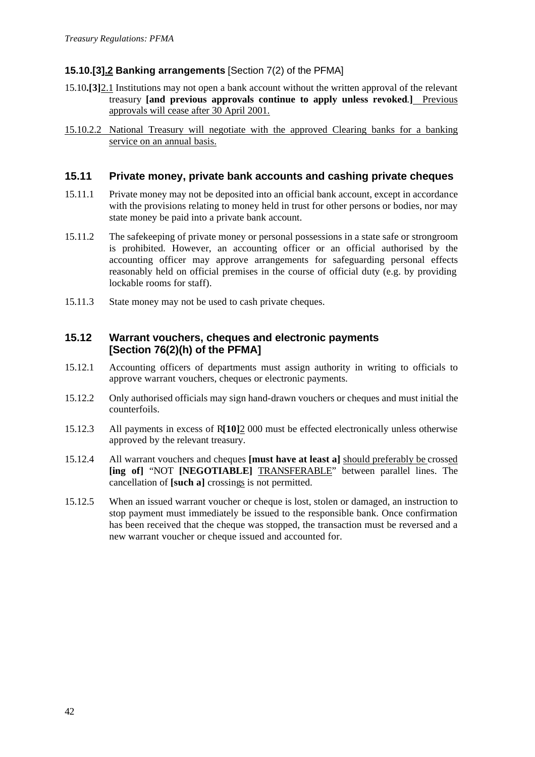#### **15.10.[3].2 Banking arrangements** [Section 7(2) of the PFMA]

- 15.10**.[3]**2.1 Institutions may not open a bank account without the written approval of the relevant treasury **[and previous approvals continue to apply unless revoked**.**]** Previous approvals will cease after 30 April 2001.
- 15.10.2.2 National Treasury will negotiate with the approved Clearing banks for a banking service on an annual basis.

#### **15.11 Private money, private bank accounts and cashing private cheques**

- 15.11.1 Private money may not be deposited into an official bank account, except in accordance with the provisions relating to money held in trust for other persons or bodies, nor may state money be paid into a private bank account.
- 15.11.2 The safekeeping of private money or personal possessions in a state safe or strongroom is prohibited. However, an accounting officer or an official authorised by the accounting officer may approve arrangements for safeguarding personal effects reasonably held on official premises in the course of official duty (e.g. by providing lockable rooms for staff).
- 15.11.3 State money may not be used to cash private cheques.

#### **15.12 Warrant vouchers, cheques and electronic payments [Section 76(2)(h) of the PFMA]**

- 15.12.1 Accounting officers of departments must assign authority in writing to officials to approve warrant vouchers, cheques or electronic payments.
- 15.12.2 Only authorised officials may sign hand-drawn vouchers or cheques and must initial the counterfoils.
- 15.12.3 All payments in excess of R**[10]**2 000 must be effected electronically unless otherwise approved by the relevant treasury.
- 15.12.4 All warrant vouchers and cheques **[must have at least a]** should preferably be crossed **[ing of]** "NOT **[NEGOTIABLE]** TRANSFERABLE" between parallel lines. The cancellation of **[such a]** crossings is not permitted.
- 15.12.5 When an issued warrant voucher or cheque is lost, stolen or damaged, an instruction to stop payment must immediately be issued to the responsible bank. Once confirmation has been received that the cheque was stopped, the transaction must be reversed and a new warrant voucher or cheque issued and accounted for.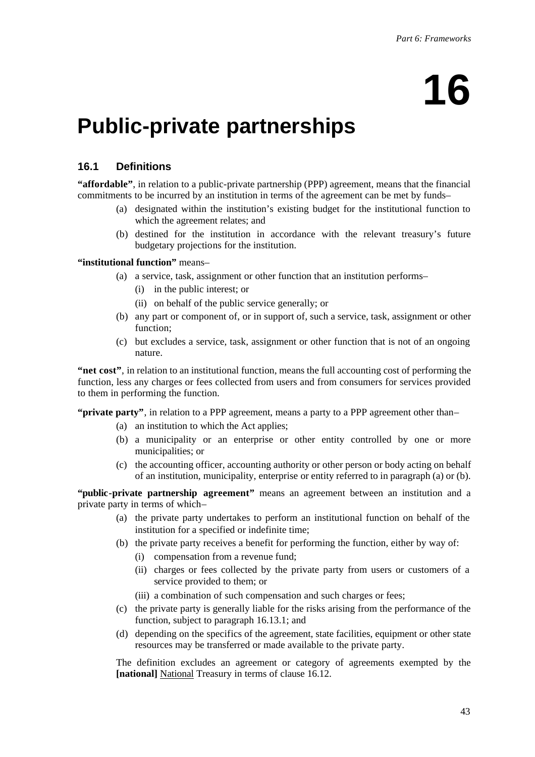## **Public-private partnerships**

#### **16.1 Definitions**

**"affordable"**, in relation to a public-private partnership (PPP) agreement, means that the financial commitments to be incurred by an institution in terms of the agreement can be met by funds–

- (a) designated within the institution's existing budget for the institutional function to which the agreement relates; and
- (b) destined for the institution in accordance with the relevant treasury's future budgetary projections for the institution.

**"institutional function"** means–

- (a) a service, task, assignment or other function that an institution performs–
	- (i) in the public interest; or
	- (ii) on behalf of the public service generally; or
- (b) any part or component of, or in support of, such a service, task, assignment or other function;
- (c) but excludes a service, task, assignment or other function that is not of an ongoing nature.

**"net cost"**, in relation to an institutional function, means the full accounting cost of performing the function, less any charges or fees collected from users and from consumers for services provided to them in performing the function.

**"private party"**, in relation to a PPP agreement, means a party to a PPP agreement other than–

- (a) an institution to which the Act applies;
- (b) a municipality or an enterprise or other entity controlled by one or more municipalities; or
- (c) the accounting officer, accounting authority or other person or body acting on behalf of an institution, municipality, enterprise or entity referred to in paragraph (a) or (b).

**"public-private partnership agreement"** means an agreement between an institution and a private party in terms of which–

- (a) the private party undertakes to perform an institutional function on behalf of the institution for a specified or indefinite time;
- (b) the private party receives a benefit for performing the function, either by way of:
	- (i) compensation from a revenue fund;
	- (ii) charges or fees collected by the private party from users or customers of a service provided to them; or
	- (iii) a combination of such compensation and such charges or fees;
- (c) the private party is generally liable for the risks arising from the performance of the function, subject to paragraph 16.13.1; and
- (d) depending on the specifics of the agreement, state facilities, equipment or other state resources may be transferred or made available to the private party.

The definition excludes an agreement or category of agreements exempted by the **[national]** National Treasury in terms of clause 16.12.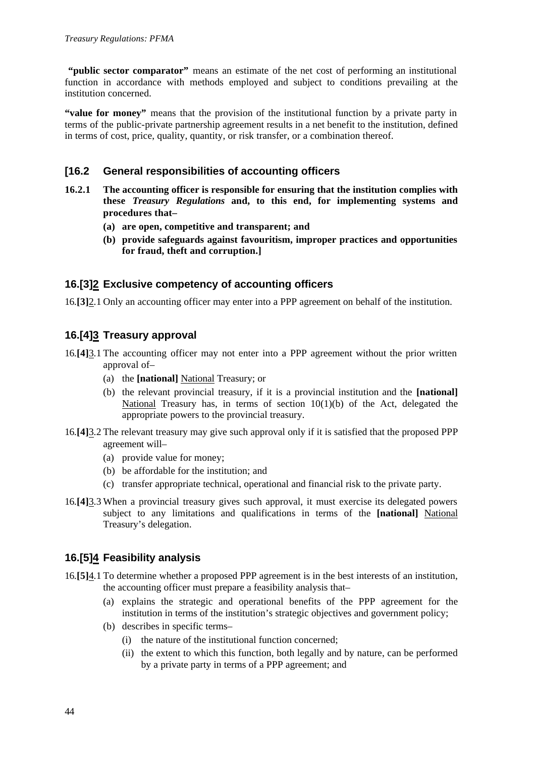"**public sector comparator**" means an estimate of the net cost of performing an institutional function in accordance with methods employed and subject to conditions prevailing at the institution concerned.

**"value for money"** means that the provision of the institutional function by a private party in terms of the public-private partnership agreement results in a net benefit to the institution, defined in terms of cost, price, quality, quantity, or risk transfer, or a combination thereof.

#### **[16.2 General responsibilities of accounting officers**

- **16.2.1 The accounting officer is responsible for ensuring that the institution complies with these** *Treasury Regulations* **and, to this end, for implementing systems and procedures that–**
	- **(a) are open, competitive and transparent; and**
	- **(b) provide safeguards against favouritism, improper practices and opportunities for fraud, theft and corruption.]**

#### **16.[3]2 Exclusive competency of accounting officers**

16.**[3]**2.1 Only an accounting officer may enter into a PPP agreement on behalf of the institution.

#### **16.[4]3 Treasury approval**

- 16.**[4]**3.1 The accounting officer may not enter into a PPP agreement without the prior written approval of–
	- (a) the **[national]** National Treasury; or
	- (b) the relevant provincial treasury, if it is a provincial institution and the **[national]**  National Treasury has, in terms of section 10(1)(b) of the Act, delegated the appropriate powers to the provincial treasury.
- 16.**[4]**3.2 The relevant treasury may give such approval only if it is satisfied that the proposed PPP agreement will–
	- (a) provide value for money;
	- (b) be affordable for the institution; and
	- (c) transfer appropriate technical, operational and financial risk to the private party.
- 16.**[4]**3.3 When a provincial treasury gives such approval, it must exercise its delegated powers subject to any limitations and qualifications in terms of the **[national]** National Treasury's delegation.

#### **16.[5]4 Feasibility analysis**

- 16.**[5]**4.1 To determine whether a proposed PPP agreement is in the best interests of an institution, the accounting officer must prepare a feasibility analysis that–
	- (a) explains the strategic and operational benefits of the PPP agreement for the institution in terms of the institution's strategic objectives and government policy;
	- (b) describes in specific terms–
		- (i) the nature of the institutional function concerned;
		- (ii) the extent to which this function, both legally and by nature, can be performed by a private party in terms of a PPP agreement; and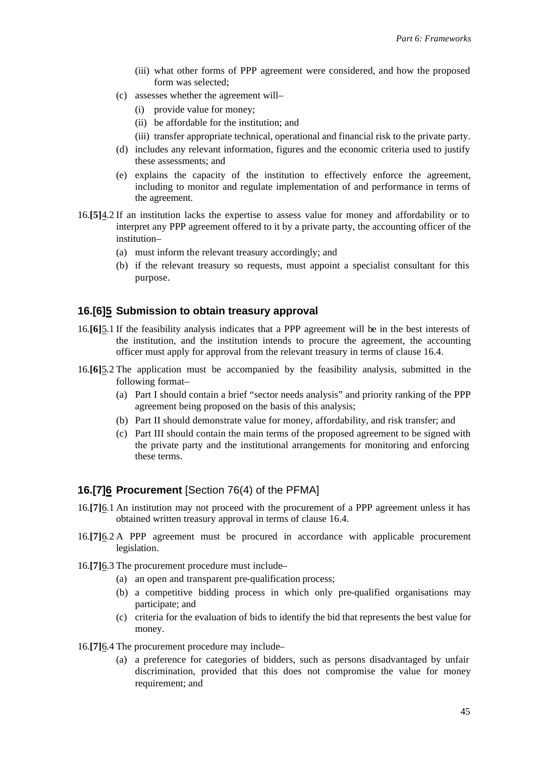- (iii) what other forms of PPP agreement were considered, and how the proposed form was selected;
- (c) assesses whether the agreement will–
	- (i) provide value for money;
	- (ii) be affordable for the institution; and
	- (iii) transfer appropriate technical, operational and financial risk to the private party.
- (d) includes any relevant information, figures and the economic criteria used to justify these assessments; and
- (e) explains the capacity of the institution to effectively enforce the agreement, including to monitor and regulate implementation of and performance in terms of the agreement.
- 16.**[5]**4.2 If an institution lacks the expertise to assess value for money and affordability or to interpret any PPP agreement offered to it by a private party, the accounting officer of the institution–
	- (a) must inform the relevant treasury accordingly; and
	- (b) if the relevant treasury so requests, must appoint a specialist consultant for this purpose.

#### **16.[6]5 Submission to obtain treasury approval**

- 16.**[6]**5.1 If the feasibility analysis indicates that a PPP agreement will be in the best interests of the institution, and the institution intends to procure the agreement, the accounting officer must apply for approval from the relevant treasury in terms of clause 16.4.
- 16.**[6]**5.2 The application must be accompanied by the feasibility analysis, submitted in the following format–
	- (a) Part I should contain a brief "sector needs analysis" and priority ranking of the PPP agreement being proposed on the basis of this analysis;
	- (b) Part II should demonstrate value for money, affordability, and risk transfer; and
	- (c) Part III should contain the main terms of the proposed agreement to be signed with the private party and the institutional arrangements for monitoring and enforcing these terms.

#### **16.[7]6 Procurement** [Section 76(4) of the PFMA]

- 16.**[7]**6.1 An institution may not proceed with the procurement of a PPP agreement unless it has obtained written treasury approval in terms of clause 16.4.
- 16.**[7]**6.2 A PPP agreement must be procured in accordance with applicable procurement legislation.
- 16.**[7]**6.3 The procurement procedure must include–
	- (a) an open and transparent pre-qualification process;
	- (b) a competitive bidding process in which only pre-qualified organisations may participate; and
	- (c) criteria for the evaluation of bids to identify the bid that represents the best value for money.
- 16.**[7]**6.4 The procurement procedure may include–
	- (a) a preference for categories of bidders, such as persons disadvantaged by unfair discrimination, provided that this does not compromise the value for money requirement; and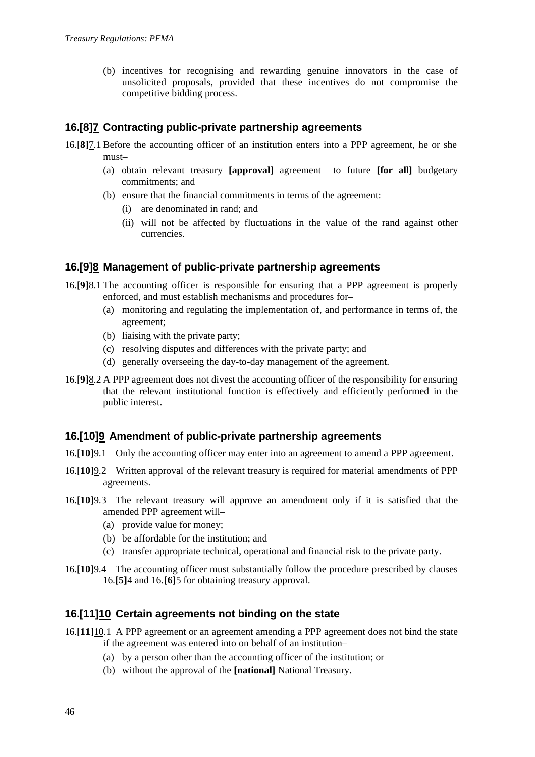(b) incentives for recognising and rewarding genuine innovators in the case of unsolicited proposals, provided that these incentives do not compromise the competitive bidding process.

#### **16.[8]7 Contracting public-private partnership agreements**

- 16.**[8]**7.1 Before the accounting officer of an institution enters into a PPP agreement, he or she must–
	- (a) obtain relevant treasury **[approval]** agreement to future **[for all]** budgetary commitments; and
	- (b) ensure that the financial commitments in terms of the agreement:
		- (i) are denominated in rand; and
		- (ii) will not be affected by fluctuations in the value of the rand against other currencies.

#### **16.[9]8 Management of public-private partnership agreements**

- 16.**[9]**8.1 The accounting officer is responsible for ensuring that a PPP agreement is properly enforced, and must establish mechanisms and procedures for–
	- (a) monitoring and regulating the implementation of, and performance in terms of, the agreement;
	- (b) liaising with the private party;
	- (c) resolving disputes and differences with the private party; and
	- (d) generally overseeing the day-to-day management of the agreement.
- 16.**[9]**8.2 A PPP agreement does not divest the accounting officer of the responsibility for ensuring that the relevant institutional function is effectively and efficiently performed in the public interest.

#### **16.[10]9 Amendment of public-private partnership agreements**

- 16.**[10]**9.1 Only the accounting officer may enter into an agreement to amend a PPP agreement.
- 16.**[10]**9.2 Written approval of the relevant treasury is required for material amendments of PPP agreements.
- 16.**[10]**9.3 The relevant treasury will approve an amendment only if it is satisfied that the amended PPP agreement will–
	- (a) provide value for money;
	- (b) be affordable for the institution; and
	- (c) transfer appropriate technical, operational and financial risk to the private party.
- 16.**[10]**9.4 The accounting officer must substantially follow the procedure prescribed by clauses 16.**[5]**4 and 16.**[6]**5 for obtaining treasury approval.

#### **16.[11]10 Certain agreements not binding on the state**

- 16.**[11]**10.1 A PPP agreement or an agreement amending a PPP agreement does not bind the state if the agreement was entered into on behalf of an institution–
	- (a) by a person other than the accounting officer of the institution; or
	- (b) without the approval of the **[national]** National Treasury.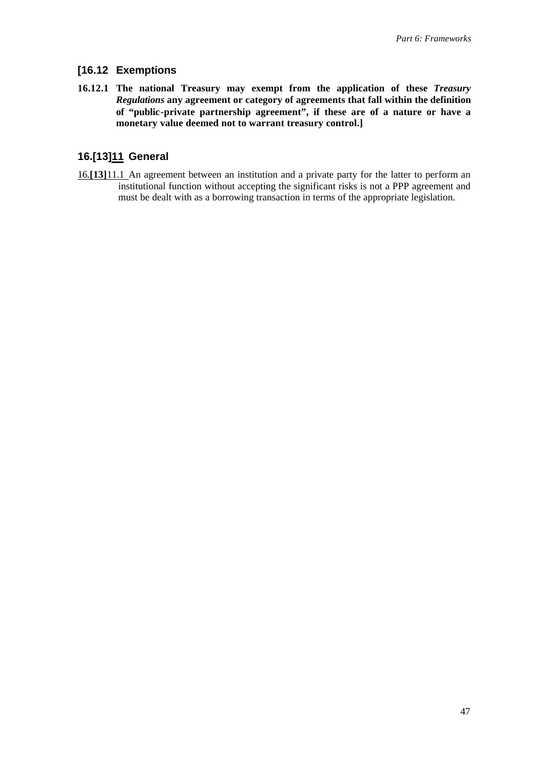#### **[16.12 Exemptions**

**16.12.1 The national Treasury may exempt from the application of these** *Treasury Regulations* **any agreement or category of agreements that fall within the definition of "public-private partnership agreement", if these are of a nature or have a monetary value deemed not to warrant treasury control.]**

#### **16.[13]11 General**

16.**[13]**11.1 An agreement between an institution and a private party for the latter to perform an institutional function without accepting the significant risks is not a PPP agreement and must be dealt with as a borrowing transaction in terms of the appropriate legislation.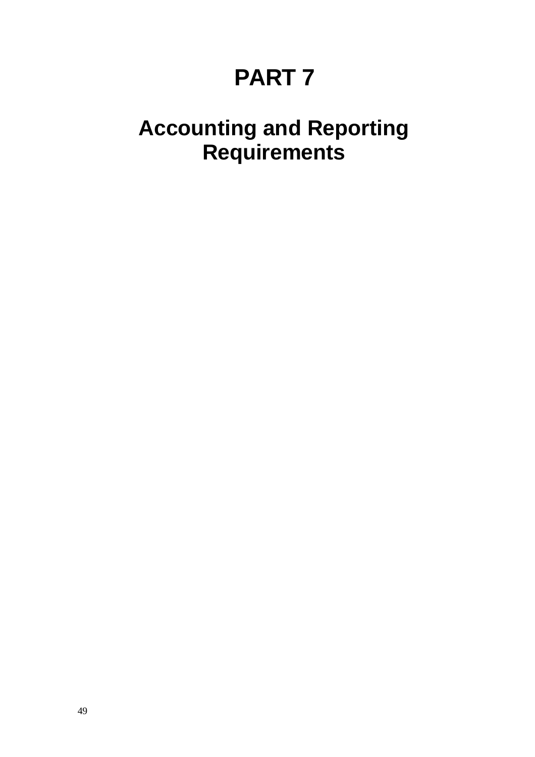## **PART 7**

## **Accounting and Reporting Requirements**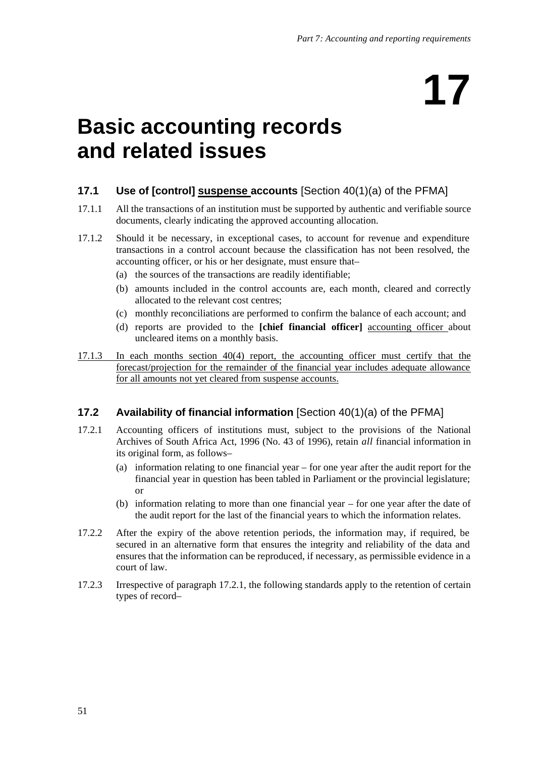## **Basic accounting records and related issues**

#### **17.1 Use of [control] suspense accounts** [Section 40(1)(a) of the PFMA]

- 17.1.1 All the transactions of an institution must be supported by authentic and verifiable source documents, clearly indicating the approved accounting allocation.
- 17.1.2 Should it be necessary, in exceptional cases, to account for revenue and expenditure transactions in a control account because the classification has not been resolved, the accounting officer, or his or her designate, must ensure that–
	- (a) the sources of the transactions are readily identifiable;
	- (b) amounts included in the control accounts are, each month, cleared and correctly allocated to the relevant cost centres;
	- (c) monthly reconciliations are performed to confirm the balance of each account; and
	- (d) reports are provided to the **[chief financial officer]** accounting officer about uncleared items on a monthly basis.
- 17.1.3 In each months section 40(4) report, the accounting officer must certify that the forecast/projection for the remainder of the financial year includes adequate allowance for all amounts not yet cleared from suspense accounts.

#### **17.2 Availability of financial information** [Section 40(1)(a) of the PFMA]

- 17.2.1 Accounting officers of institutions must, subject to the provisions of the National Archives of South Africa Act, 1996 (No. 43 of 1996), retain *all* financial information in its original form, as follows–
	- (a) information relating to one financial year for one year after the audit report for the financial year in question has been tabled in Parliament or the provincial legislature; or
	- (b) information relating to more than one financial year for one year after the date of the audit report for the last of the financial years to which the information relates.
- 17.2.2 After the expiry of the above retention periods, the information may, if required, be secured in an alternative form that ensures the integrity and reliability of the data and ensures that the information can be reproduced, if necessary, as permissible evidence in a court of law.
- 17.2.3 Irrespective of paragraph 17.2.1, the following standards apply to the retention of certain types of record–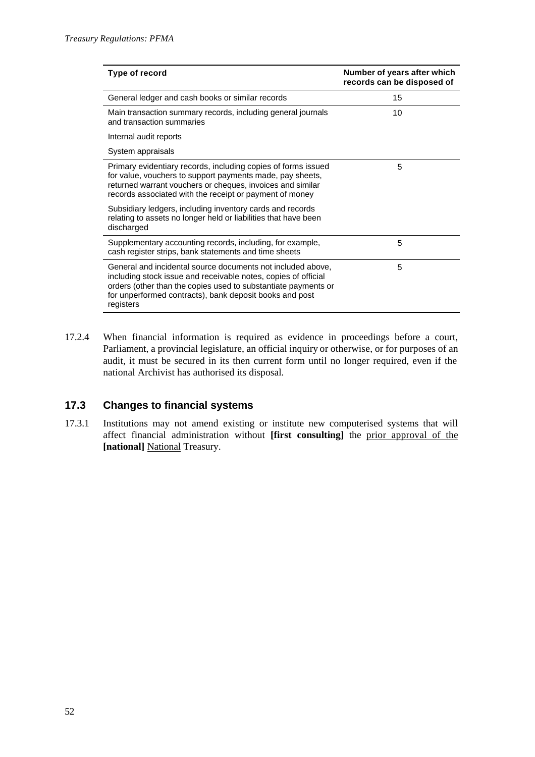| Type of record                                                                                                                                                                                                                                                          | Number of years after which<br>records can be disposed of |
|-------------------------------------------------------------------------------------------------------------------------------------------------------------------------------------------------------------------------------------------------------------------------|-----------------------------------------------------------|
| General ledger and cash books or similar records                                                                                                                                                                                                                        | 15                                                        |
| Main transaction summary records, including general journals<br>and transaction summaries                                                                                                                                                                               | 10                                                        |
| Internal audit reports                                                                                                                                                                                                                                                  |                                                           |
| System appraisals                                                                                                                                                                                                                                                       |                                                           |
| Primary evidentiary records, including copies of forms issued<br>for value, vouchers to support payments made, pay sheets,<br>returned warrant vouchers or cheques, invoices and similar<br>records associated with the receipt or payment of money                     | 5                                                         |
| Subsidiary ledgers, including inventory cards and records<br>relating to assets no longer held or liabilities that have been<br>discharged                                                                                                                              |                                                           |
| Supplementary accounting records, including, for example,<br>cash register strips, bank statements and time sheets                                                                                                                                                      | 5                                                         |
| General and incidental source documents not included above,<br>including stock issue and receivable notes, copies of official<br>orders (other than the copies used to substantiate payments or<br>for unperformed contracts), bank deposit books and post<br>registers | 5                                                         |

17.2.4 When financial information is required as evidence in proceedings before a court, Parliament, a provincial legislature, an official inquiry or otherwise, or for purposes of an audit, it must be secured in its then current form until no longer required, even if the national Archivist has authorised its disposal.

#### **17.3 Changes to financial systems**

17.3.1 Institutions may not amend existing or institute new computerised systems that will affect financial administration without **[first consulting]** the prior approval of the **[national]** National Treasury.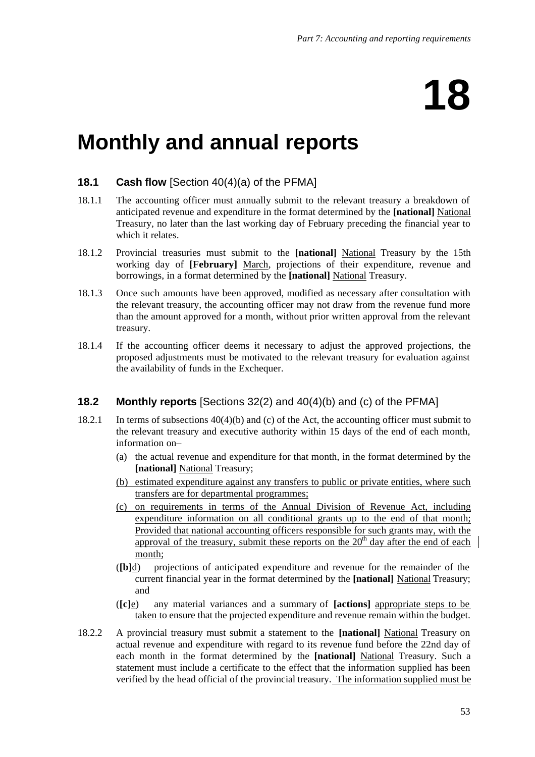## **Monthly and annual reports**

#### **18.1 Cash flow** [Section 40(4)(a) of the PFMA]

- 18.1.1 The accounting officer must annually submit to the relevant treasury a breakdown of anticipated revenue and expenditure in the format determined by the **[national]** National Treasury, no later than the last working day of February preceding the financial year to which it relates.
- 18.1.2 Provincial treasuries must submit to the **[national]** National Treasury by the 15th working day of **[February]** March, projections of their expenditure, revenue and borrowings, in a format determined by the **[national]** National Treasury.
- 18.1.3 Once such amounts have been approved, modified as necessary after consultation with the relevant treasury, the accounting officer may not draw from the revenue fund more than the amount approved for a month, without prior written approval from the relevant treasury.
- 18.1.4 If the accounting officer deems it necessary to adjust the approved projections, the proposed adjustments must be motivated to the relevant treasury for evaluation against the availability of funds in the Exchequer.

#### **18.2 Monthly reports** [Sections 32(2) and 40(4)(b) and (c) of the PFMA]

- 18.2.1 In terms of subsections 40(4)(b) and (c) of the Act, the accounting officer must submit to the relevant treasury and executive authority within 15 days of the end of each month, information on–
	- (a) the actual revenue and expenditure for that month, in the format determined by the **[national]** National Treasury;
	- (b) estimated expenditure against any transfers to public or private entities, where such transfers are for departmental programmes;
	- (c) on requirements in terms of the Annual Division of Revenue Act, including expenditure information on all conditional grants up to the end of that month; Provided that national accounting officers responsible for such grants may, with the approval of the treasury, submit these reports on the  $20<sup>th</sup>$  day after the end of each month;
	- (**[b]**d) projections of anticipated expenditure and revenue for the remainder of the current financial year in the format determined by the **[national]** National Treasury; and
	- (**[c]**e) any material variances and a summary of **[actions]** appropriate steps to be taken to ensure that the projected expenditure and revenue remain within the budget.
- 18.2.2 A provincial treasury must submit a statement to the **[national]** National Treasury on actual revenue and expenditure with regard to its revenue fund before the 22nd day of each month in the format determined by the **[national]** National Treasury. Such a statement must include a certificate to the effect that the information supplied has been verified by the head official of the provincial treasury. The information supplied must be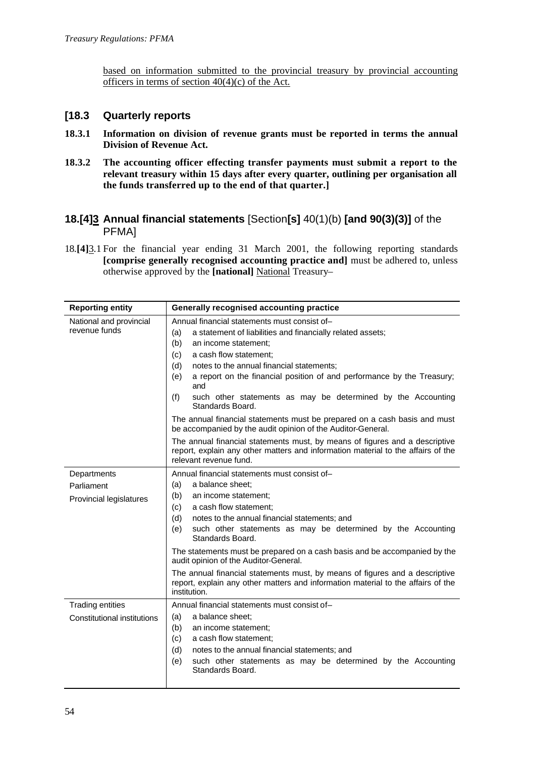based on information submitted to the provincial treasury by provincial accounting officers in terms of section  $40(4)(c)$  of the Act.

#### **[18.3 Quarterly reports**

- **18.3.1 Information on division of revenue grants must be reported in terms the annual Division of Revenue Act.**
- **18.3.2 The accounting officer effecting transfer payments must submit a report to the relevant treasury within 15 days after every quarter, outlining per organisation all the funds transferred up to the end of that quarter.]**

#### **18.[4]3 Annual financial statements** [Section**[s]** 40(1)(b) **[and 90(3)(3)]** of the PFMA]

18.**[4]**3.1 For the financial year ending 31 March 2001, the following reporting standards **[comprise generally recognised accounting practice and]** must be adhered to, unless otherwise approved by the **[national]** National Treasury–

| <b>Reporting entity</b>                                       | Generally recognised accounting practice                                                                                                                                                                                                                                                                                                                                                                                                                                                                                                                                                                                                                                                                                                |
|---------------------------------------------------------------|-----------------------------------------------------------------------------------------------------------------------------------------------------------------------------------------------------------------------------------------------------------------------------------------------------------------------------------------------------------------------------------------------------------------------------------------------------------------------------------------------------------------------------------------------------------------------------------------------------------------------------------------------------------------------------------------------------------------------------------------|
| National and provincial<br>revenue funds                      | Annual financial statements must consist of-<br>a statement of liabilities and financially related assets;<br>(a)<br>(b)<br>an income statement;<br>a cash flow statement:<br>(c)<br>(d)<br>notes to the annual financial statements;<br>a report on the financial position of and performance by the Treasury;<br>(e)<br>and<br>such other statements as may be determined by the Accounting<br>(f)<br>Standards Board.<br>The annual financial statements must be prepared on a cash basis and must<br>be accompanied by the audit opinion of the Auditor-General.<br>The annual financial statements must, by means of figures and a descriptive<br>report, explain any other matters and information material to the affairs of the |
|                                                               | relevant revenue fund.                                                                                                                                                                                                                                                                                                                                                                                                                                                                                                                                                                                                                                                                                                                  |
| Departments<br>Parliament<br>Provincial legislatures          | Annual financial statements must consist of-<br>(a)<br>a balance sheet;<br>(b)<br>an income statement;<br>a cash flow statement;<br>(c)<br>notes to the annual financial statements; and<br>(d)<br>such other statements as may be determined by the Accounting<br>(e)<br>Standards Board.<br>The statements must be prepared on a cash basis and be accompanied by the<br>audit opinion of the Auditor-General.<br>The annual financial statements must, by means of figures and a descriptive<br>report, explain any other matters and information material to the affairs of the<br>institution.                                                                                                                                     |
| <b>Trading entities</b><br><b>Constitutional institutions</b> | Annual financial statements must consist of-<br>a balance sheet;<br>(a)<br>(b)<br>an income statement:<br>(c)<br>a cash flow statement;<br>(d)<br>notes to the annual financial statements; and<br>(e)<br>such other statements as may be determined by the Accounting<br>Standards Board.                                                                                                                                                                                                                                                                                                                                                                                                                                              |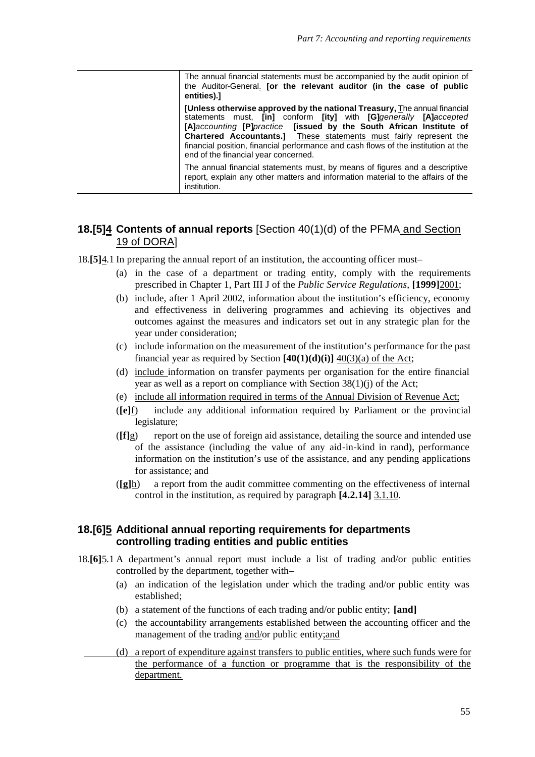The annual financial statements must be accompanied by the audit opinion of the Auditor-General. **[or the relevant auditor (in the case of public entities).]**

**[Unless otherwise approved by the national Treasury, The annual financial** statements must, **[in]** conform **[ity]** with **[G]***generally* **[A]***accepted*  **[A]***accounting* **[P]***practice* **[issued by the South African Institute of Chartered Accountants.]** These statements must fairly represent the financial position, financial performance and cash flows of the institution at the end of the financial year concerned.

The annual financial statements must, by means of figures and a descriptive report, explain any other matters and information material to the affairs of the institution.

#### **18.[5]4 Contents of annual reports** [Section 40(1)(d) of the PFMA and Section 19 of DORA]

- 18.**[5]**4.1 In preparing the annual report of an institution, the accounting officer must–
	- (a) in the case of a department or trading entity, comply with the requirements prescribed in Chapter 1, Part III J of the *Public Service Regulations*, **[1999]**2001;
	- (b) include, after 1 April 2002, information about the institution's efficiency, economy and effectiveness in delivering programmes and achieving its objectives and outcomes against the measures and indicators set out in any strategic plan for the year under consideration;
	- (c) include information on the measurement of the institution's performance for the past financial year as required by Section  $[40(1)(d)(i)]$   $40(3)(a)$  of the Act;
	- (d) include information on transfer payments per organisation for the entire financial year as well as a report on compliance with Section 38(1)(j) of the Act;
	- (e) include all information required in terms of the Annual Division of Revenue Act;
	- (**[e]**f) include any additional information required by Parliament or the provincial legislature;
	- (**[f]**g) report on the use of foreign aid assistance, detailing the source and intended use of the assistance (including the value of any aid-in-kind in rand), performance information on the institution's use of the assistance, and any pending applications for assistance; and
	- (**[g]**h) a report from the audit committee commenting on the effectiveness of internal control in the institution, as required by paragraph **[4.2.14]** 3.1.10.

#### **18.[6]5 Additional annual reporting requirements for departments controlling trading entities and public entities**

- 18.**[6]**5.1 A department's annual report must include a list of trading and/or public entities controlled by the department, together with–
	- (a) an indication of the legislation under which the trading and/or public entity was established;
	- (b) a statement of the functions of each trading and/or public entity; **[and]**
	- (c) the accountability arrangements established between the accounting officer and the management of the trading and/or public entity;and
	- (d) a report of expenditure against transfers to public entities, where such funds were for the performance of a function or programme that is the responsibility of the department.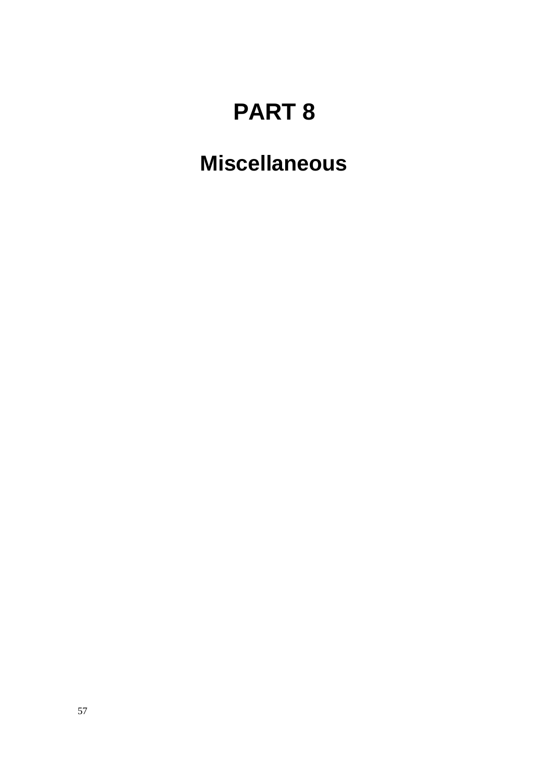## **PART 8**

## **Miscellaneous**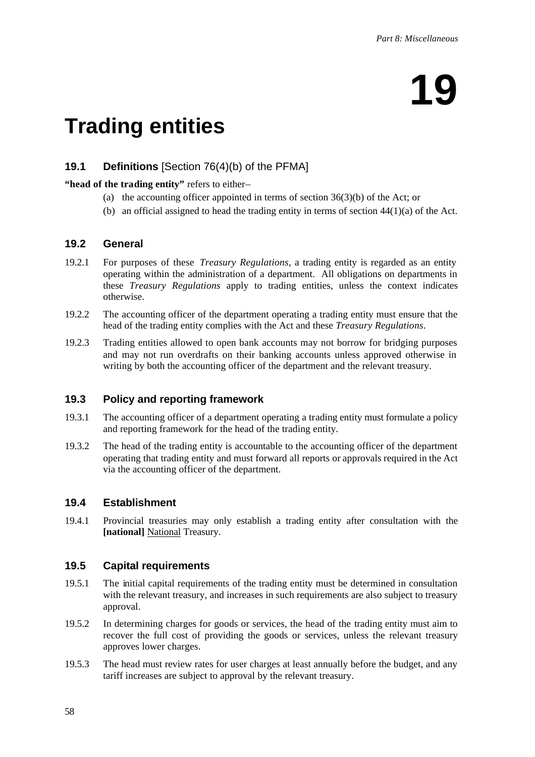## **Trading entities**

#### **19.1 Definitions** [Section 76(4)(b) of the PFMA]

**"head of the trading entity"** refers to either–

- (a) the accounting officer appointed in terms of section  $36(3)(b)$  of the Act; or
- (b) an official assigned to head the trading entity in terms of section 44(1)(a) of the Act.

#### **19.2 General**

- 19.2.1 For purposes of these *Treasury Regulations*, a trading entity is regarded as an entity operating within the administration of a department. All obligations on departments in these *Treasury Regulations* apply to trading entities, unless the context indicates otherwise.
- 19.2.2 The accounting officer of the department operating a trading entity must ensure that the head of the trading entity complies with the Act and these *Treasury Regulations*.
- 19.2.3 Trading entities allowed to open bank accounts may not borrow for bridging purposes and may not run overdrafts on their banking accounts unless approved otherwise in writing by both the accounting officer of the department and the relevant treasury.

#### **19.3 Policy and reporting framework**

- 19.3.1 The accounting officer of a department operating a trading entity must formulate a policy and reporting framework for the head of the trading entity.
- 19.3.2 The head of the trading entity is accountable to the accounting officer of the department operating that trading entity and must forward all reports or approvals required in the Act via the accounting officer of the department.

#### **19.4 Establishment**

19.4.1 Provincial treasuries may only establish a trading entity after consultation with the **[national]** National Treasury.

#### **19.5 Capital requirements**

- 19.5.1 The initial capital requirements of the trading entity must be determined in consultation with the relevant treasury, and increases in such requirements are also subject to treasury approval.
- 19.5.2 In determining charges for goods or services, the head of the trading entity must aim to recover the full cost of providing the goods or services, unless the relevant treasury approves lower charges.
- 19.5.3 The head must review rates for user charges at least annually before the budget, and any tariff increases are subject to approval by the relevant treasury.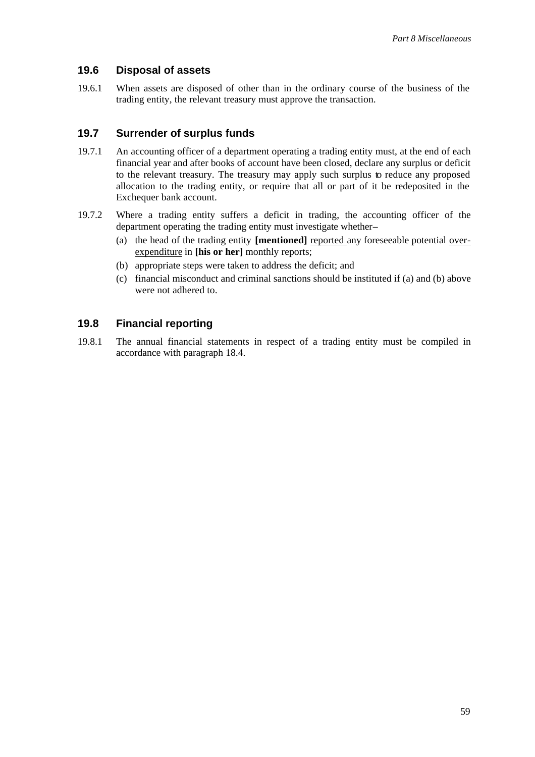#### **19.6 Disposal of assets**

19.6.1 When assets are disposed of other than in the ordinary course of the business of the trading entity, the relevant treasury must approve the transaction.

#### **19.7 Surrender of surplus funds**

- 19.7.1 An accounting officer of a department operating a trading entity must, at the end of each financial year and after books of account have been closed, declare any surplus or deficit to the relevant treasury. The treasury may apply such surplus to reduce any proposed allocation to the trading entity, or require that all or part of it be redeposited in the Exchequer bank account.
- 19.7.2 Where a trading entity suffers a deficit in trading, the accounting officer of the department operating the trading entity must investigate whether–
	- (a) the head of the trading entity **[mentioned]** reported any foreseeable potential overexpenditure in **[his or her]** monthly reports;
	- (b) appropriate steps were taken to address the deficit; and
	- (c) financial misconduct and criminal sanctions should be instituted if (a) and (b) above were not adhered to.

#### **19.8 Financial reporting**

19.8.1 The annual financial statements in respect of a trading entity must be compiled in accordance with paragraph 18.4.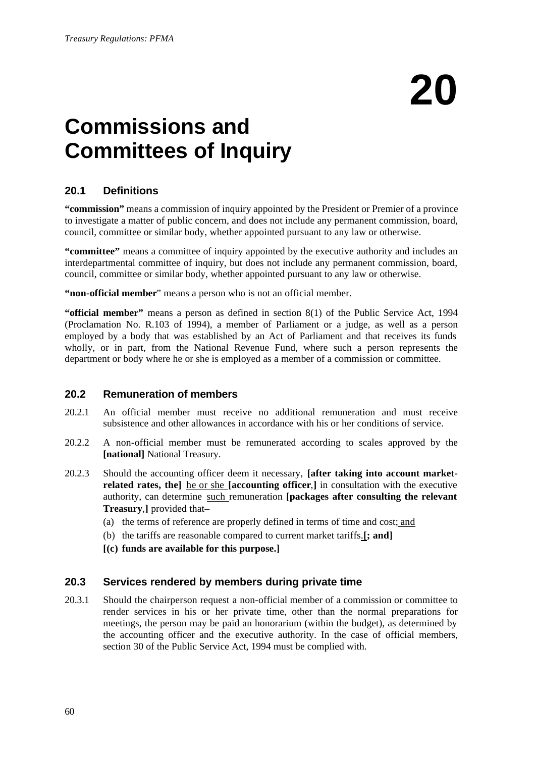## **Commissions and Committees of Inquiry**

#### **20.1 Definitions**

**"commission"** means a commission of inquiry appointed by the President or Premier of a province to investigate a matter of public concern, and does not include any permanent commission, board, council, committee or similar body, whether appointed pursuant to any law or otherwise.

**"committee"** means a committee of inquiry appointed by the executive authority and includes an interdepartmental committee of inquiry, but does not include any permanent commission, board, council, committee or similar body, whether appointed pursuant to any law or otherwise.

**"non-official member**" means a person who is not an official member.

**"official member"** means a person as defined in section 8(1) of the Public Service Act, 1994 (Proclamation No. R.103 of 1994), a member of Parliament or a judge, as well as a person employed by a body that was established by an Act of Parliament and that receives its funds wholly, or in part, from the National Revenue Fund, where such a person represents the department or body where he or she is employed as a member of a commission or committee.

#### **20.2 Remuneration of members**

- 20.2.1 An official member must receive no additional remuneration and must receive subsistence and other allowances in accordance with his or her conditions of service.
- 20.2.2 A non-official member must be remunerated according to scales approved by the **[national]** National Treasury.
- 20.2.3 Should the accounting officer deem it necessary, **[after taking into account marketrelated rates, the]** he or she **[accounting officer**,**]** in consultation with the executive authority, can determine such remuneration **[packages after consulting the relevant Treasury**,**]** provided that–
	- (a) the terms of reference are properly defined in terms of time and cost; and
	- (b) the tariffs are reasonable compared to current market tariffs.**[; and]**
	- **[(c) funds are available for this purpose.]**

#### **20.3 Services rendered by members during private time**

20.3.1 Should the chairperson request a non-official member of a commission or committee to render services in his or her private time, other than the normal preparations for meetings, the person may be paid an honorarium (within the budget), as determined by the accounting officer and the executive authority. In the case of official members, section 30 of the Public Service Act, 1994 must be complied with.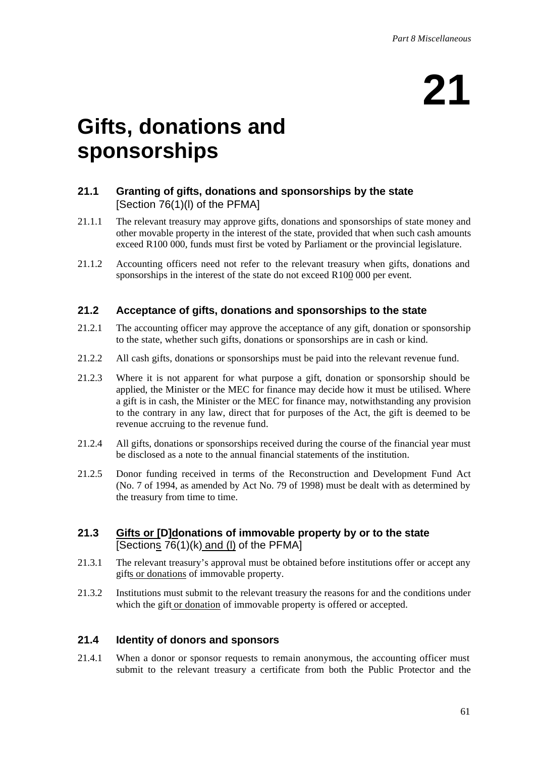## **Gifts, donations and sponsorships**

#### **21.1 Granting of gifts, donations and sponsorships by the state**  [Section 76(1)(l) of the PFMA]

- 21.1.1 The relevant treasury may approve gifts, donations and sponsorships of state money and other movable property in the interest of the state, provided that when such cash amounts exceed R100 000, funds must first be voted by Parliament or the provincial legislature.
- 21.1.2 Accounting officers need not refer to the relevant treasury when gifts, donations and sponsorships in the interest of the state do not exceed R100 000 per event.

#### **21.2 Acceptance of gifts, donations and sponsorships to the state**

- 21.2.1 The accounting officer may approve the acceptance of any gift, donation or sponsorship to the state, whether such gifts, donations or sponsorships are in cash or kind.
- 21.2.2 All cash gifts, donations or sponsorships must be paid into the relevant revenue fund.
- 21.2.3 Where it is not apparent for what purpose a gift, donation or sponsorship should be applied, the Minister or the MEC for finance may decide how it must be utilised. Where a gift is in cash, the Minister or the MEC for finance may, notwithstanding any provision to the contrary in any law, direct that for purposes of the Act, the gift is deemed to be revenue accruing to the revenue fund.
- 21.2.4 All gifts, donations or sponsorships received during the course of the financial year must be disclosed as a note to the annual financial statements of the institution.
- 21.2.5 Donor funding received in terms of the Reconstruction and Development Fund Act (No. 7 of 1994, as amended by Act No. 79 of 1998) must be dealt with as determined by the treasury from time to time.

#### **21.3 Gifts or [D]donations of immovable property by or to the state**  [Sections 76(1)(k) and (l) of the PFMA]

- 21.3.1 The relevant treasury's approval must be obtained before institutions offer or accept any gifts or donations of immovable property.
- 21.3.2 Institutions must submit to the relevant treasury the reasons for and the conditions under which the gift or donation of immovable property is offered or accepted.

#### **21.4 Identity of donors and sponsors**

21.4.1 When a donor or sponsor requests to remain anonymous, the accounting officer must submit to the relevant treasury a certificate from both the Public Protector and the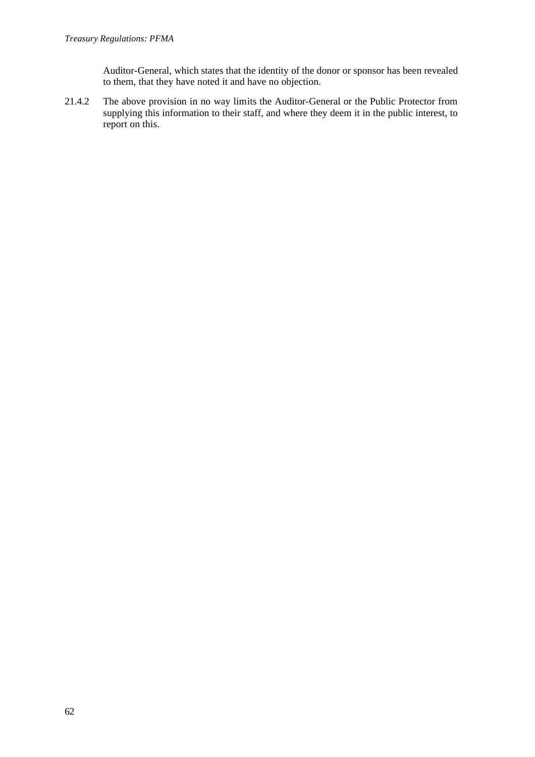Auditor-General, which states that the identity of the donor or sponsor has been revealed to them, that they have noted it and have no objection.

21.4.2 The above provision in no way limits the Auditor-General or the Public Protector from supplying this information to their staff, and where they deem it in the public interest, to report on this.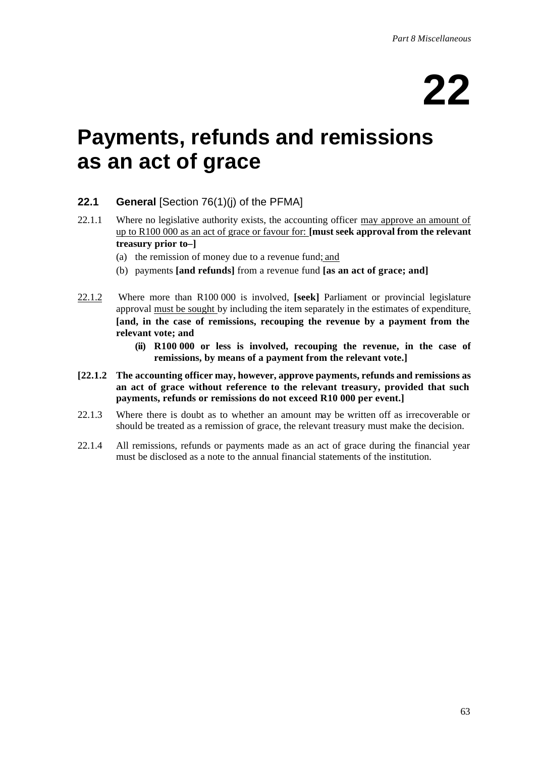### **Payments, refunds and remissions as an act of grace**

#### **22.1 General** [Section 76(1)(j) of the PFMA]

- 22.1.1 Where no legislative authority exists, the accounting officer may approve an amount of up to R100 000 as an act of grace or favour for: **[must seek approval from the relevant treasury prior to–]**
	- (a) the remission of money due to a revenue fund; and
	- (b) payments **[and refunds]** from a revenue fund **[as an act of grace; and]**
- 22.1.2 Where more than R100 000 is involved, **[seek]** Parliament or provincial legislature approval must be sought by including the item separately in the estimates of expenditure. **[and, in the case of remissions, recouping the revenue by a payment from the relevant vote; and**
	- **(ii) R100 000 or less is involved, recouping the revenue, in the case of remissions, by means of a payment from the relevant vote.]**
- **[22.1.2 The accounting officer may, however, approve payments, refunds and remissions as an act of grace without reference to the relevant treasury, provided that such payments, refunds or remissions do not exceed R10 000 per event.]**
- 22.1.3 Where there is doubt as to whether an amount may be written off as irrecoverable or should be treated as a remission of grace, the relevant treasury must make the decision.
- 22.1.4 All remissions, refunds or payments made as an act of grace during the financial year must be disclosed as a note to the annual financial statements of the institution.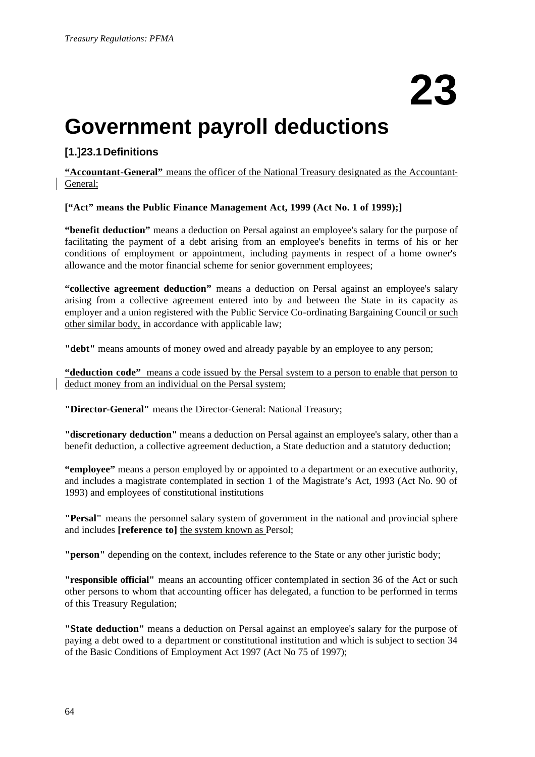## **Government payroll deductions**

#### **[1.]23.1Definitions**

**"Accountant-General"** means the officer of the National Treasury designated as the Accountant-General;

#### **["Act" means the Public Finance Management Act, 1999 (Act No. 1 of 1999);]**

**"benefit deduction"** means a deduction on Persal against an employee's salary for the purpose of facilitating the payment of a debt arising from an employee's benefits in terms of his or her conditions of employment or appointment, including payments in respect of a home owner's allowance and the motor financial scheme for senior government employees;

**"collective agreement deduction"** means a deduction on Persal against an employee's salary arising from a collective agreement entered into by and between the State in its capacity as employer and a union registered with the Public Service Co-ordinating Bargaining Council or such other similar body, in accordance with applicable law;

**"debt"** means amounts of money owed and already payable by an employee to any person;

**"deduction code"** means a code issued by the Persal system to a person to enable that person to deduct money from an individual on the Persal system;

**"Director-General"** means the Director-General: National Treasury;

**"discretionary deduction"** means a deduction on Persal against an employee's salary, other than a benefit deduction, a collective agreement deduction, a State deduction and a statutory deduction;

**"employee"** means a person employed by or appointed to a department or an executive authority, and includes a magistrate contemplated in section 1 of the Magistrate's Act, 1993 (Act No. 90 of 1993) and employees of constitutional institutions

**"Persal"** means the personnel salary system of government in the national and provincial sphere and includes **[reference to]** the system known as Persol;

**"person"** depending on the context, includes reference to the State or any other juristic body;

**"responsible official"** means an accounting officer contemplated in section 36 of the Act or such other persons to whom that accounting officer has delegated, a function to be performed in terms of this Treasury Regulation;

**"State deduction"** means a deduction on Persal against an employee's salary for the purpose of paying a debt owed to a department or constitutional institution and which is subject to section 34 of the Basic Conditions of Employment Act 1997 (Act No 75 of 1997);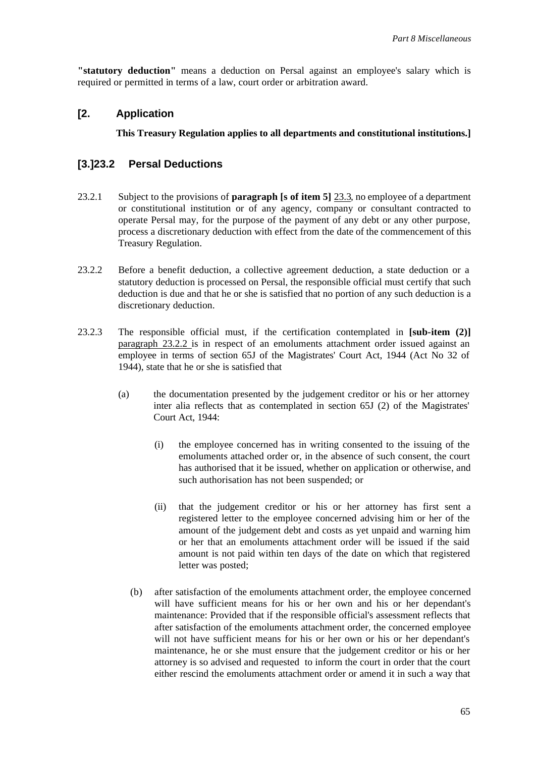**"statutory deduction"** means a deduction on Persal against an employee's salary which is required or permitted in terms of a law, court order or arbitration award.

### **[2. Application**

**This Treasury Regulation applies to all departments and constitutional institutions.]**

### **[3.]23.2 Persal Deductions**

- 23.2.1 Subject to the provisions of **paragraph [s of item 5]** 23.3, no employee of a department or constitutional institution or of any agency, company or consultant contracted to operate Persal may, for the purpose of the payment of any debt or any other purpose, process a discretionary deduction with effect from the date of the commencement of this Treasury Regulation.
- 23.2.2 Before a benefit deduction, a collective agreement deduction, a state deduction or a statutory deduction is processed on Persal, the responsible official must certify that such deduction is due and that he or she is satisfied that no portion of any such deduction is a discretionary deduction.
- 23.2.3 The responsible official must, if the certification contemplated in **[sub-item (2)]** paragraph 23.2.2 is in respect of an emoluments attachment order issued against an employee in terms of section 65J of the Magistrates' Court Act, 1944 (Act No 32 of 1944), state that he or she is satisfied that
	- (a) the documentation presented by the judgement creditor or his or her attorney inter alia reflects that as contemplated in section 65J (2) of the Magistrates' Court Act, 1944:
		- (i) the employee concerned has in writing consented to the issuing of the emoluments attached order or, in the absence of such consent, the court has authorised that it be issued, whether on application or otherwise, and such authorisation has not been suspended; or
		- (ii) that the judgement creditor or his or her attorney has first sent a registered letter to the employee concerned advising him or her of the amount of the judgement debt and costs as yet unpaid and warning him or her that an emoluments attachment order will be issued if the said amount is not paid within ten days of the date on which that registered letter was posted;
		- (b) after satisfaction of the emoluments attachment order, the employee concerned will have sufficient means for his or her own and his or her dependant's maintenance: Provided that if the responsible official's assessment reflects that after satisfaction of the emoluments attachment order, the concerned employee will not have sufficient means for his or her own or his or her dependant's maintenance, he or she must ensure that the judgement creditor or his or her attorney is so advised and requested to inform the court in order that the court either rescind the emoluments attachment order or amend it in such a way that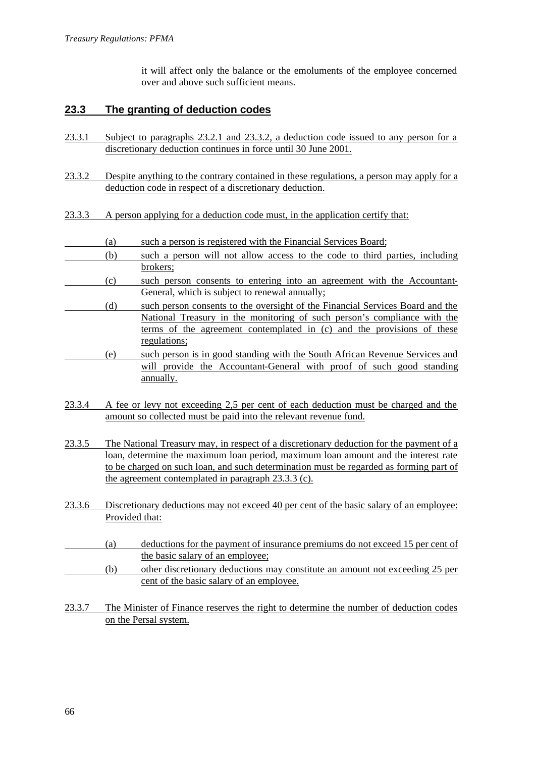it will affect only the balance or the emoluments of the employee concerned over and above such sufficient means.

### **23.3 The granting of deduction codes**

- 23.3.1 Subject to paragraphs 23.2.1 and 23.3.2, a deduction code issued to any person for a discretionary deduction continues in force until 30 June 2001.
- 23.3.2 Despite anything to the contrary contained in these regulations, a person may apply for a deduction code in respect of a discretionary deduction.
- 23.3.3 A person applying for a deduction code must, in the application certify that:
- (a) such a person is registered with the Financial Services Board;
- (b) such a person will not allow access to the code to third parties, including brokers;
- (c) such person consents to entering into an agreement with the Accountant-General, which is subject to renewal annually;
- (d) such person consents to the oversight of the Financial Services Board and the National Treasury in the monitoring of such person's compliance with the terms of the agreement contemplated in (c) and the provisions of these regulations;
- (e) such person is in good standing with the South African Revenue Services and will provide the Accountant-General with proof of such good standing annually.
- 23.3.4 A fee or levy not exceeding 2,5 per cent of each deduction must be charged and the amount so collected must be paid into the relevant revenue fund.
- 23.3.5 The National Treasury may, in respect of a discretionary deduction for the payment of a loan, determine the maximum loan period, maximum loan amount and the interest rate to be charged on such loan, and such determination must be regarded as forming part of the agreement contemplated in paragraph 23.3.3 (c).
- 23.3.6 Discretionary deductions may not exceed 40 per cent of the basic salary of an employee: Provided that:
- (a) deductions for the payment of insurance premiums do not exceed 15 per cent of the basic salary of an employee;
- (b) other discretionary deductions may constitute an amount not exceeding 25 per cent of the basic salary of an employee.
- 23.3.7 The Minister of Finance reserves the right to determine the number of deduction codes on the Persal system.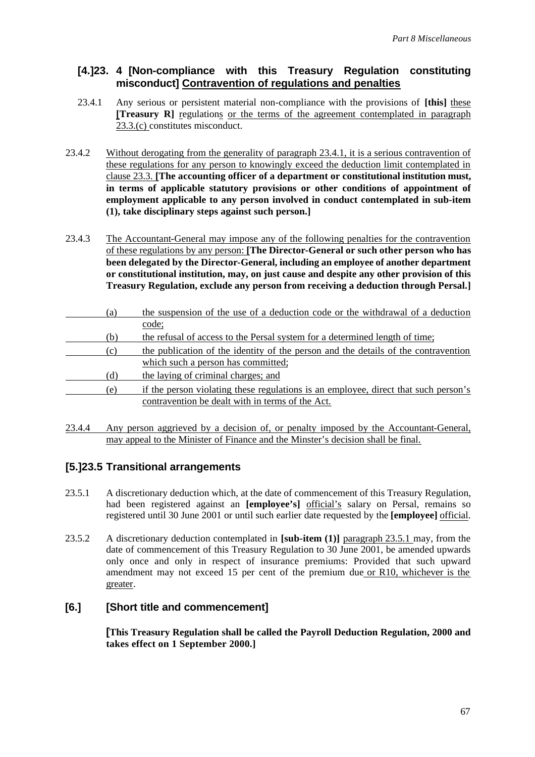### **[4.]23. 4 [Non-compliance with this Treasury Regulation constituting misconduct] Contravention of regulations and penalties**

- 23.4.1 Any serious or persistent material non-compliance with the provisions of **[this]** these **[Treasury R]** regulations or the terms of the agreement contemplated in paragraph 23.3.(c) constitutes misconduct.
- 23.4.2 Without derogating from the generality of paragraph 23.4.1, it is a serious contravention of these regulations for any person to knowingly exceed the deduction limit contemplated in clause 23.3. **[The accounting officer of a department or constitutional institution must, in terms of applicable statutory provisions or other conditions of appointment of employment applicable to any person involved in conduct contemplated in sub-item (1), take disciplinary steps against such person.]**
- 23.4.3 The Accountant-General may impose any of the following penalties for the contravention of these regulations by any person: **[The Director-General or such other person who has been delegated by the Director-General, including an employee of another department or constitutional institution, may, on just cause and despite any other provision of this Treasury Regulation, exclude any person from receiving a deduction through Persal.]**

| (a) | the suspension of the use of a deduction code or the withdrawal of a deduction      |
|-----|-------------------------------------------------------------------------------------|
|     | code;                                                                               |
| (b) | the refusal of access to the Persal system for a determined length of time;         |
| (c) | the publication of the identity of the person and the details of the contravention  |
|     | which such a person has committed;                                                  |
| (d) | the laying of criminal charges; and                                                 |
| (e) | if the person violating these regulations is an employee, direct that such person's |
|     | contravention be dealt with in terms of the Act.                                    |

23.4.4 Any person aggrieved by a decision of, or penalty imposed by the Accountant-General, may appeal to the Minister of Finance and the Minster's decision shall be final.

### **[5.]23.5 Transitional arrangements**

- 23.5.1 A discretionary deduction which, at the date of commencement of this Treasury Regulation, had been registered against an **[employee's]** official's salary on Persal, remains so registered until 30 June 2001 or until such earlier date requested by the **[employee]** official.
- 23.5.2 A discretionary deduction contemplated in **[sub-item (1)]** paragraph 23.5.1 may, from the date of commencement of this Treasury Regulation to 30 June 2001, be amended upwards only once and only in respect of insurance premiums: Provided that such upward amendment may not exceed 15 per cent of the premium due or R10, whichever is the greater.

### **[6.] [Short title and commencement]**

**[This Treasury Regulation shall be called the Payroll Deduction Regulation, 2000 and takes effect on 1 September 2000.]**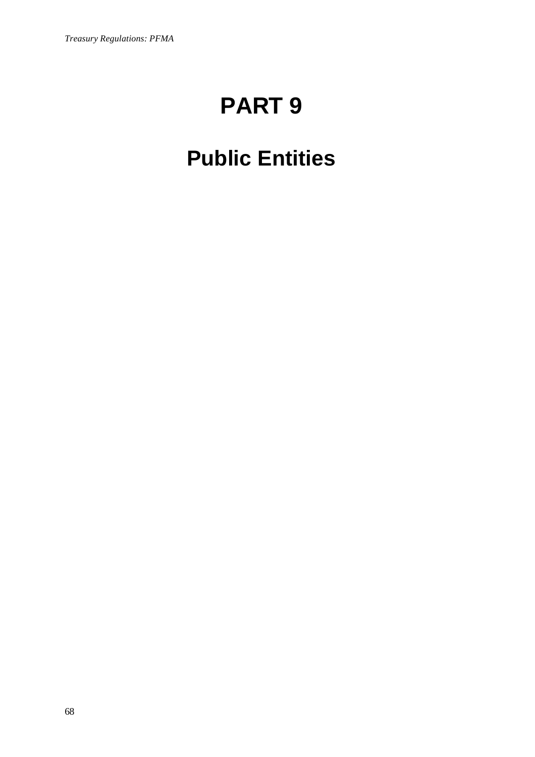## **PART 9**

## **Public Entities**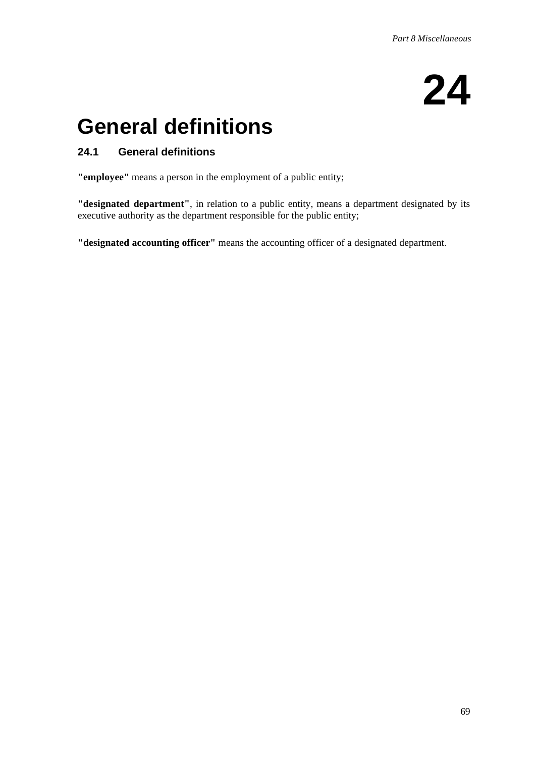## **General definitions**

### **24.1 General definitions**

**"employee"** means a person in the employment of a public entity;

**"designated department"**, in relation to a public entity, means a department designated by its executive authority as the department responsible for the public entity;

**"designated accounting officer"** means the accounting officer of a designated department.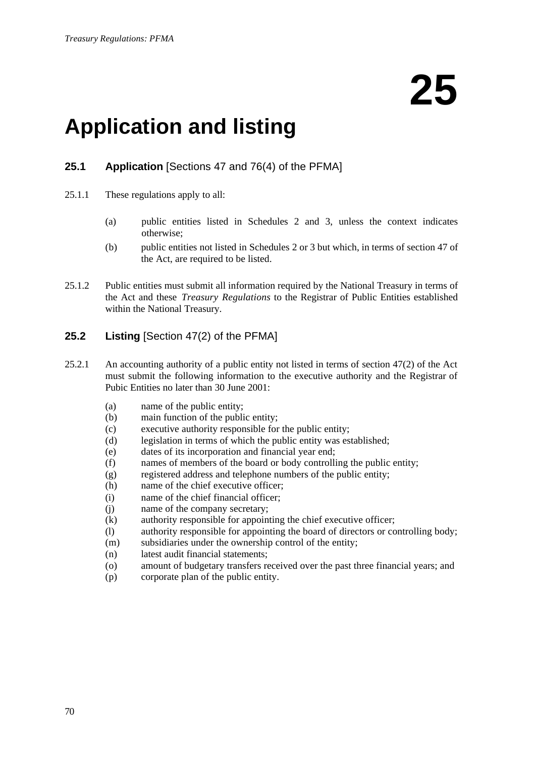## **Application and listing**

### **25.1 Application** [Sections 47 and 76(4) of the PFMA]

- 25.1.1 These regulations apply to all:
	- (a) public entities listed in Schedules 2 and 3, unless the context indicates otherwise;
	- (b) public entities not listed in Schedules 2 or 3 but which, in terms of section 47 of the Act, are required to be listed.
- 25.1.2 Public entities must submit all information required by the National Treasury in terms of the Act and these *Treasury Regulations* to the Registrar of Public Entities established within the National Treasury.

### **25.2 Listing** [Section 47(2) of the PFMA]

- 25.2.1 An accounting authority of a public entity not listed in terms of section 47(2) of the Act must submit the following information to the executive authority and the Registrar of Pubic Entities no later than 30 June 2001:
	- (a) name of the public entity;
	- (b) main function of the public entity;
	- (c) executive authority responsible for the public entity;
	- (d) legislation in terms of which the public entity was established;
	- (e) dates of its incorporation and financial year end;
	- (f) names of members of the board or body controlling the public entity;
	- (g) registered address and telephone numbers of the public entity;
	- (h) name of the chief executive officer;
	- (i) name of the chief financial officer;
	- (j) name of the company secretary;
	- (k) authority responsible for appointing the chief executive officer;
	- (l) authority responsible for appointing the board of directors or controlling body;
	- (m) subsidiaries under the ownership control of the entity;
	- (n) latest audit financial statements;
	- (o) amount of budgetary transfers received over the past three financial years; and
	- (p) corporate plan of the public entity.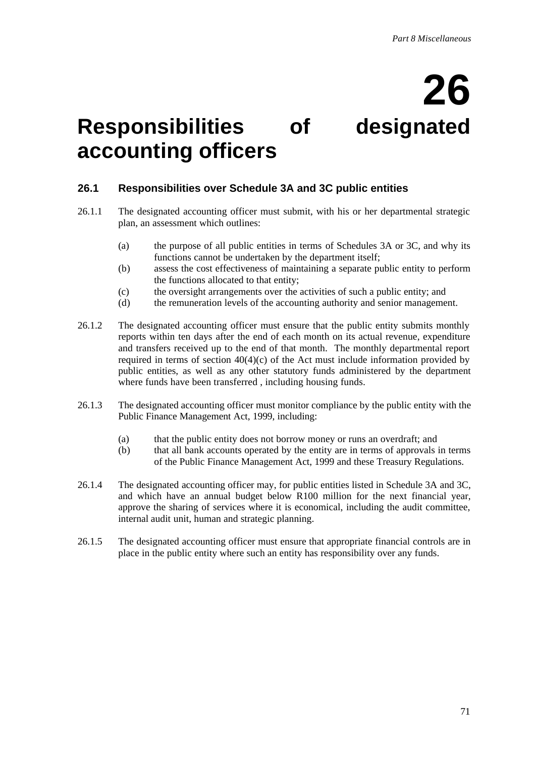## **26 Responsibilities of designated accounting officers**

### **26.1 Responsibilities over Schedule 3A and 3C public entities**

- 26.1.1 The designated accounting officer must submit, with his or her departmental strategic plan, an assessment which outlines:
	- (a) the purpose of all public entities in terms of Schedules 3A or 3C, and why its functions cannot be undertaken by the department itself;
	- (b) assess the cost effectiveness of maintaining a separate public entity to perform the functions allocated to that entity;
	- (c) the oversight arrangements over the activities of such a public entity; and
	- (d) the remuneration levels of the accounting authority and senior management.
- 26.1.2 The designated accounting officer must ensure that the public entity submits monthly reports within ten days after the end of each month on its actual revenue, expenditure and transfers received up to the end of that month. The monthly departmental report required in terms of section 40(4)(c) of the Act must include information provided by public entities, as well as any other statutory funds administered by the department where funds have been transferred , including housing funds.
- 26.1.3 The designated accounting officer must monitor compliance by the public entity with the Public Finance Management Act, 1999, including:
	- (a) that the public entity does not borrow money or runs an overdraft; and
	- (b) that all bank accounts operated by the entity are in terms of approvals in terms of the Public Finance Management Act, 1999 and these Treasury Regulations.
- 26.1.4 The designated accounting officer may, for public entities listed in Schedule 3A and 3C, and which have an annual budget below R100 million for the next financial year, approve the sharing of services where it is economical, including the audit committee, internal audit unit, human and strategic planning.
- 26.1.5 The designated accounting officer must ensure that appropriate financial controls are in place in the public entity where such an entity has responsibility over any funds.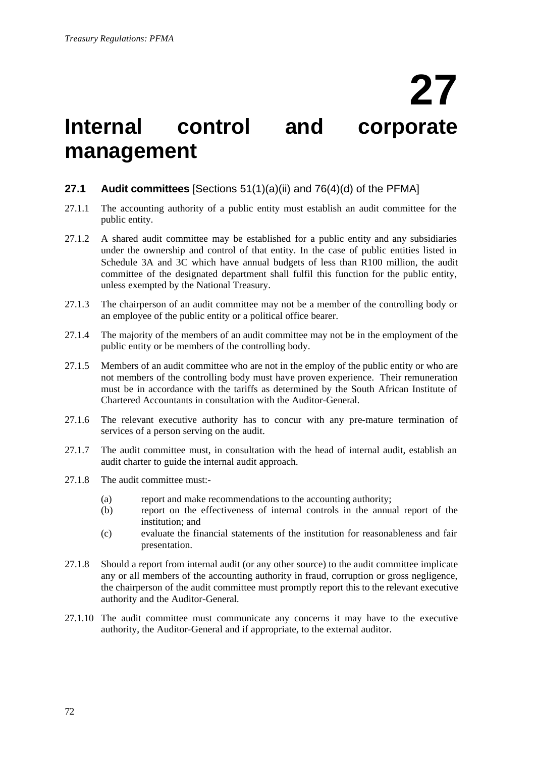## **27 Internal control and corporate management**

### **27.1 Audit committees** [Sections 51(1)(a)(ii) and 76(4)(d) of the PFMA]

- 27.1.1 The accounting authority of a public entity must establish an audit committee for the public entity.
- 27.1.2 A shared audit committee may be established for a public entity and any subsidiaries under the ownership and control of that entity. In the case of public entities listed in Schedule 3A and 3C which have annual budgets of less than R100 million, the audit committee of the designated department shall fulfil this function for the public entity, unless exempted by the National Treasury.
- 27.1.3 The chairperson of an audit committee may not be a member of the controlling body or an employee of the public entity or a political office bearer.
- 27.1.4 The majority of the members of an audit committee may not be in the employment of the public entity or be members of the controlling body.
- 27.1.5 Members of an audit committee who are not in the employ of the public entity or who are not members of the controlling body must have proven experience. Their remuneration must be in accordance with the tariffs as determined by the South African Institute of Chartered Accountants in consultation with the Auditor-General.
- 27.1.6 The relevant executive authority has to concur with any pre-mature termination of services of a person serving on the audit.
- 27.1.7 The audit committee must, in consultation with the head of internal audit, establish an audit charter to guide the internal audit approach.
- 27.1.8 The audit committee must-
	- (a) report and make recommendations to the accounting authority;
	- (b) report on the effectiveness of internal controls in the annual report of the institution; and
	- (c) evaluate the financial statements of the institution for reasonableness and fair presentation.
- 27.1.8 Should a report from internal audit (or any other source) to the audit committee implicate any or all members of the accounting authority in fraud, corruption or gross negligence, the chairperson of the audit committee must promptly report this to the relevant executive authority and the Auditor-General.
- 27.1.10 The audit committee must communicate any concerns it may have to the executive authority, the Auditor-General and if appropriate, to the external auditor.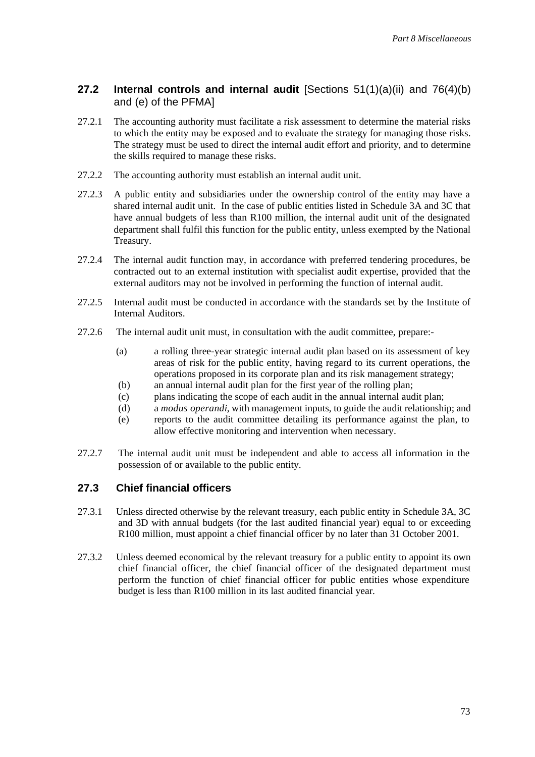### **27.2 Internal controls and internal audit** [Sections 51(1)(a)(ii) and 76(4)(b) and (e) of the PFMA]

- 27.2.1 The accounting authority must facilitate a risk assessment to determine the material risks to which the entity may be exposed and to evaluate the strategy for managing those risks. The strategy must be used to direct the internal audit effort and priority, and to determine the skills required to manage these risks.
- 27.2.2 The accounting authority must establish an internal audit unit.
- 27.2.3 A public entity and subsidiaries under the ownership control of the entity may have a shared internal audit unit. In the case of public entities listed in Schedule 3A and 3C that have annual budgets of less than R100 million, the internal audit unit of the designated department shall fulfil this function for the public entity, unless exempted by the National Treasury.
- 27.2.4 The internal audit function may, in accordance with preferred tendering procedures, be contracted out to an external institution with specialist audit expertise, provided that the external auditors may not be involved in performing the function of internal audit.
- 27.2.5 Internal audit must be conducted in accordance with the standards set by the Institute of Internal Auditors.
- 27.2.6 The internal audit unit must, in consultation with the audit committee, prepare:-
	- (a) a rolling three-year strategic internal audit plan based on its assessment of key areas of risk for the public entity, having regard to its current operations, the operations proposed in its corporate plan and its risk management strategy;
	- (b) an annual internal audit plan for the first year of the rolling plan;
	- (c) plans indicating the scope of each audit in the annual internal audit plan;
	- (d) a *modus operandi*, with management inputs, to guide the audit relationship; and
	- (e) reports to the audit committee detailing its performance against the plan, to allow effective monitoring and intervention when necessary.
- 27.2.7 The internal audit unit must be independent and able to access all information in the possession of or available to the public entity.

#### **27.3 Chief financial officers**

- 27.3.1 Unless directed otherwise by the relevant treasury, each public entity in Schedule 3A, 3C and 3D with annual budgets (for the last audited financial year) equal to or exceeding R100 million, must appoint a chief financial officer by no later than 31 October 2001.
- 27.3.2 Unless deemed economical by the relevant treasury for a public entity to appoint its own chief financial officer, the chief financial officer of the designated department must perform the function of chief financial officer for public entities whose expenditure budget is less than R100 million in its last audited financial year.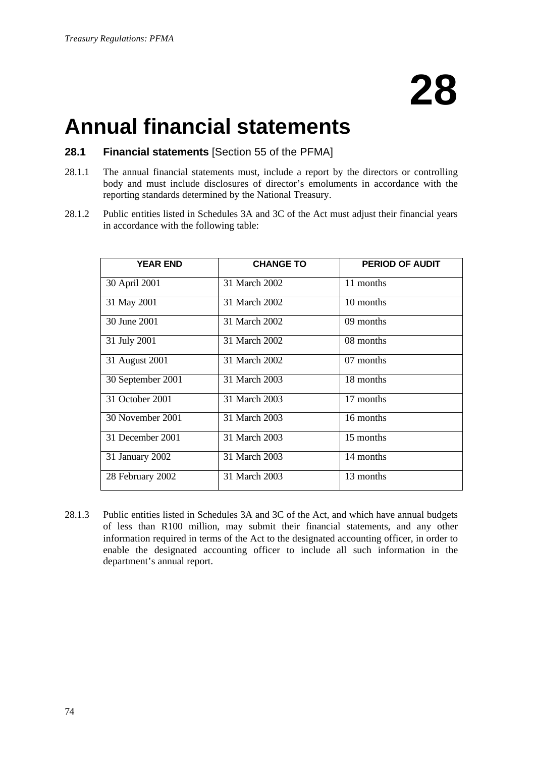### **Annual financial statements**

### **28.1 Financial statements** [Section 55 of the PFMA]

- 28.1.1 The annual financial statements must, include a report by the directors or controlling body and must include disclosures of director's emoluments in accordance with the reporting standards determined by the National Treasury.
- 28.1.2 Public entities listed in Schedules 3A and 3C of the Act must adjust their financial years in accordance with the following table:

| <b>YEAR END</b>   | <b>CHANGE TO</b> | <b>PERIOD OF AUDIT</b> |
|-------------------|------------------|------------------------|
| 30 April 2001     | 31 March 2002    | 11 months              |
| 31 May 2001       | 31 March 2002    | 10 months              |
| 30 June 2001      | 31 March 2002    | 09 months              |
| 31 July 2001      | 31 March 2002    | 08 months              |
| 31 August 2001    | 31 March 2002    | 07 months              |
| 30 September 2001 | 31 March 2003    | 18 months              |
| 31 October 2001   | 31 March 2003    | 17 months              |
| 30 November 2001  | 31 March 2003    | 16 months              |
| 31 December 2001  | 31 March 2003    | 15 months              |
| 31 January 2002   | 31 March 2003    | 14 months              |
| 28 February 2002  | 31 March 2003    | 13 months              |

28.1.3 Public entities listed in Schedules 3A and 3C of the Act, and which have annual budgets of less than R100 million, may submit their financial statements, and any other information required in terms of the Act to the designated accounting officer, in order to enable the designated accounting officer to include all such information in the department's annual report.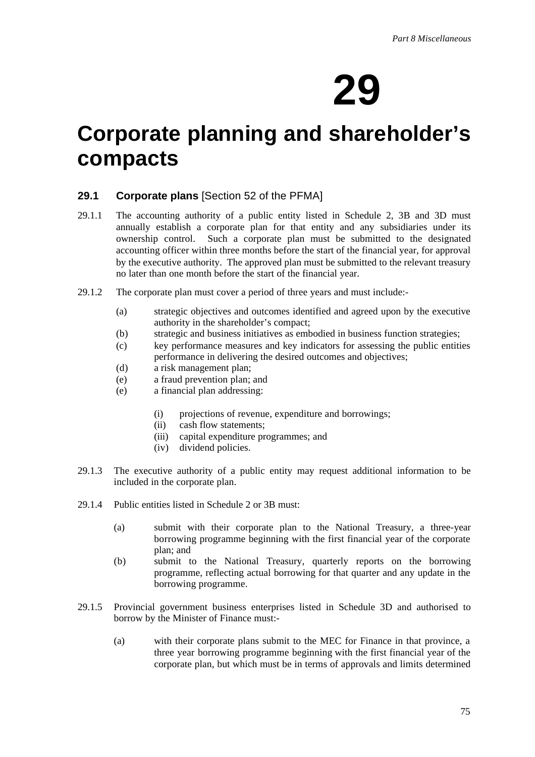### **Corporate planning and shareholder's compacts**

### **29.1 Corporate plans** [Section 52 of the PFMA]

- 29.1.1 The accounting authority of a public entity listed in Schedule 2, 3B and 3D must annually establish a corporate plan for that entity and any subsidiaries under its ownership control. Such a corporate plan must be submitted to the designated accounting officer within three months before the start of the financial year, for approval by the executive authority. The approved plan must be submitted to the relevant treasury no later than one month before the start of the financial year.
- 29.1.2 The corporate plan must cover a period of three years and must include:-
	- (a) strategic objectives and outcomes identified and agreed upon by the executive authority in the shareholder's compact;
	- (b) strategic and business initiatives as embodied in business function strategies;
	- (c) key performance measures and key indicators for assessing the public entities performance in delivering the desired outcomes and objectives;
	- (d) a risk management plan;
	- (e) a fraud prevention plan; and
	- (e) a financial plan addressing:
		- (i) projections of revenue, expenditure and borrowings;
		- (ii) cash flow statements;
		- (iii) capital expenditure programmes; and
		- (iv) dividend policies.
- 29.1.3 The executive authority of a public entity may request additional information to be included in the corporate plan.
- 29.1.4 Public entities listed in Schedule 2 or 3B must:
	- (a) submit with their corporate plan to the National Treasury, a three-year borrowing programme beginning with the first financial year of the corporate plan; and
	- (b) submit to the National Treasury, quarterly reports on the borrowing programme, reflecting actual borrowing for that quarter and any update in the borrowing programme.
- 29.1.5 Provincial government business enterprises listed in Schedule 3D and authorised to borrow by the Minister of Finance must:-
	- (a) with their corporate plans submit to the MEC for Finance in that province, a three year borrowing programme beginning with the first financial year of the corporate plan, but which must be in terms of approvals and limits determined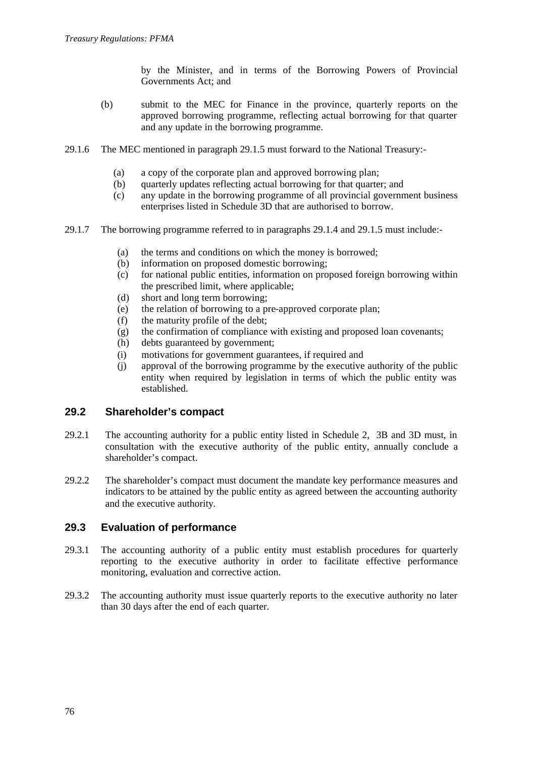by the Minister, and in terms of the Borrowing Powers of Provincial Governments Act; and

- (b) submit to the MEC for Finance in the province, quarterly reports on the approved borrowing programme, reflecting actual borrowing for that quarter and any update in the borrowing programme.
- 29.1.6 The MEC mentioned in paragraph 29.1.5 must forward to the National Treasury:-
	- (a) a copy of the corporate plan and approved borrowing plan;
	- (b) quarterly updates reflecting actual borrowing for that quarter; and
	- (c) any update in the borrowing programme of all provincial government business enterprises listed in Schedule 3D that are authorised to borrow.
- 29.1.7 The borrowing programme referred to in paragraphs 29.1.4 and 29.1.5 must include:-
	- (a) the terms and conditions on which the money is borrowed;
	- (b) information on proposed domestic borrowing;
	- (c) for national public entities, information on proposed foreign borrowing within the prescribed limit, where applicable;
	- (d) short and long term borrowing;
	- (e) the relation of borrowing to a pre-approved corporate plan;
	- (f) the maturity profile of the debt;
	- (g) the confirmation of compliance with existing and proposed loan covenants;
	- (h) debts guaranteed by government;
	- (i) motivations for government guarantees, if required and
	- (j) approval of the borrowing programme by the executive authority of the public entity when required by legislation in terms of which the public entity was established.

#### **29.2 Shareholder's compact**

- 29.2.1 The accounting authority for a public entity listed in Schedule 2, 3B and 3D must, in consultation with the executive authority of the public entity, annually conclude a shareholder's compact.
- 29.2.2 The shareholder's compact must document the mandate key performance measures and indicators to be attained by the public entity as agreed between the accounting authority and the executive authority.

### **29.3 Evaluation of performance**

- 29.3.1 The accounting authority of a public entity must establish procedures for quarterly reporting to the executive authority in order to facilitate effective performance monitoring, evaluation and corrective action.
- 29.3.2 The accounting authority must issue quarterly reports to the executive authority no later than 30 days after the end of each quarter.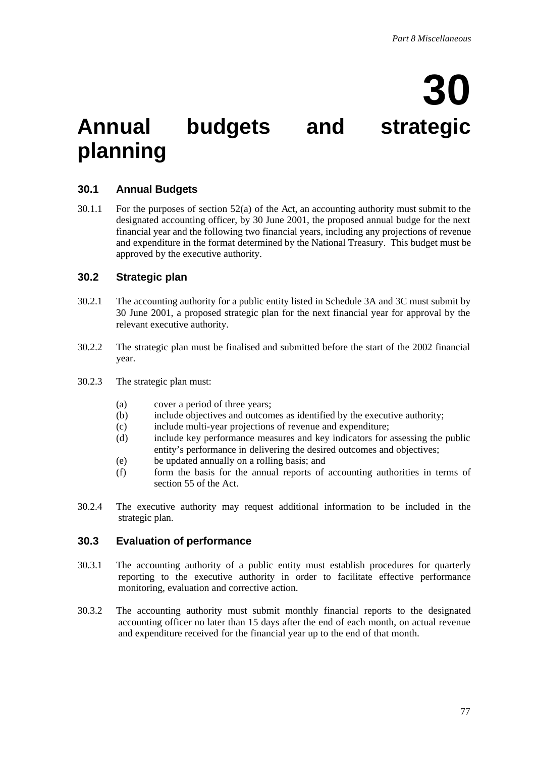# **30 Annual budgets and strategic**

### **30.1 Annual Budgets**

**planning**

30.1.1 For the purposes of section 52(a) of the Act, an accounting authority must submit to the designated accounting officer, by 30 June 2001, the proposed annual budge for the next financial year and the following two financial years, including any projections of revenue and expenditure in the format determined by the National Treasury. This budget must be approved by the executive authority.

#### **30.2 Strategic plan**

- 30.2.1 The accounting authority for a public entity listed in Schedule 3A and 3C must submit by 30 June 2001, a proposed strategic plan for the next financial year for approval by the relevant executive authority.
- 30.2.2 The strategic plan must be finalised and submitted before the start of the 2002 financial year.
- 30.2.3 The strategic plan must:
	- (a) cover a period of three years;
	- (b) include objectives and outcomes as identified by the executive authority;
	- (c) include multi-year projections of revenue and expenditure;
	- (d) include key performance measures and key indicators for assessing the public entity's performance in delivering the desired outcomes and objectives;
	- (e) be updated annually on a rolling basis; and
	- (f) form the basis for the annual reports of accounting authorities in terms of section 55 of the Act.
- 30.2.4 The executive authority may request additional information to be included in the strategic plan.

#### **30.3 Evaluation of performance**

- 30.3.1 The accounting authority of a public entity must establish procedures for quarterly reporting to the executive authority in order to facilitate effective performance monitoring, evaluation and corrective action.
- 30.3.2 The accounting authority must submit monthly financial reports to the designated accounting officer no later than 15 days after the end of each month, on actual revenue and expenditure received for the financial year up to the end of that month.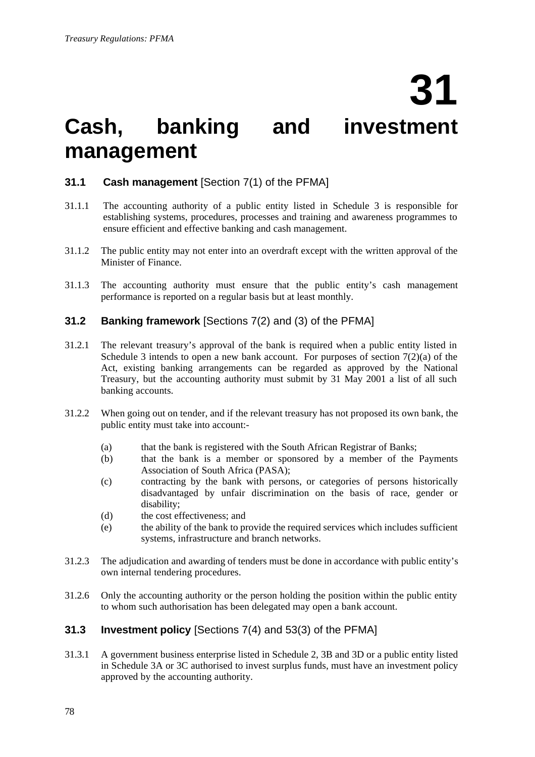## **31 Cash, banking and investment management**

### **31.1 Cash management** [Section 7(1) of the PFMA]

- 31.1.1 The accounting authority of a public entity listed in Schedule 3 is responsible for establishing systems, procedures, processes and training and awareness programmes to ensure efficient and effective banking and cash management.
- 31.1.2 The public entity may not enter into an overdraft except with the written approval of the Minister of Finance.
- 31.1.3 The accounting authority must ensure that the public entity's cash management performance is reported on a regular basis but at least monthly.

### **31.2 Banking framework** [Sections 7(2) and (3) of the PFMA]

- 31.2.1 The relevant treasury's approval of the bank is required when a public entity listed in Schedule 3 intends to open a new bank account. For purposes of section  $7(2)(a)$  of the Act, existing banking arrangements can be regarded as approved by the National Treasury, but the accounting authority must submit by 31 May 2001 a list of all such banking accounts.
- 31.2.2 When going out on tender, and if the relevant treasury has not proposed its own bank, the public entity must take into account:-
	- (a) that the bank is registered with the South African Registrar of Banks;
	- (b) that the bank is a member or sponsored by a member of the Payments Association of South Africa (PASA);
	- (c) contracting by the bank with persons, or categories of persons historically disadvantaged by unfair discrimination on the basis of race, gender or disability;
	- (d) the cost effectiveness; and
	- (e) the ability of the bank to provide the required services which includes sufficient systems, infrastructure and branch networks.
- 31.2.3 The adjudication and awarding of tenders must be done in accordance with public entity's own internal tendering procedures.
- 31.2.6 Only the accounting authority or the person holding the position within the public entity to whom such authorisation has been delegated may open a bank account.

### **31.3 Investment policy** [Sections 7(4) and 53(3) of the PFMA]

31.3.1 A government business enterprise listed in Schedule 2, 3B and 3D or a public entity listed in Schedule 3A or 3C authorised to invest surplus funds, must have an investment policy approved by the accounting authority.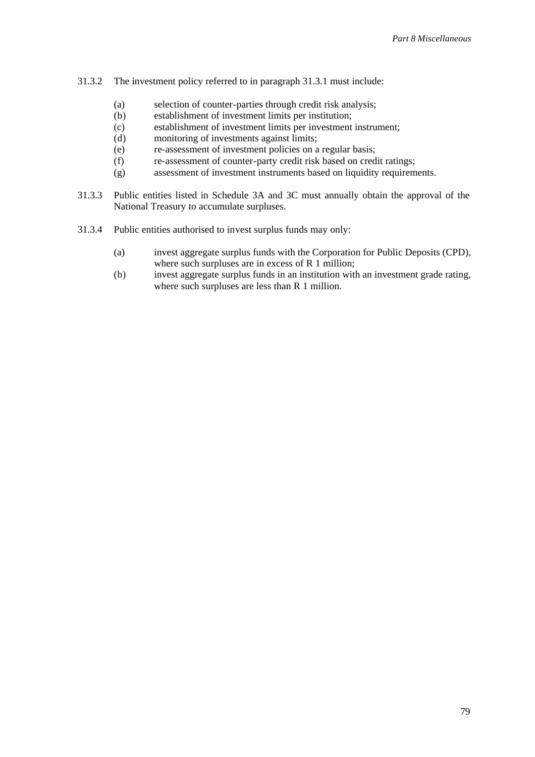- 31.3.2 The investment policy referred to in paragraph 31.3.1 must include:
	- (a) selection of counter-parties through credit risk analysis;
	- (b) establishment of investment limits per institution;
	- (c) establishment of investment limits per investment instrument;
	- (d) monitoring of investments against limits;
	- (e) re-assessment of investment policies on a regular basis;
	- (f) re-assessment of counter-party credit risk based on credit ratings;
	- (g) assessment of investment instruments based on liquidity requirements.
- 31.3.3 Public entities listed in Schedule 3A and 3C must annually obtain the approval of the National Treasury to accumulate surpluses.
- 31.3.4 Public entities authorised to invest surplus funds may only:
	- (a) invest aggregate surplus funds with the Corporation for Public Deposits (CPD), where such surpluses are in excess of R 1 million;
	- (b) invest aggregate surplus funds in an institution with an investment grade rating, where such surpluses are less than R 1 million.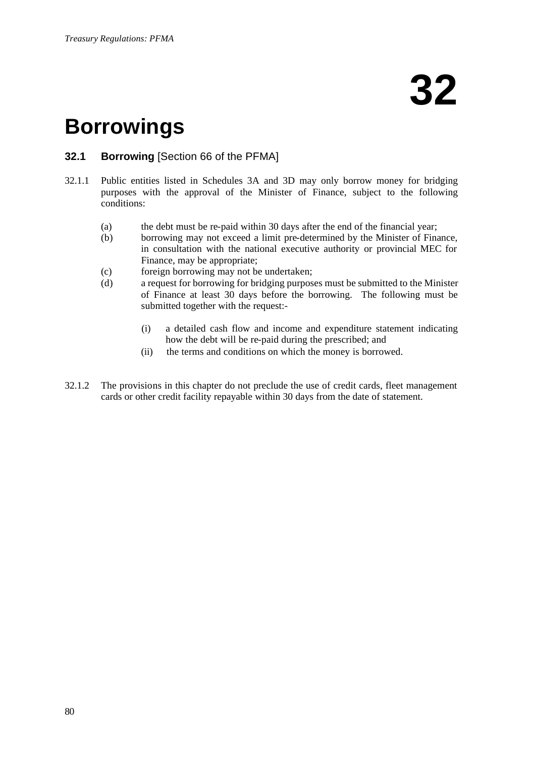### **Borrowings**

### **32.1 Borrowing** [Section 66 of the PFMA]

- 32.1.1 Public entities listed in Schedules 3A and 3D may only borrow money for bridging purposes with the approval of the Minister of Finance, subject to the following conditions:
	- (a) the debt must be re-paid within 30 days after the end of the financial year;
	- (b) borrowing may not exceed a limit pre-determined by the Minister of Finance, in consultation with the national executive authority or provincial MEC for Finance, may be appropriate;
	- (c) foreign borrowing may not be undertaken;
	- (d) a request for borrowing for bridging purposes must be submitted to the Minister of Finance at least 30 days before the borrowing. The following must be submitted together with the request:-
		- (i) a detailed cash flow and income and expenditure statement indicating how the debt will be re-paid during the prescribed; and
		- (ii) the terms and conditions on which the money is borrowed.
- 32.1.2 The provisions in this chapter do not preclude the use of credit cards, fleet management cards or other credit facility repayable within 30 days from the date of statement.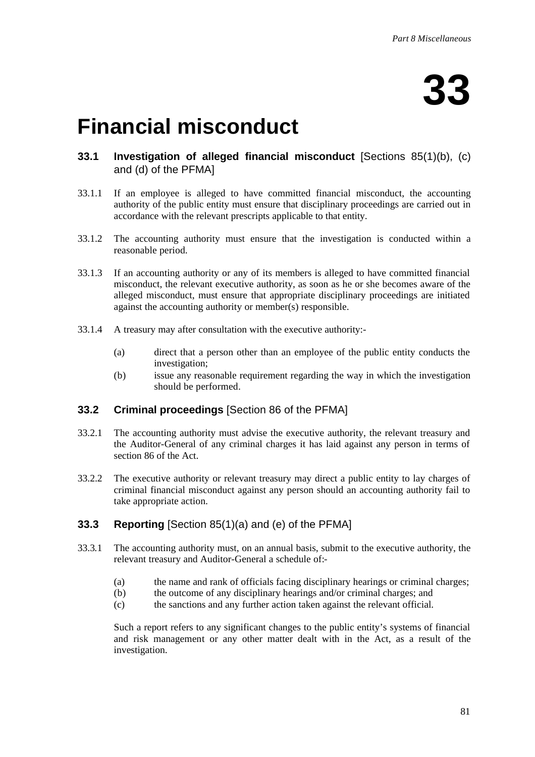### **Financial misconduct**

- **33.1 Investigation of alleged financial misconduct** [Sections 85(1)(b), (c) and (d) of the PFMA]
- 33.1.1 If an employee is alleged to have committed financial misconduct, the accounting authority of the public entity must ensure that disciplinary proceedings are carried out in accordance with the relevant prescripts applicable to that entity.
- 33.1.2 The accounting authority must ensure that the investigation is conducted within a reasonable period.
- 33.1.3 If an accounting authority or any of its members is alleged to have committed financial misconduct, the relevant executive authority, as soon as he or she becomes aware of the alleged misconduct, must ensure that appropriate disciplinary proceedings are initiated against the accounting authority or member(s) responsible.
- 33.1.4 A treasury may after consultation with the executive authority:-
	- (a) direct that a person other than an employee of the public entity conducts the investigation;
	- (b) issue any reasonable requirement regarding the way in which the investigation should be performed.

#### **33.2 Criminal proceedings** [Section 86 of the PFMA]

- 33.2.1 The accounting authority must advise the executive authority, the relevant treasury and the Auditor-General of any criminal charges it has laid against any person in terms of section 86 of the Act.
- 33.2.2 The executive authority or relevant treasury may direct a public entity to lay charges of criminal financial misconduct against any person should an accounting authority fail to take appropriate action.

### **33.3 Reporting** [Section 85(1)(a) and (e) of the PFMA]

- 33.3.1 The accounting authority must, on an annual basis, submit to the executive authority, the relevant treasury and Auditor-General a schedule of:-
	- (a) the name and rank of officials facing disciplinary hearings or criminal charges;
	- (b) the outcome of any disciplinary hearings and/or criminal charges; and
	- (c) the sanctions and any further action taken against the relevant official.

Such a report refers to any significant changes to the public entity's systems of financial and risk management or any other matter dealt with in the Act, as a result of the investigation.